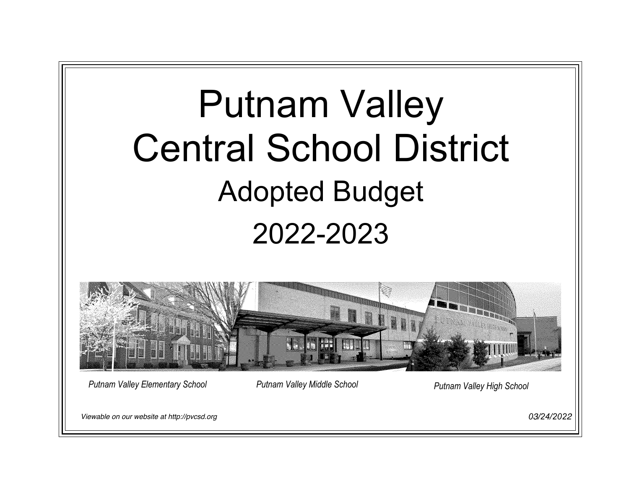# Putnam Valley Central School District Adopted Budget 2022-2023



*Putnam Valley Elementary School Putnam Valley Middle School Putnam Valley High School*

Viewable on our website at http://pvcsd.org

*0*3*/24/202*2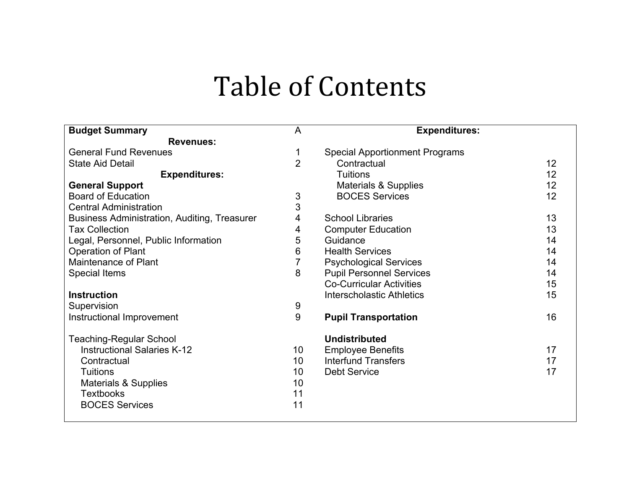# Table of Contents

| <b>Budget Summary</b>                               | A               | <b>Expenditures:</b>                  |    |
|-----------------------------------------------------|-----------------|---------------------------------------|----|
| <b>Revenues:</b>                                    |                 |                                       |    |
| <b>General Fund Revenues</b>                        | 1               | <b>Special Apportionment Programs</b> |    |
| <b>State Aid Detail</b>                             | $\overline{2}$  | Contractual                           | 12 |
| <b>Expenditures:</b>                                |                 | <b>Tuitions</b>                       | 12 |
| <b>General Support</b>                              |                 | <b>Materials &amp; Supplies</b>       | 12 |
| <b>Board of Education</b>                           | 3               | <b>BOCES Services</b>                 | 12 |
| <b>Central Administration</b>                       | 3               |                                       |    |
| <b>Business Administration, Auditing, Treasurer</b> | 4               | <b>School Libraries</b>               | 13 |
| <b>Tax Collection</b>                               | 4               | <b>Computer Education</b>             | 13 |
| Legal, Personnel, Public Information                | 5               | Guidance                              | 14 |
| <b>Operation of Plant</b>                           | 6               | <b>Health Services</b>                | 14 |
| Maintenance of Plant                                | 7               | <b>Psychological Services</b>         | 14 |
| <b>Special Items</b>                                | 8               | <b>Pupil Personnel Services</b>       | 14 |
|                                                     |                 | <b>Co-Curricular Activities</b>       | 15 |
| <b>Instruction</b>                                  |                 | <b>Interscholastic Athletics</b>      | 15 |
| Supervision                                         | 9               |                                       |    |
| Instructional Improvement                           | 9               | <b>Pupil Transportation</b>           | 16 |
| <b>Teaching-Regular School</b>                      |                 | <b>Undistributed</b>                  |    |
| <b>Instructional Salaries K-12</b>                  | 10              | <b>Employee Benefits</b>              | 17 |
| Contractual                                         | 10 <sup>°</sup> | <b>Interfund Transfers</b>            | 17 |
| <b>Tuitions</b>                                     | 10              | <b>Debt Service</b>                   | 17 |
| <b>Materials &amp; Supplies</b>                     | 10              |                                       |    |
| <b>Textbooks</b>                                    | 11              |                                       |    |
| <b>BOCES Services</b>                               | 11              |                                       |    |
|                                                     |                 |                                       |    |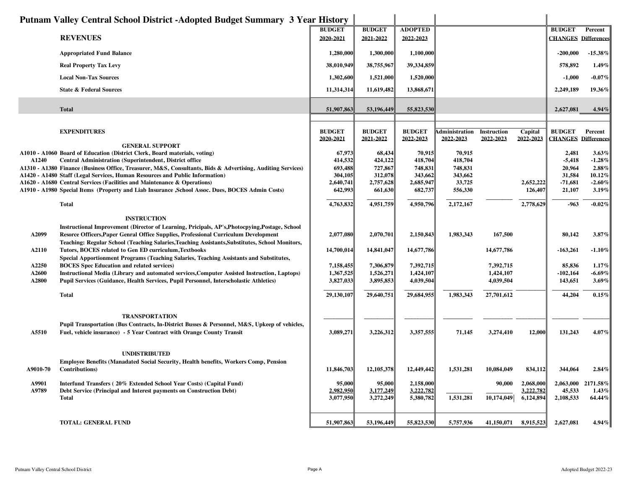|                | Putnam Valley Central School District - Adopted Budget Summary 3 Year History                                                                                                         |                            |                            |                             |                             |                          |                        |                                             |                       |
|----------------|---------------------------------------------------------------------------------------------------------------------------------------------------------------------------------------|----------------------------|----------------------------|-----------------------------|-----------------------------|--------------------------|------------------------|---------------------------------------------|-----------------------|
|                | <b>REVENUES</b>                                                                                                                                                                       | <b>BUDGET</b><br>2020-2021 | <b>BUDGET</b><br>2021-2022 | <b>ADOPTED</b><br>2022-2023 |                             |                          |                        | <b>BUDGET</b><br><b>CHANGES Differences</b> | Percent               |
|                |                                                                                                                                                                                       |                            |                            |                             |                             |                          |                        |                                             |                       |
|                | <b>Appropriated Fund Balance</b>                                                                                                                                                      | 1,280,000                  | 1,300,000                  | 1,100,000                   |                             |                          |                        | $-200,000$                                  | $-15.38%$             |
|                | <b>Real Property Tax Levy</b>                                                                                                                                                         | 38,010,949                 | 38,755,967                 | 39,334,859                  |                             |                          |                        | 578,892                                     | 1.49%                 |
|                | <b>Local Non-Tax Sources</b>                                                                                                                                                          | 1,302,600                  | 1,521,000                  | 1,520,000                   |                             |                          |                        | $-1,000$                                    | $-0.07\%$             |
|                | <b>State &amp; Federal Sources</b>                                                                                                                                                    | 11,314,314                 | 11,619,482                 | 13,868,671                  |                             |                          |                        | 2,249,189                                   | 19.36%                |
|                | <b>Total</b>                                                                                                                                                                          | 51,907,863                 | 53,196,449                 | 55,823,530                  |                             |                          |                        | 2,627,081                                   | 4.94%                 |
|                | <b>EXPENDITURES</b>                                                                                                                                                                   | <b>BUDGET</b><br>2020-2021 | <b>BUDGET</b><br>2021-2022 | <b>BUDGET</b><br>2022-2023  | Administration<br>2022-2023 | Instruction<br>2022-2023 | Capital<br>2022-2023   | <b>BUDGET</b><br><b>CHANGES Differences</b> | Percent               |
|                | <b>GENERAL SUPPORT</b><br>A1010 - A1060 Board of Education (District Clerk, Board materials, voting)                                                                                  | 67,973                     | 68,434                     | 70,915                      | 70,915                      |                          |                        | 2,481                                       | $3.63\%$              |
| A1240          | Central Administration (Superintendent, District office                                                                                                                               | 414,532                    | 424,122                    | 418,704                     | 418,704                     |                          |                        | $-5,418$                                    | $-1.28%$              |
|                | A1310 - A1380 Finance (Business Office, Treasurer, M&S, Consultants, Bids & Advertising, Auditing Services)                                                                           | 693,488                    | 727,867                    | 748,831                     | 748,831                     |                          |                        | 20.964                                      | 2.88%                 |
|                | A1420 - A1480 Staff (Legal Services, Human Resources and Public Information)<br>A1620 - A1680 Central Services (Facilities and Maintenance & Operations)                              | 304,105<br>2,640,741       | 312,078<br>2,757,628       | 343,662<br>2,685,947        | 343,662<br>33,725           |                          | 2,652,222              | 31,584<br>$-71,681$                         | 10.12%<br>$-2.60\%$   |
|                | A1910 - A1980 Special Items (Property and Liab Insurance ,School Assoc. Dues, BOCES Admin Costs)                                                                                      | 642,993                    | 661,630                    | 682,737                     | 556,330                     |                          | 126,407                | 21,107                                      | 3.19%                 |
|                | <b>Total</b>                                                                                                                                                                          | 4,763,832                  | 4,951,759                  | 4,950,796                   | 2,172,167                   |                          | 2,778,629              | $-963$                                      | $-0.02%$              |
|                | <b>INSTRUCTION</b>                                                                                                                                                                    |                            |                            |                             |                             |                          |                        |                                             |                       |
| A2099          | Instructional Improvement (Director of Learning, Pricipals, AP's, Photocpying, Postage, School<br>Resorce Officers, Paper Genral Office Supplies, Professional Curriculum Development | 2,077,080                  | 2,070,701                  | 2,150,843                   | 1,983,343                   | 167,500                  |                        | 80,142                                      | 3.87%                 |
| A2110          | Teaching: Regular School (Teaching Salaries, Teaching Assistants, Substitutes, School Monitors,<br>Tutors, BOCES related to Gen ED curriculum, Textbooks                              | 14,700,014                 | 14,841,047                 | 14,677,786                  |                             | 14,677,786               |                        | $-163,261$                                  | $-1.10%$              |
|                | Special Apportionment Programs (Teaching Salaries, Teaching Assistants and Substitutes,                                                                                               |                            |                            |                             |                             |                          |                        |                                             |                       |
| A2250<br>A2600 | <b>BOCES</b> Spec Education and related services)<br>Instructional Media (Library and automated services, Computer Assisted Instruction, Laptops)                                     | 7,158,455<br>1,367,525     | 7,306,879<br>1,526,271     | 7,392,715<br>1,424,107      |                             | 7,392,715<br>1,424,107   |                        | 85,836<br>$-102,164$                        | $1.17\%$<br>$-6.69\%$ |
| A2800          | Pupil Services (Guidance, Health Services, Pupil Personnel, Interscholastic Athletics)                                                                                                | 3,827,033                  | 3,895,853                  | 4,039,504                   |                             | 4,039,504                |                        | 143,651                                     | 3.69%                 |
|                | <b>Total</b>                                                                                                                                                                          | 29,130,107                 | 29,640,751                 | 29,684,955                  | 1,983,343                   | 27,701,612               |                        | 44,204                                      | 0.15%                 |
|                | <b>TRANSPORTATION</b>                                                                                                                                                                 |                            |                            |                             |                             |                          |                        |                                             |                       |
| A5510          | Pupil Transportation (Bus Contracts, In-District Busses & Personnel, M&S, Upkeep of vehicles,<br>Fuel, vehicle insurance) - 5 Year Contract with Orange County Transit                | 3,089,271                  | 3,226,312                  | 3,357,555                   | 71,145                      | 3,274,410                | 12,000                 | 131,243                                     | 4.07%                 |
|                | <b>UNDISTRIBUTED</b>                                                                                                                                                                  |                            |                            |                             |                             |                          |                        |                                             |                       |
| A9010-70       | <b>Employee Benefits (Manadated Social Security, Health benefits, Workers Comp, Pension</b><br><b>Contributions</b> )                                                                 | 11,846,703                 | 12, 105, 378               | 12,449,442                  | 1,531,281                   | 10,084,049               | 834,112                | 344,064                                     | 2.84%                 |
| A9901          | Interfund Transfers (20% Extended School Year Costs) (Capital Fund)                                                                                                                   | 95,000                     | 95,000                     | 2,158,000                   |                             | 90,000                   | 2,068,000              | 2,063,000                                   | 2171.58%              |
| A9789          | Debt Service (Principal and Interest payments on Construction Debt)<br><b>Total</b>                                                                                                   | 2.982.950<br>3,077,950     | 3.177.249<br>3,272,249     | 3,222,782<br>5,380,782      | 1,531,281                   | 10,174,049               | 3.222.782<br>6,124,894 | 45,533<br>2,108,533                         | 1.43%<br>64.44%       |
|                |                                                                                                                                                                                       |                            |                            |                             |                             |                          |                        |                                             |                       |
|                | <b>TOTAL: GENERAL FUND</b>                                                                                                                                                            | 51,907,863                 | 53,196,449                 | 55,823,530                  | 5,757,936                   | 41,150,071               | 8,915,523              | 2,627,081                                   | 4.94%                 |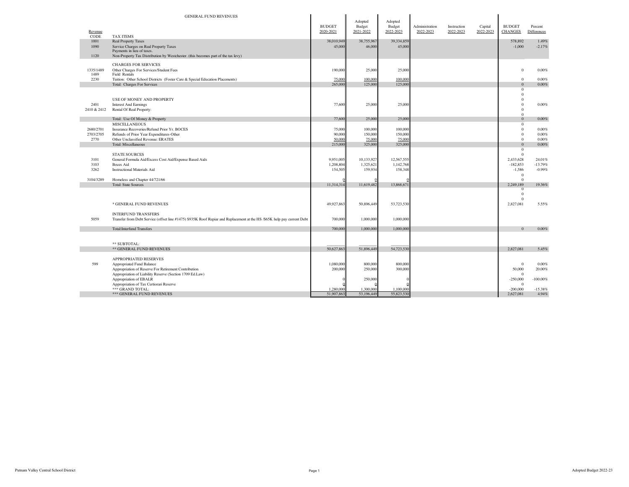|                 | <b>GENERAL FUND REVENUES</b>                                                                                                                           |                         |                    |                         |                |             |           |                                  |                    |
|-----------------|--------------------------------------------------------------------------------------------------------------------------------------------------------|-------------------------|--------------------|-------------------------|----------------|-------------|-----------|----------------------------------|--------------------|
|                 |                                                                                                                                                        | <b>BUDGET</b>           | Adopted<br>Budget  | Adopted<br>Budget       | Administration | Instruction | Capital   | <b>BUDGET</b>                    | Percent            |
| Revenue<br>CODE | <b>TAX ITEMS</b>                                                                                                                                       | 2020-2021               | 2021-2022          | 2022-2023               | 2022-2023      | 2022-2023   | 2022-2023 | <b>CHANGES</b>                   | <b>Differences</b> |
| 1001            | <b>Real Property Taxes</b>                                                                                                                             | 38,010.949              | 38,755,967         | 39,334,859              |                |             |           | 578,892                          | 1.49%              |
| 1090            | Service Charges on Real Property Taxes<br>Payments in lieu of taxes.                                                                                   | 45,000                  | 46,000             | 45,000                  |                |             |           | $-1,000$                         | $-2.17%$           |
| 1120            | Non-Property Tax Distribution by Westchester. (this becomes part of the tax levy)                                                                      |                         |                    |                         |                |             |           |                                  |                    |
|                 | <b>CHARGES FOR SERVICES</b>                                                                                                                            |                         |                    |                         |                |             |           |                                  |                    |
| 1335/1489       | Other Charges For Services/Student Fees                                                                                                                | 190,000                 | 25,000             | 25,000                  |                |             |           | $\bf{0}$                         | 0.00%              |
| 1489<br>2230    | Field Rentals<br>Tuition: Other School Districts (Foster Care & Special Education Placements)                                                          | 75,000                  | 100.000            | 100,000                 |                |             |           | $\mathbf{0}$                     | 0.00%              |
|                 | Total: Charges For Services                                                                                                                            | 265,000                 | 125,000            | 125,000                 |                |             |           | $\mathbf{0}$                     | $0.00\%$           |
|                 |                                                                                                                                                        |                         |                    |                         |                |             |           | $\mathbf{0}$                     |                    |
|                 |                                                                                                                                                        |                         |                    |                         |                |             |           | $\mathbf{0}$                     |                    |
| 2401            | USE OF MONEY AND PROPERTY<br><b>Interest And Earnings</b>                                                                                              | 77,600                  | 25,000             | 25,000                  |                |             |           | $\theta$<br>$\mathbf{0}$         | 0.00%              |
| 2410 & 2412     | Rental Of Real Property:                                                                                                                               |                         |                    |                         |                |             |           | $\theta$                         |                    |
|                 |                                                                                                                                                        |                         |                    |                         |                |             |           | $\Omega$                         |                    |
|                 | Total: Use Of Money & Property                                                                                                                         | 77,600                  | 25,000             | 25,000                  |                |             |           | $\Omega$                         | 0.00%              |
| 2680/2701       | <b>MISCELLANEOUS</b><br>Insurance Recoveries/Refund Prior Yr. BOCES                                                                                    | 75,000                  | 100,000            | 100,000                 |                |             |           | $\mathbf{0}$<br>$\mathbf{0}$     | 0.00%              |
| 2703/2705       | Refunds of Prior Year Expenditures-Other                                                                                                               | 90,000                  | 150,000            | 150,000                 |                |             |           | $\mathbf{0}$                     | 0.00%              |
| 2770            | Other Unclassified Revenue: ERATES                                                                                                                     | 50.000                  | 75.000             | 25.000                  |                |             |           | $\Omega$                         | 0.00%              |
|                 | <b>Total: Miscellaneous</b>                                                                                                                            | 215,000                 | 325,000            | 325,000                 |                |             |           | $\Omega$                         | 0.00%              |
|                 | <b>STATE SOURCES</b>                                                                                                                                   |                         |                    |                         |                |             |           | $\mathbf{0}$<br>$\mathbf{0}$     |                    |
| 3101            | General Formula Aid/Excess Cost Aid/Expense Based Aids                                                                                                 | 9,951,005               | 10,133,927         | 12,567,555              |                |             |           | 2,433,628                        | 24.01%             |
| 3103            | <b>Boces Aid</b>                                                                                                                                       | 1,208,804               | 1,325,621          | 1,142,768               |                |             |           | $-182,853$                       | $-13.79%$          |
| 3262            | <b>Instructional Materials Aid</b>                                                                                                                     | 154,50:                 | 159,934            | 158,348                 |                |             |           | $-1,586$                         | $-0.99%$           |
| 3104/3289       | Homeless and Chapter 44/721/66                                                                                                                         |                         |                    |                         |                |             |           | $\overline{0}$<br>$\overline{0}$ |                    |
|                 | <b>Total: State Sources</b>                                                                                                                            | 11.314.31               | 11,619,482         | 13,868,67               |                |             |           | 2.249.189                        | 19.36%             |
|                 |                                                                                                                                                        |                         |                    |                         |                |             |           | $\overline{0}$                   |                    |
|                 |                                                                                                                                                        |                         |                    |                         |                |             |           | $\Omega$<br>$\Omega$             |                    |
|                 | * GENERAL FUND REVENUES                                                                                                                                | 49.927.863              | 50,896,449         | 53,723,530              |                |             |           | 2.827.081                        | 5.55%              |
|                 |                                                                                                                                                        |                         |                    |                         |                |             |           |                                  |                    |
| 5059            | <b>INTERFUND TRANSFERS</b><br>Transfer from Debt Service (offset line #1475) \$935K Roof Repiar and Replacement at the HS /\$65K help pay current Debt | 700,000                 | 1,000,000          | 1,000,000               |                |             |           |                                  |                    |
|                 |                                                                                                                                                        |                         |                    |                         |                |             |           |                                  |                    |
|                 | <b>Total:Interfund Transfers</b>                                                                                                                       | 700,000                 | 1,000,000          | 1,000,000               |                |             |           | $\Omega$                         | 0.00%              |
|                 |                                                                                                                                                        |                         |                    |                         |                |             |           |                                  |                    |
|                 | ** SUBTOTAL:                                                                                                                                           |                         |                    |                         |                |             |           |                                  |                    |
|                 | ** GENERAL FUND REVENUES                                                                                                                               | 50,627,863              | 51,896,449         | 54,723,530              |                |             |           | 2.827.081                        | 5.45%              |
|                 |                                                                                                                                                        |                         |                    |                         |                |             |           |                                  |                    |
|                 | APPROPRIATED RESERVES                                                                                                                                  |                         |                    |                         |                |             |           |                                  |                    |
| 599             | Appropriated Fund Balance<br>Appropriation of Reserve For Retirement Contribution                                                                      | 1,080,000<br>200,000    | 800,000<br>250,000 | 800,000<br>300,000      |                |             |           | $\bf{0}$<br>50,000               | 0.00%<br>20,00%    |
|                 | Appropriation of Liability Reserve (Section 1709 Ed.Law)                                                                                               |                         |                    |                         |                |             |           | $\overline{0}$                   |                    |
|                 | Appropriation of EBALR                                                                                                                                 |                         | 250,000            |                         |                |             |           | $-250,000$                       | $-100.00\%$        |
|                 | Appropriation of Tax Certiorari Reserve                                                                                                                |                         | 1,300,000          |                         |                |             |           | $\overline{0}$<br>$-200,000$     | $-15.38%$          |
|                 | *** GRAND TOTAL:<br>*** GENERAL FUND REVENUES                                                                                                          | 1,280,000<br>51,907,863 | 53,196,449         | 1,100,000<br>55,823,530 |                |             |           | 2,627,081                        | 4.94%              |
|                 |                                                                                                                                                        |                         |                    |                         |                |             |           |                                  |                    |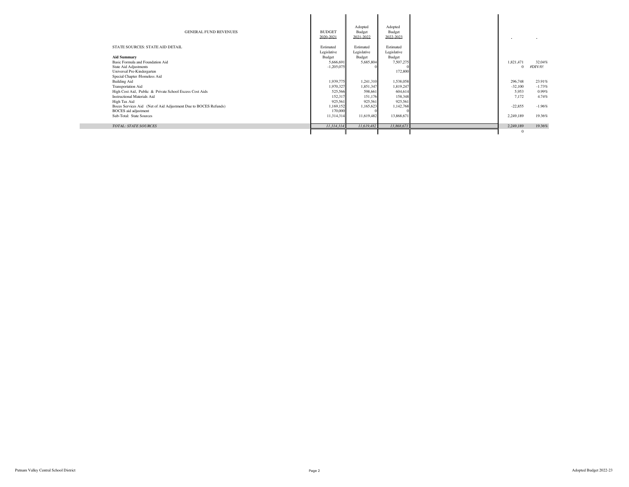| <b>GENERAL FUND REVENUES</b>                                                                   | <b>BUDGET</b><br>2020-2021 | Adopted<br>Budget<br>2021-2022 | Adopted<br>Budget<br>2022-2023 |              |          |
|------------------------------------------------------------------------------------------------|----------------------------|--------------------------------|--------------------------------|--------------|----------|
| STATE SOURCES: STATE AID DETAIL                                                                | Estimated<br>Legislative   | Estimated<br>Legislative       | Estimated<br>Legislative       |              |          |
| <b>Aid Summary</b>                                                                             | Budget                     | Budget                         | Budget                         |              |          |
| Basic Formula and Foundation Aid                                                               | 5,666,691                  | 5,685,804                      | 7,507,275                      | 1,821,471    | 32.04%   |
| State Aid Adjustments<br>Universal Pre-Kindergarten                                            | $-1,205,075$               |                                | 172,800                        | $\Omega$     | #DIV/0!  |
| Special Chapter /Homeless Aid                                                                  |                            |                                |                                |              |          |
| <b>Building Aid</b>                                                                            | 1.939.775                  | 1,241,310                      | 1,538,058                      | 296,748      | 23.91%   |
| Transportation Aid                                                                             | 1,970,327                  | 1,851,347                      | 1,819,247                      | $-32,100$    | $-1.73%$ |
| High Cost Aid, Public & Private School Excess Cost Aids                                        | 525,566                    | 598,661                        | 604,614                        | 5.953        | $0.99\%$ |
| <b>Instructional Materials Aid</b>                                                             | 152,317                    | 151,176                        | 158,348                        | 7.172        | 4.74%    |
| High Tax Aid                                                                                   | 925,561                    | 925,561                        | 925,561                        |              |          |
| Boces Services Aid (Net of Aid Adjustment Due to BOCES Refunds)<br><b>BOCES</b> aid adjustment | 1,169,152<br>170,000       | 1,165,623                      | 1,142,768                      | $-22,855$    | $-1.96%$ |
| Sub-Total: State Sources                                                                       | 11,314,314                 | 11,619,482                     | 13,868,671                     | 2,249,189    | 19.36%   |
| <b>TOTAL: STATE SOURCES</b>                                                                    | 11,314,314                 | 11,619,482                     | 13,868,671                     | 2,249,189    | 19.36%   |
|                                                                                                |                            |                                |                                | $\mathbf{0}$ |          |

**Contract**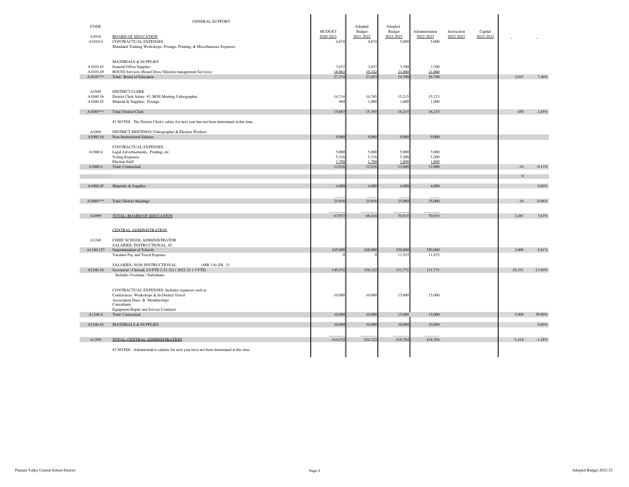|                      | <b>GENERAL SUPPORT</b>                                                                                      |                 |                   |                   |                 |             |                      |           |           |
|----------------------|-------------------------------------------------------------------------------------------------------------|-----------------|-------------------|-------------------|-----------------|-------------|----------------------|-----------|-----------|
| CODE                 |                                                                                                             | <b>BUDGET</b>   | Adopted<br>Budget | Adopted<br>Budget | Administration  | Instruction |                      |           |           |
| A1010                | <b>BOARD OF EDUCATION</b>                                                                                   | 2020-2021       | 2021-2022         | 2022-2023         | 2022-2023       | 2022-2023   | Capital<br>2022-2023 |           |           |
| A1010.4              | CONTRACTUAL EXPENSES<br>Mandated Training Workshops, Postage, Printing, & Miscellaneous Expenses            | 4,674           | 4,674             | 5,000             | 5,000           |             |                      |           |           |
|                      |                                                                                                             |                 |                   |                   |                 |             |                      |           |           |
|                      | <b>MATERIALS &amp; SUPPLIES</b>                                                                             |                 |                   |                   |                 |             |                      |           |           |
| A1010.45<br>A1010.49 | General Office Supplies<br>BOCES Services (Board Docs/ Election management Services)                        | 3,637<br>18.96  | 3,637<br>19.342   | 3,700<br>21,000   | 3,700<br>21.000 |             |                      |           |           |
| $A1010***$           | Total: Board of Education                                                                                   | 27.27           | 27,653            | 29,700            | 29,700          |             |                      | 2,047     | 7.40%     |
| A1040                | DISTRICT CLERK                                                                                              |                 |                   |                   |                 |             |                      |           |           |
| A1040.16             | District Clerk Salary #1 / BOE Meeting Videographer                                                         | 14,714          | 14,765            | 15,215            | 15,215          |             |                      |           |           |
| A1040.45             | Material & Supplies; Postage                                                                                | 969             | 1,000             | 1,000             | 1,000           |             |                      |           |           |
| $A1040***$           | <b>Total: District Clerk</b>                                                                                | 15,683          | 15,765            | 16,215            | 16,215          |             |                      | 450       | 2.85%     |
|                      | #1 NOTES: The District Clerk's salary for next year has not been determined at this time.                   |                 |                   |                   |                 |             |                      |           |           |
| A1060                | DISTRICT MEETINGS Videographer & Election Workers                                                           |                 |                   |                   |                 |             |                      |           |           |
| A1060.16             | Non-Instructional Salaries                                                                                  | 9,000           | 9,000             | 9,00              | 9,000           |             |                      |           |           |
| A1060.4              | CONTRACTUAL EXPENSES<br>Legal Advertisements, Printing, etc.                                                | 5,000           | 5,000             | 5,000             | 5,000           |             |                      |           |           |
|                      | Voting Expenses                                                                                             | 5,316           | 5,316             | 5,200             | 5,200           |             |                      |           |           |
| A1060.4              | <b>Election Staff</b><br><b>Total: Contractual</b>                                                          | 1.700<br>12,016 | 1.700<br>12,016   | 1.800<br>12,000   | 1.800<br>12,000 |             |                      | $-16$     | $-0.13%$  |
|                      |                                                                                                             |                 |                   |                   |                 |             |                      |           |           |
|                      |                                                                                                             |                 |                   |                   |                 |             |                      | $\Omega$  |           |
| A1060.45             | Materials & Supplies                                                                                        | 4,000           | 4,000             | 4,000             | 4,000           |             |                      |           | $0.00\%$  |
| $A1060***$           | <b>Total: District Meetings</b>                                                                             | 25,016          | 25,016            | 25,000            | 25,000          |             |                      | $-16$     | $-0.06%$  |
|                      |                                                                                                             |                 |                   |                   |                 |             |                      |           |           |
| A1099                | TOTAL: BOARD OF EDUCATION                                                                                   | 67,97           | 68,434            | 70,91             | 70,915          |             |                      | 2,481     | 3.63%     |
|                      |                                                                                                             |                 |                   |                   |                 |             |                      |           |           |
|                      | <b>CENTRAL ADMINISTRATION</b>                                                                               |                 |                   |                   |                 |             |                      |           |           |
| A1240                | CHIEF SCHOOL ADMINISTRATOR<br>SALARIES: INSTRUCTIONAL #2                                                    |                 |                   |                   |                 |             |                      |           |           |
| A1240.157            | Superintendent of Schools                                                                                   | 245,000         | 248,000           | 250,000           | 250,000         |             |                      | 2,000     | $0.81\%$  |
|                      | Vacation Pay and Travel Expense                                                                             |                 |                   | 11,933            | 11,933          |             |                      |           |           |
| A1240.16             | SALARIES: NON-INSTRUCTIONAL<br>(MB 1.0) (DL.5)<br>Secretarial / Clerical(2.0 FTE 2-21-22) (2022-23 1.5 FTE) | 149,532         | 156,122           | 131,771           | 131,771         |             |                      | $-24,351$ | $-15.60%$ |
|                      | Includes Overtime / Substitutes                                                                             |                 |                   |                   |                 |             |                      |           |           |
|                      |                                                                                                             |                 |                   |                   |                 |             |                      |           |           |
|                      | CONTRACTUAL EXPENSES: Includes expenses such as<br>Conferences, Workshops & In-District Travel              | 10,000          | 10,000            | 15,000            | 15,000          |             |                      |           |           |
|                      | Association Dues & Memberships                                                                              |                 |                   |                   |                 |             |                      |           |           |
|                      | Consultants<br><b>Equipment Repair and Service Contracts</b>                                                |                 |                   |                   |                 |             |                      |           |           |
| A1240.4              | Total: Contractual                                                                                          | 10,000          | 10,000            | 15,000            | 15,000          |             |                      | 5,000     | 50.00%    |
| A1240.45             | <b>MATERIALS &amp; SUPPLIES</b>                                                                             | 10,000          | 10,000            | 10,000            | 10,000          |             |                      |           | 0.00%     |
|                      |                                                                                                             |                 |                   |                   |                 |             |                      |           |           |
| A1299                | TOTAL: CENTRAL ADMINISTRATION                                                                               | 414,532         | 424,122           | 418,704           | 418,704         |             |                      | $-5,418$  | $-1.28%$  |
|                      | #2 NOTES: Administrative salaries for next year have not been determined at this time.                      |                 |                   |                   |                 |             |                      |           |           |
|                      |                                                                                                             |                 |                   |                   |                 |             |                      |           |           |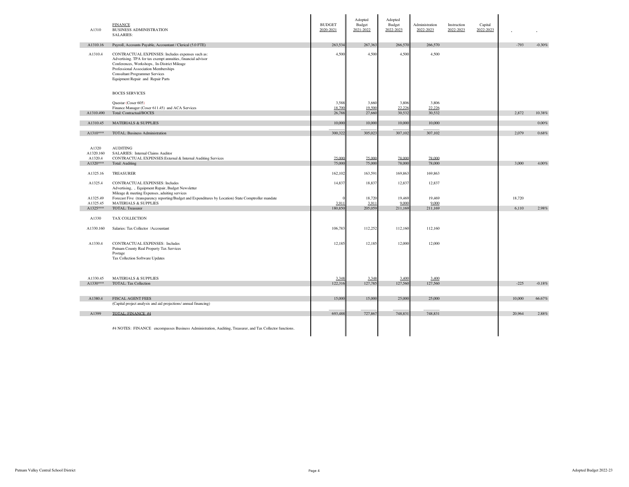| A1310                                     | <b>FINANCE</b><br><b>BUSINESS ADMINISTRATION</b><br><b>SALARIES:</b>                                                                                                                                                                                                                  | <b>BUDGET</b><br>2020-2021 | Adopted<br>Budget<br>2021-2022 | Adopted<br>Budget<br>2022-2023 | Administration<br>2022-2023 | Instruction<br>2022-2023 | Capital<br>2022-2023 |        |          |
|-------------------------------------------|---------------------------------------------------------------------------------------------------------------------------------------------------------------------------------------------------------------------------------------------------------------------------------------|----------------------------|--------------------------------|--------------------------------|-----------------------------|--------------------------|----------------------|--------|----------|
| A1310.16                                  | Payroll, Accounts Payable, Accountant / Clerical (5.0 FTE)                                                                                                                                                                                                                            | 263,534                    | 267,363                        | 266,570                        | 266,570                     |                          |                      | $-793$ | $-0.30%$ |
| A1310.4                                   | CONTRACTUAL EXPENSES: Includes expenses such as:<br>Advertising. TPA for tax exempt annuities, financial advisor<br>Conferences, Workshops, In-District Mileage<br>Professional Association Memberships<br><b>Consultant Programmer Services</b><br>Equipment Repair and Repair Parts | 4,500                      | 4,500                          | 4,500                          | 4,500                       |                          |                      |        |          |
|                                           | <b>BOCES SERVICES</b>                                                                                                                                                                                                                                                                 |                            |                                |                                |                             |                          |                      |        |          |
|                                           | Questar (Coser 605)<br>Finance Manager (Coser 611.45) and ACA Services                                                                                                                                                                                                                | 3,588<br>18.700            | 3,660<br>19.500                | 3,806<br>22.22                 | 3,806<br>22.226             |                          |                      |        |          |
| A1310.490                                 | <b>Total: Contractual/BOCES</b>                                                                                                                                                                                                                                                       | 26,788                     | 27,660                         | 30,532                         | 30,532                      |                          |                      | 2,872  | 10.38%   |
| A1310.45                                  | <b>MATERIALS &amp; SUPPLIES</b>                                                                                                                                                                                                                                                       | 10,00                      | 10,000                         | 10,000                         | 10,000                      |                          |                      |        | $0.00\%$ |
| A1310***                                  | <b>TOTAL: Business Administration</b>                                                                                                                                                                                                                                                 | 300,32                     | 305,023                        | 307,102                        | 307,102                     |                          |                      | 2,079  | $0.68\%$ |
|                                           |                                                                                                                                                                                                                                                                                       |                            |                                |                                |                             |                          |                      |        |          |
| A1320<br>A1320.160<br>A1320.4<br>A1320*** | <b>AUDITING</b><br>SALARIES: Internal Claims Auditor<br>CONTRACTUAL EXPENSES: External & Internal Auditing Services<br>Total: Auditing                                                                                                                                                | 75,000<br>75,00            | 75,000<br>75,000               | 78,000<br>78,000               | 78,000<br>78,000            |                          |                      | 3,000  | 4.00%    |
|                                           |                                                                                                                                                                                                                                                                                       |                            |                                |                                |                             |                          |                      |        |          |
| A1325.16                                  | <b>TREASURER</b>                                                                                                                                                                                                                                                                      | 162,102                    | 163,591                        | 169,863                        | 169,863                     |                          |                      |        |          |
| A1325.4                                   | <b>CONTRACTUAL EXPENSES: Includes</b><br>Advertising, , Equipment Repair, Budget Newsletter<br>Mileage & meeting Expenses, aduiting services                                                                                                                                          | 14,837                     | 18,837                         | 12,837                         | 12,837                      |                          |                      |        |          |
| A1325.49                                  | Forecast Five (transparency reporting/Budget and Expenditures by Location) State Comptroller mandate                                                                                                                                                                                  |                            | 18,720                         | 19,469                         | 19.469                      |                          |                      | 18,720 |          |
| A1325.45<br>A1325***                      | <b>MATERIALS &amp; SUPPLIES</b><br>TOTAL: Treasurer                                                                                                                                                                                                                                   | 3.911<br>180,85            | 3.911<br>205,059               | 9.000<br>211,169               | 9.000<br>211,169            |                          |                      | 6,110  | 2.98%    |
|                                           |                                                                                                                                                                                                                                                                                       |                            |                                |                                |                             |                          |                      |        |          |
| A1330                                     | TAX COLLECTION                                                                                                                                                                                                                                                                        |                            |                                |                                |                             |                          |                      |        |          |
| A1330.160                                 | Salaries: Tax Collector /Accountant                                                                                                                                                                                                                                                   | 106,783                    | 112,252                        | 112,160                        | 112,160                     |                          |                      |        |          |
| A1330.4                                   | <b>CONTRACTUAL EXPENSES: Includes</b><br>Putnam County Real Property Tax Services<br>Postage<br>Tax Collection Software Updates                                                                                                                                                       | 12,185                     | 12,185                         | 12,000                         | 12,000                      |                          |                      |        |          |
| A1330.45                                  | <b>MATERIALS &amp; SUPPLIES</b>                                                                                                                                                                                                                                                       | 3.348                      | 3.348                          | 3.400                          | 3.400                       |                          |                      |        |          |
| A1330***                                  | TOTAL: Tax Collection                                                                                                                                                                                                                                                                 | 122,316                    | 127,785                        | 127,560                        | 127,560                     |                          |                      | $-225$ | $-0.18%$ |
|                                           |                                                                                                                                                                                                                                                                                       |                            |                                |                                |                             |                          |                      |        |          |
| A1380.4                                   | <b>FISCAL AGENT FEES</b>                                                                                                                                                                                                                                                              | 15,00                      | 15,000                         | 25,000                         | 25,000                      |                          |                      | 10,000 | 66.67%   |
|                                           | (Capital project analysis and aid projections/ annual financing)                                                                                                                                                                                                                      |                            |                                |                                |                             |                          |                      |        |          |
| A1399                                     | TOTAL: FINANCE #4                                                                                                                                                                                                                                                                     | 693,488                    | 727,867                        | 748,831                        | 748,831                     |                          |                      | 20,964 | 2.88%    |
|                                           | #4 NOTES: FINANCE encompasses Business Administration, Auditing, Treasurer, and Tax Collector functions.                                                                                                                                                                              |                            |                                |                                |                             |                          |                      |        |          |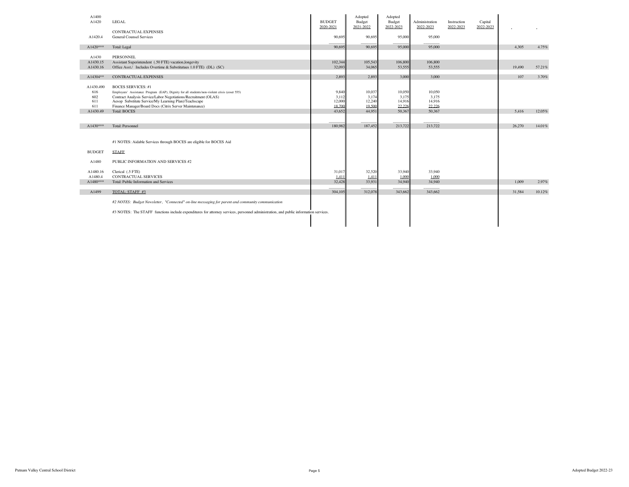| A1400<br>A1420 | LEGAL                                                                                                                                | <b>BUDGET</b> | Adopted<br>Budget | Adopted<br>Budget | Administration | Instruction | Capital   |        |        |
|----------------|--------------------------------------------------------------------------------------------------------------------------------------|---------------|-------------------|-------------------|----------------|-------------|-----------|--------|--------|
|                |                                                                                                                                      | 2020-2021     | 2021-2022         | 2022-2023         | 2022-2023      | 2022-2023   | 2022-2023 |        |        |
|                | <b>CONTRACTUAL EXPENSES</b>                                                                                                          |               |                   |                   |                |             |           |        |        |
| A1420.4        | <b>General Counsel Services</b>                                                                                                      | 90,695        | 90,695            | 95,000            | 95,000         |             |           |        |        |
| $A1420***$     | Total: Legal                                                                                                                         | 90.695        | 90.695            | 95,000            | 95,000         |             |           | 4.305  | 4.75%  |
| A1430          | <b>PERSONNEL</b>                                                                                                                     |               |                   |                   |                |             |           |        |        |
| A1430.15       | Assistant Superintendent (.50 FTE) vacation, longevity                                                                               | 102,344       | 105,543           | 106,800           | 106,800        |             |           |        |        |
| A1430.16       | Office Asst./ Includes Overtime & Substitutues 1.0 FTE) (DL) (SC)                                                                    | 32,093        | 34,065            | 53,555            | 53,555         |             |           | 19,490 | 57.21% |
|                |                                                                                                                                      |               |                   |                   |                |             |           |        |        |
| A14304**       | <b>CONTRACTUAL EXPENSES</b>                                                                                                          | 2,893         | 2,893             | 3.000             | 3,000          |             |           | 107    | 3.70%  |
| A1430.490      | <b>BOCES SERVICES: #1</b>                                                                                                            |               |                   |                   |                |             |           |        |        |
| 616            | Employees' Assistance Program (EAP), Dignity for all students/non-violent crisis (coser 555)                                         | 9,840         | 10,037            | 10,050            | 10.050         |             |           |        |        |
| 602            | Contract Analysis Service/Labor Negotiations/Recruitment (OLAS)                                                                      | 3,112         | 3,174             | 3,175             | 3,175          |             |           |        |        |
| 611            | Aesop Substitute Service/My Learning Plan)/Teachscape                                                                                | 12,000        | 12,240            | 14,916            | 14,916         |             |           |        |        |
| 611            | Finance Manager/Board Docs (Citrix Server Maintenance)                                                                               | 18.700        | 19.500            | 22.226            | 22.226         |             |           |        |        |
| A1430.49       | <b>Total: BOCES</b>                                                                                                                  | 43,652        | 44,951            | 50,367            | 50,367         |             |           | 5,416  | 12.05% |
|                |                                                                                                                                      |               |                   |                   |                |             |           |        |        |
| $A1430***$     | Total: Personnel                                                                                                                     | 180.982       | 187,452           | 213,722           | 213,722        |             |           | 26,270 | 14.01% |
|                |                                                                                                                                      |               |                   |                   |                |             |           |        |        |
|                |                                                                                                                                      |               |                   |                   |                |             |           |        |        |
|                | #1 NOTES: Aidable Services through BOCES are eligible for BOCES Aid                                                                  |               |                   |                   |                |             |           |        |        |
| <b>BUDGET</b>  | <b>STAFF</b>                                                                                                                         |               |                   |                   |                |             |           |        |        |
| A1480          | PUBLIC INFORMATION AND SERVICES #2                                                                                                   |               |                   |                   |                |             |           |        |        |
| A1480.16       | Clerical (.5 FTE)                                                                                                                    | 31,017        | 32,520            | 33,940            | 33,940         |             |           |        |        |
| A1480.4        | <b>CONTRACTUAL SERVICES</b>                                                                                                          | 1.411         | 1.411             | 1,000             | 1.000          |             |           |        |        |
| $A1480***$     | Total: Public Information and Services                                                                                               | 32,428        | 33,931            | 34,940            | 34,940         |             |           | 1.009  | 2.97%  |
|                |                                                                                                                                      |               |                   |                   |                |             |           |        |        |
| A1499          | TOTAL: STAFF #3                                                                                                                      | 304,105       | 312,078           | 343,662           | 343,662        |             |           | 31.584 | 10.12% |
|                |                                                                                                                                      |               |                   |                   |                |             |           |        |        |
|                | #2 NOTES: Budget Newsletter, "Connected" on-line messaging for parent and community communication                                    |               |                   |                   |                |             |           |        |        |
|                | #3 NOTES: The STAFF functions include expenditures for attorney services, personnel administration, and public information services. |               |                   |                   |                |             |           |        |        |
|                |                                                                                                                                      |               |                   |                   |                |             |           |        |        |
|                |                                                                                                                                      |               |                   |                   |                |             |           |        |        |
|                |                                                                                                                                      |               |                   |                   |                |             |           |        |        |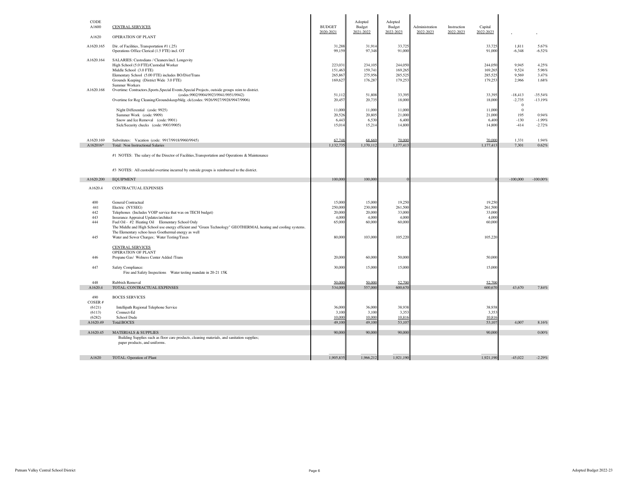| CODE                  |                                                                                                                              |                            | Adopted             | Adopted             |                             |                          |                      |                       |                        |
|-----------------------|------------------------------------------------------------------------------------------------------------------------------|----------------------------|---------------------|---------------------|-----------------------------|--------------------------|----------------------|-----------------------|------------------------|
| A1600                 | <b>CENTRAL SERVICES</b>                                                                                                      | <b>BUDGET</b><br>2020-2021 | Budget<br>2021-2022 | Budget<br>2022-2023 | Administration<br>2022-2023 | Instruction<br>2022-2023 | Capital<br>2022-2023 |                       |                        |
| A1620                 | OPERATION OF PLANT                                                                                                           |                            |                     |                     |                             |                          |                      |                       |                        |
| A1620.165             | Dir. of Facilities, Transportation #1 (.25)<br>Operations Office Clerical (1.5 FTE) incl. OT                                 | 31,288<br>99,159           | 31,914<br>97,348    | 33,725<br>91,000    |                             |                          | 33,725<br>91,000     | 1,811<br>$-6,348$     | 5.67%<br>$-6.52%$      |
| A1620.164             | SALARIES: Custodians / Cleaners/incl. Longevity<br>High School (5.0 FTE)/Custodial Worker                                    | 223,031                    | 234,105             | 244,050             |                             |                          | 244,050              | 9.945                 | 4.25%                  |
|                       | Middle School (3.0 FTE)                                                                                                      | 151,463                    | 159.741             | 169,265             |                             |                          | 169,265              | 9.524                 | 5.96%                  |
|                       | Elementary School (5.00 FTE) includes BO/Dist/Trans<br>Grounds Keeping (District Wide 3.0 FTE)                               | 265,867<br>169,627         | 275,956<br>176,287  | 285,525<br>179,253  |                             |                          | 285,525<br>179,253   | 9.569<br>2,966        | 3.47%<br>1.68%         |
|                       | Summer Workers                                                                                                               |                            |                     |                     |                             |                          |                      |                       |                        |
| A1620.168             | Overtime: Contractors, Sports, Special Events, Special Projects, outside groups reim to district.                            |                            |                     |                     |                             |                          |                      |                       |                        |
|                       | (codes: 9902/9904/9923/9941/9951/9942)<br>Overtime for Reg Cleaning/Groundskeep/bldg.ck/(codes: 9926/9927/9928/9947/9906)    | 51,113<br>20,457           | 51,808<br>20,735    | 33,395<br>18,000    |                             |                          | 33,395<br>18,000     | $-18,413$<br>$-2,735$ | $-35.54%$<br>$-13.19%$ |
|                       |                                                                                                                              |                            |                     |                     |                             |                          |                      | $\bf{0}$              |                        |
|                       | Night Differential (code: 9925)<br>Summer Work (code: 9909)                                                                  | 11,000<br>20,520           | 11,000<br>20,805    | 11,000<br>21,000    |                             |                          | 11,000<br>21,000     | $\bf{0}$<br>195       | 0.94%                  |
|                       | Snow and Ice Removal (code: 9901)                                                                                            | 6,44                       | 6,530               | 6,400               |                             |                          | 6,400                | $-130$                | $-1.99%$               |
|                       | Sick/Security checks (code: 9903/9905)                                                                                       | 15,01                      | 15,214              | 14,800              |                             |                          | 14,800               | $-414$                | $-2.72%$               |
|                       |                                                                                                                              |                            |                     | 70,000              |                             |                          |                      |                       |                        |
| A1620.169<br>A162016* | Substitutes: Vacation (code: 9917/9918/9960/9945)<br>Total: Non Instructional Salaries                                       | 67.748<br>1,132,735        | 68.669<br>1,170,112 | 1,177,41            |                             |                          | 70,000<br>1,177,413  | 1,331<br>7,301        | 1.94%<br>0.62%         |
|                       | #1 NOTES: The salary of the Director of Facilities, Transportation and Operations & Maintenance                              |                            |                     |                     |                             |                          |                      |                       |                        |
|                       |                                                                                                                              |                            |                     |                     |                             |                          |                      |                       |                        |
|                       | #3 NOTES: All custodial overtime incurred by outside groups is reimbursed to the district.                                   |                            |                     |                     |                             |                          |                      |                       |                        |
|                       |                                                                                                                              |                            |                     |                     |                             |                          |                      |                       |                        |
| A1620.200             | <b>EQUIPMENT</b>                                                                                                             | 100,000                    | 100,000             |                     |                             |                          |                      | $-100,000$            | $-100.00\%$            |
| A1620.4               | CONTRACTUAL EXPENSES                                                                                                         |                            |                     |                     |                             |                          |                      |                       |                        |
| 400                   | <b>General Contractual</b>                                                                                                   | 15,000                     | 15,000              | 19.250              |                             |                          | 19.250               |                       |                        |
| 441                   | Electric (NYSEG)                                                                                                             | 250,000                    | 230,000             | 261,500             |                             |                          | 261,500              |                       |                        |
| 442                   | Telephones (Includes VOIP service that was on TECH budget)                                                                   | 20,000                     | 20,000              | 33,000              |                             |                          | 33,000               |                       |                        |
| 443<br>444            | Insurance Appraisal Updates/architect<br>Fuel Oil - #2 Heating Oil Elementary School Only                                    | 4.000<br>65,000            | 4,000<br>60,000     | 4,000<br>60,000     |                             |                          | 4,000<br>60,000      |                       |                        |
|                       | The Middle and High School use energy efficient and "Green Technology" GEOTHERMAL heating and cooling systems.               |                            |                     |                     |                             |                          |                      |                       |                        |
| 445                   | The Elementary schoo luses Goethermal energy as well<br>Water and Sewer Charges; Water Testing/Taxes                         | 80,000                     | 103,000             | 105,220             |                             |                          | 105,220              |                       |                        |
|                       |                                                                                                                              |                            |                     |                     |                             |                          |                      |                       |                        |
|                       | <b>CENTRAL SERVICES</b><br>OPERATION OF PLANT                                                                                |                            |                     |                     |                             |                          |                      |                       |                        |
| 446                   | Propane Gas/ Welness Center Added /Trans                                                                                     | 20,000                     | 60,000              | 50,000              |                             |                          | 50,000               |                       |                        |
| 447                   | Safety Compliance:                                                                                                           | 30,000                     | 15,000              | 15,000              |                             |                          | 15,000               |                       |                        |
|                       | Fire and Safety Inspections Water testing mandate in 20-21 15K                                                               |                            |                     |                     |                             |                          |                      |                       |                        |
| 448                   | Rubbish Removal                                                                                                              | 50,000                     | 50,000              | 52.700              |                             |                          | 52.700               |                       |                        |
| A1620.4               | TOTAL: CONTRACTUAL EXPENSES                                                                                                  | 534,000                    | 557,000             | 600,670             |                             |                          | 600,670              | 43,670                | 7.84%                  |
| 490                   | <b>BOCES SERVICES</b>                                                                                                        |                            |                     |                     |                             |                          |                      |                       |                        |
| COSER#                |                                                                                                                              |                            |                     |                     |                             |                          |                      |                       |                        |
| (6121)<br>(6113)      | Intellipath Regional Telephone Service<br>Connect-Ed                                                                         | 36,000<br>3,100            | 36,000<br>3,100     | 38,938<br>3,35      |                             |                          | 38,938<br>3,353      |                       |                        |
| (6282)                | School Dude                                                                                                                  | 10,000                     | 10.000              | 10.816              |                             |                          | 10.816               |                       |                        |
| A1620.49              | <b>Total:BOCES</b>                                                                                                           | 49,100                     | 49,100              | 53,107              |                             |                          | 53,107               | 4,007                 | 8.16%                  |
| A1620.45              | <b>MATERIALS &amp; SUPPLIES</b>                                                                                              | 90,000                     | 90,000              | 90,000              |                             |                          | 90,000               |                       | $0.00\%$               |
|                       | Building Supplies such as floor care products, cleaning materials, and sanitation supplies;<br>paper products, and uniforms. |                            |                     |                     |                             |                          |                      |                       |                        |
|                       |                                                                                                                              |                            |                     |                     |                             |                          |                      |                       |                        |
| A1620                 | TOTAL: Operation of Plant                                                                                                    | 1,905,835                  | 1,966,212           | 1,921,190           |                             |                          | 1,921,190            | $-45,022$             | $-2.29%$               |
|                       |                                                                                                                              |                            |                     |                     |                             |                          |                      |                       |                        |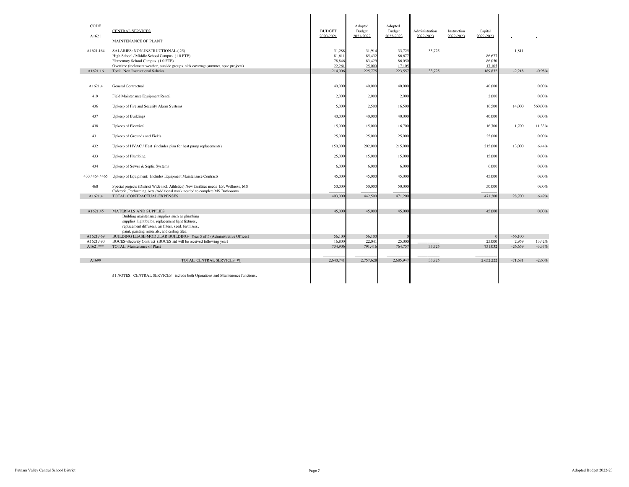| CODE<br>A1621          | CENTRAL SERVICES<br><b>MAINTENANCE OF PLANT</b>                                                                                                                                                                                                  | <b>BUDGET</b><br>2020-2021 | Adopted<br>Budget<br>2021-2022 | Adopted<br>Budget<br>2022-2023 | Administration<br>2022-2023 | Instruction<br>2022-2023 | Capital<br>2022-2023 |                    |          |
|------------------------|--------------------------------------------------------------------------------------------------------------------------------------------------------------------------------------------------------------------------------------------------|----------------------------|--------------------------------|--------------------------------|-----------------------------|--------------------------|----------------------|--------------------|----------|
| A1621.164              | SALARIES: NON-INSTRUCTIONAL (.25)<br>High School / Middle School Campus (1.0 FTE)<br>Elementary School Campus (1.0 FTE)                                                                                                                          | 31.288<br>81,61<br>78,846  | 31.914<br>85,432<br>83,429     | 33.725<br>86,677<br>86,050     | 33.725                      |                          | 86,67<br>86,050      | 1.811              |          |
| A1621.16               | Overtime (inclement weather, outside groups, sick coverage, summer, spec.projects)<br>Total: Non Instructional Salaries                                                                                                                          | 22.261<br>214,006          | 25,000<br>225,775              | 17.105<br>223,557              | 33,725                      |                          | 17.105<br>189,832    | $-2.218$           | $-0.98%$ |
| A1621.4                | <b>General Contractual</b>                                                                                                                                                                                                                       | 40,000                     | 40,000                         | 40,000                         |                             |                          | 40,000               |                    | 0.00%    |
| 419                    | Field Maintenance Equipment Rental                                                                                                                                                                                                               | 2.000                      | 2,000                          | 2.000                          |                             |                          | 2,000                |                    | 0.00%    |
| 436                    | Upkeep of Fire and Security Alarm Systems                                                                                                                                                                                                        | 5,000                      | 2,500                          | 16,500                         |                             |                          | 16,500               | 14,000             | 560.00%  |
| 437                    | Upkeep of Buildings                                                                                                                                                                                                                              | 40,000                     | 40,000                         | 40,000                         |                             |                          | 40,000               |                    | 0.00%    |
| 438                    | Upkeep of Electrical                                                                                                                                                                                                                             | 15,000                     | 15,000                         | 16,700                         |                             |                          | 16,700               | 1,700              | 11.33%   |
| 431                    | Upkeep of Grounds and Fields                                                                                                                                                                                                                     | 25,000                     | 25,000                         | 25,000                         |                             |                          | 25,000               |                    | 0.00%    |
| 432                    | Upkeep of HVAC / Heat (includes plan for heat pump replacements)                                                                                                                                                                                 | 150,000                    | 202,000                        | 215,000                        |                             |                          | 215,000              | 13,000             | 6.44%    |
| 433                    | Upkeep of Plumbing                                                                                                                                                                                                                               | 25,000                     | 15,000                         | 15,000                         |                             |                          | 15,000               |                    | 0.00%    |
| 434                    | Upkeep of Sewer & Septic Systems                                                                                                                                                                                                                 | 6,000                      | 6,000                          | 6,000                          |                             |                          | 6,000                |                    | 0.00%    |
| 430 / 464 / 465        | Upkeep of Equipment: Includes Equipment Maintenance Contracts                                                                                                                                                                                    | 45,000                     | 45,000                         | 45,000                         |                             |                          | 45,000               |                    | 0.00%    |
| 468                    | Special projects (District Wide incl. Athletics) New faciltiies needs ES, Wellness, MS<br>Cafeteria, Performing Arts /Additional work needed to complete MS Bathrooms                                                                            | 50,000                     | 50,000                         | 50,000                         |                             |                          | 50,000               |                    | 0.00%    |
| A1621.4                | TOTAL: CONTRACTUAL EXPENSES                                                                                                                                                                                                                      | 403,000                    | 442.500                        | 471.200                        |                             |                          | 471,200              | 28,700             | 6.49%    |
| A1621.45               | <b>MATERIALS AND SUPPLIES</b><br>Building maintenance supplies such as plumbing<br>supplies, light bulbs, replacement light fixtures,<br>replacement diffusers, air filters, seed, fertilizers,<br>paint, painting materials, and ceiling tiles. | 45,000                     | 45,000                         | 45,000                         |                             |                          | 45,000               |                    | 0.00%    |
| A1621.469<br>A1621.490 | BUILDING LEASE-MODULAR BUILDING-Year 5 of 5 (Administrative Offices)<br>BOCES-\Security Contract (BOCES aid will be received following year)                                                                                                     | 56,100<br>16,80            | 56,100<br>22.041               | 25,000                         |                             |                          | 25,000               | $-56,100$<br>2,959 | 13.42%   |
| $A1621***$             | TOTAL: Maintenance of Plant                                                                                                                                                                                                                      | 734.90                     | 791,416                        | 764,757                        | 33,725                      |                          | 731,032              | $-26.659$          | $-3.37%$ |
| A1699                  | TOTAL: CENTRAL SERVICES #1                                                                                                                                                                                                                       | 2,640,74                   | 2,757,628                      | 2,685,947                      | 33,725                      |                          | 2,652,222            | $-71,681$          | $-2.60%$ |
|                        | #1 NOTES: CENTRAL SERVICES include both Operations and Maintenence functions.                                                                                                                                                                    |                            |                                |                                |                             |                          |                      |                    |          |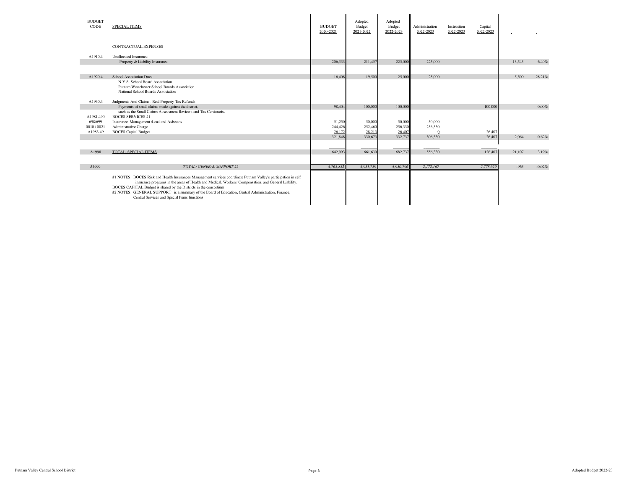| <b>BUDGET</b><br>CODE | <b>SPECIAL ITEMS</b>                                                                                                                                                                                                                                                                                                                                                                                                                                | <b>BUDGET</b><br>2020-2021 | Adopted<br>Budget<br>2021-2022 | Adopted<br>Budget<br>2022-2023 | Administration<br>2022-2023 | Instruction<br>2022-2023 | Capital<br>2022-2023 |        |          |
|-----------------------|-----------------------------------------------------------------------------------------------------------------------------------------------------------------------------------------------------------------------------------------------------------------------------------------------------------------------------------------------------------------------------------------------------------------------------------------------------|----------------------------|--------------------------------|--------------------------------|-----------------------------|--------------------------|----------------------|--------|----------|
|                       | <b>CONTRACTUAL EXPENSES</b>                                                                                                                                                                                                                                                                                                                                                                                                                         |                            |                                |                                |                             |                          |                      |        |          |
| A1910.4               | <b>Unallocated Insurance</b>                                                                                                                                                                                                                                                                                                                                                                                                                        |                            |                                |                                |                             |                          |                      |        |          |
|                       | Property & Liability Insurance                                                                                                                                                                                                                                                                                                                                                                                                                      | 206,333                    | 211,457                        | 225,000                        | 225,000                     |                          |                      | 13.543 | 6.40%    |
|                       |                                                                                                                                                                                                                                                                                                                                                                                                                                                     |                            |                                |                                |                             |                          |                      |        |          |
| A1920.4               | <b>School Association Dues</b>                                                                                                                                                                                                                                                                                                                                                                                                                      | 16,408                     | 19,500                         | 25,000                         | 25,000                      |                          |                      | 5.500  | 28.21%   |
|                       | N.Y.S. School Board Association                                                                                                                                                                                                                                                                                                                                                                                                                     |                            |                                |                                |                             |                          |                      |        |          |
|                       | Putnam Westchester School Boards Association                                                                                                                                                                                                                                                                                                                                                                                                        |                            |                                |                                |                             |                          |                      |        |          |
|                       | National School Boards Association                                                                                                                                                                                                                                                                                                                                                                                                                  |                            |                                |                                |                             |                          |                      |        |          |
|                       |                                                                                                                                                                                                                                                                                                                                                                                                                                                     |                            |                                |                                |                             |                          |                      |        |          |
| A1930.4               | Judgments And Claims; Real Property Tax Refunds                                                                                                                                                                                                                                                                                                                                                                                                     |                            |                                |                                |                             |                          |                      |        |          |
|                       | Payments of small claims made against the district,                                                                                                                                                                                                                                                                                                                                                                                                 | 98,404                     | 100,000                        | 100,000                        |                             |                          | 100,000              |        | 0.00%    |
|                       | such as the Small Claims Assessment Reviews and Tax Certioraris.                                                                                                                                                                                                                                                                                                                                                                                    |                            |                                |                                |                             |                          |                      |        |          |
| A1981.490             | <b>BOCES SERVICES #1</b>                                                                                                                                                                                                                                                                                                                                                                                                                            |                            |                                |                                |                             |                          |                      |        |          |
| 698/699               | Insurance Management /Lead and Asbestos                                                                                                                                                                                                                                                                                                                                                                                                             | 51,250                     | 50,000                         | 50,000                         | 50,000                      |                          |                      |        |          |
| 0010/0021             | Administrative Charge                                                                                                                                                                                                                                                                                                                                                                                                                               | 244,426<br>26.172          | 252,460<br>28.213              | 256,330                        | 256,330                     |                          |                      |        |          |
| A1983.49              | <b>BOCES</b> Capital Budget                                                                                                                                                                                                                                                                                                                                                                                                                         |                            | 330,673                        | 26,407                         | 306,330                     |                          | 26,407<br>26,407     | 2.064  |          |
|                       |                                                                                                                                                                                                                                                                                                                                                                                                                                                     | 321,848                    |                                | 332,737                        |                             |                          |                      |        | 0.62%    |
|                       |                                                                                                                                                                                                                                                                                                                                                                                                                                                     |                            |                                |                                |                             |                          |                      |        |          |
| A1998                 | TOTAL: SPECIAL ITEMS                                                                                                                                                                                                                                                                                                                                                                                                                                | 642,993                    | 661,630                        | 682,737                        | 556,330                     |                          | 126,407              | 21,107 | 3.19%    |
|                       |                                                                                                                                                                                                                                                                                                                                                                                                                                                     |                            |                                |                                |                             |                          |                      |        |          |
|                       |                                                                                                                                                                                                                                                                                                                                                                                                                                                     |                            |                                |                                |                             |                          |                      |        |          |
| A1999                 | TOTAL: GENERAL SUPPORT #2                                                                                                                                                                                                                                                                                                                                                                                                                           | 4.763.832                  | 4.951.759                      | 4.950.796                      | 2,172,167                   |                          | 2,778,629            | $-963$ | $-0.02%$ |
|                       | #1 NOTES: BOCES Risk and Health Insurances Management services coordinate Putnam Valley's participation in self<br>insurance programs in the areas of Health and Medical, Workers' Compensation, and General Liability.<br>BOCES CAPITAL Budget is shared by the Districts in the consortium<br>#2 NOTES: GENERAL SUPPORT is a summary of the Board of Education, Central Administration, Finance,<br>Central Services and Special Items functions. |                            |                                |                                |                             |                          |                      |        |          |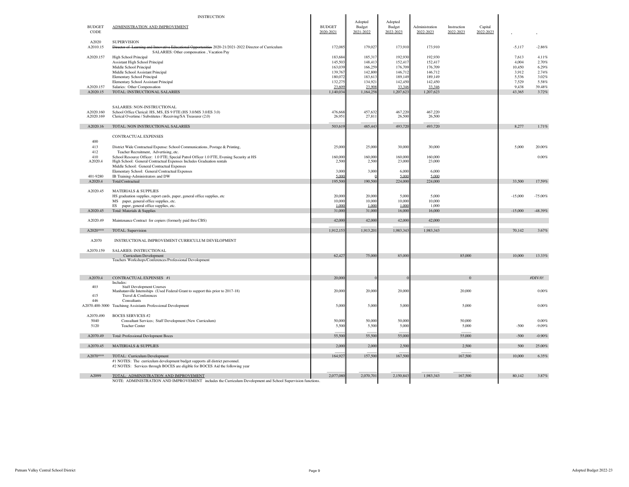|                           | <b>INSTRUCTION</b>                                                                                                                                                                                          |                                        |                                           |                                           |                                           |                          |                      |                                   |                                   |
|---------------------------|-------------------------------------------------------------------------------------------------------------------------------------------------------------------------------------------------------------|----------------------------------------|-------------------------------------------|-------------------------------------------|-------------------------------------------|--------------------------|----------------------|-----------------------------------|-----------------------------------|
| <b>BUDGET</b><br>CODE     | ADMINISTRATION AND IMPROVEMENT                                                                                                                                                                              | <b>BUDGET</b><br>2020-2021             | Adopted<br>Budget<br>2021-2022            | Adopted<br>Budget<br>2022-2023            | Administration<br>2022-2023               | Instruction<br>2022-2023 | Capital<br>2022-2023 |                                   |                                   |
| A2020<br>A2010.15         | <b>SUPERVISION</b><br>unities 2020-21/2021-2022 Director of Curriculum<br>Di<br>SALARIES: Other compensation, Vacation Pay                                                                                  | 172,085                                | 179,027                                   | 173,910                                   | 173,910                                   |                          |                      | $-5,117$                          | $-2.86%$                          |
| A2020.157                 | High School Principal<br>Assistant High School Principal<br>Middle School Principal<br>Middle School Assistant Principal                                                                                    | 183,68<br>145,50<br>163.03<br>139,76   | 185,317<br>148,413<br>166,259<br>142,800  | 192,930<br>152,41<br>176,709<br>146,71    | 192,930<br>152,417<br>176,709<br>146,712  |                          |                      | 7.613<br>4,004<br>10,450<br>3.912 | 4.11%<br>2.70%<br>6.29%<br>2.74%  |
| A2020.157<br>A2020.15     | Elementary School Principal<br>Elementary School Assistant Principal<br>Salaries: Other Compensation<br>TOTAL: INSTRUCTIONAL SALARIES                                                                       | 180,07<br>132,27<br>23.60<br>1,140,034 | 183,613<br>134,921<br>23.908<br>1,164,258 | 189,149<br>142,450<br>33.346<br>1,207,623 | 189,149<br>142,450<br>33.346<br>1,207,623 |                          |                      | 5,536<br>7,529<br>9,438<br>43,365 | 3.02%<br>5.58%<br>39.48%<br>3.72% |
| A2020.160<br>A2020.169    | SALARIES: NON-INSTRUCTIONAL<br>School Office Clerical: HS, MS, ES 9 FTE (HS 3.0/MS 3.0/ES 3.0)<br>Clerical Overtime / Substitutes / Receiving/SA Treasurer (2.0)                                            | 476,66<br>26,95                        | 457,632<br>27,811                         | 467,220<br>26,500                         | 467,220<br>26,500                         |                          |                      |                                   |                                   |
| A2020.16                  | TOTAL: NON INSTRUCTIONAL SALARIES                                                                                                                                                                           | 503,619                                | 485,443                                   | 493,720                                   | 493,720                                   |                          |                      | 8,277                             | 1.71%                             |
| 400<br>413                | CONTRACTUAL EXPENSES<br>District Wide Contractual Expense: School Communications, Postage & Printing,                                                                                                       | 25,000                                 | 25,000                                    | 30,000                                    | 30,000                                    |                          |                      | 5,000                             | 20.00%                            |
| 412<br>410<br>A2020.4     | Teacher Recruitment, Advertising, etc.<br>School Resource Officer: 1.0 FTE; Special Patrol Officer 1.0 FTE, Evening Security at HS<br>High School: General Contractual Expenses Includes Graduation rentals | 160,000<br>2,500                       | 160,000<br>2,500                          | 160,000<br>23,000                         | 160,000<br>23,000                         |                          |                      |                                   | 0.00%                             |
| 401-9280                  | Middle School: General Contractual Expenses<br>Elementary School: General Contractual Expenses<br>IB Training-Administrators and DW                                                                         | 3,00<br>5.00                           | 3,000                                     | 6,000<br>5.000                            | 6,000<br>5.000                            |                          |                      |                                   |                                   |
| A2020.4                   | Total:Contractual                                                                                                                                                                                           | 195,500                                | 190,500                                   | 224,000                                   | 224,000                                   |                          |                      | 33,500                            | 17.59%                            |
| A2020.45                  | <b>MATERIALS &amp; SUPPLIES</b><br>HS graduation supplies, report cards, paper, general office supplies, etc<br>MS paper, general office supplies, etc.                                                     | 20,000<br>10,000                       | 20,000<br>10,000                          | 5,000<br>10,000                           | 5.000<br>10,000                           |                          |                      | $-15.000$                         | $-75.00%$                         |
| A2020.45                  | ES<br>paper, general office supplies, etc.<br>Total: Materials & Supplies                                                                                                                                   | 1,000<br>31,000                        | 1,000<br>31,000                           | 1.000<br>16,000                           | 1,000<br>16,000                           |                          |                      | $-15,000$                         | $-48.39%$                         |
| A2020.49                  | Maintenance Contract for copiers (formerly paid thru CBS)                                                                                                                                                   | 42,000                                 | 42,000                                    | 42,000                                    | 42,000                                    |                          |                      |                                   |                                   |
| A2020***                  | TOTAL: Supervision                                                                                                                                                                                          | 1,912,153                              | 1,913,201                                 | 1,983,343                                 | 1,983,343                                 |                          |                      | 70,142                            | 3.67%                             |
| A2070                     | INSTRUCTIONAL IMPROVEMENT CURRICULUM DEVELOPMENT                                                                                                                                                            |                                        |                                           |                                           |                                           |                          |                      |                                   |                                   |
| A2070.159                 | SALARIES: INSTRUCTIONAL<br>Curriculum Development<br>Teachers Workshops/Conferences/Professional Devolopment                                                                                                | 62,427                                 | 75,000                                    | 85,000                                    |                                           | 85,000                   |                      | 10,000                            | 13.33%                            |
| A2070.4                   | CONTRACTUAL EXPENSES #1                                                                                                                                                                                     | 20,00                                  |                                           |                                           |                                           | $\Omega$                 |                      |                                   | #DIV/0!                           |
| 403<br>415                | Includes:<br><b>Staff Development Courses</b><br>Manhatanville Internships (Used Federal Grant to support this prior to 2017-18)<br>Travel & Conferences                                                    | 20,000                                 | 20,000                                    | 20,000                                    |                                           | 20,000                   |                      |                                   | 0.00%                             |
| 446                       | Consultants<br>A2070.400-3000 Teachinng Assistants Professional Development                                                                                                                                 | 5,000                                  | 5,000                                     | 5,000                                     |                                           | 5,000                    |                      |                                   | 0.00%                             |
| A2070.490<br>5040<br>5120 | <b>BOCES SERVICES #2</b><br>Consultant Services; Staff Development (New Curriculum)<br>Teacher Center                                                                                                       | 50,00<br>5,500                         | 50,000<br>5,500                           | 50,000<br>5,000                           |                                           | 50,000<br>5,000          |                      | $-500$                            | 0.00%<br>$-9.09%$                 |
| A2070.49                  | Total: Professional Devlopment Boces                                                                                                                                                                        | 55,500                                 | 55,500                                    | 55,000                                    |                                           | 55,000                   |                      | $-500$                            | $-0.90%$                          |
| A2070.45                  | <b>MATERIALS &amp; SUPPLIES</b>                                                                                                                                                                             | 2,000                                  | 2,000                                     | 2,500                                     |                                           | 2,500                    |                      | 500                               | 25.00%                            |
| A2070***                  | TOTAL: Curriculum Development<br>#1 NOTES: The curriculum development budget supports all district personnel.<br>#2 NOTES: Services through BOCES are eligible for BOCES Aid the following year             | 164,927                                | 157,500                                   | 167,500                                   |                                           | 167,500                  |                      | 10,000                            | 6.35%                             |
| A2099                     | TOTAL: ADMINISTRATION AND IMPROVEMENT<br>NOTE: ADMINISTRATION AND IMPROVEMENT includes the Curriculum Development and School Supervision functions.                                                         | 2,077,080                              | 2,070,701                                 | 2,150,843                                 | 1.983.343                                 | 167,500                  |                      | 80,142                            | 3.87%                             |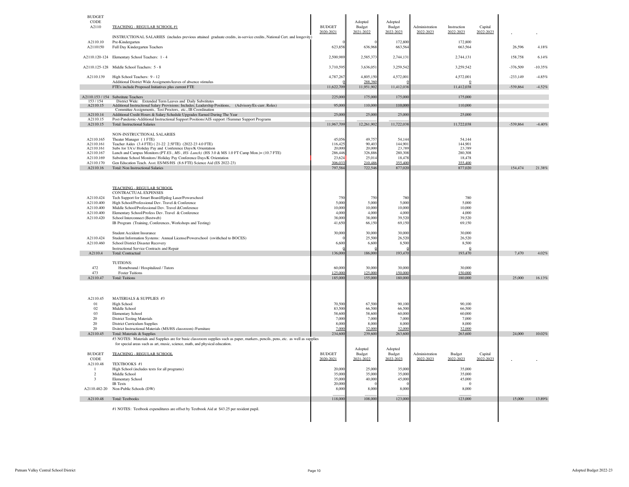| INSTRUCTIONAL SALARIES (includes previous attained graduate credits, in-service credits, National Cert. and longevity)<br>A2110.10<br>172.800<br>172.800<br>Pre-Kindergarten<br>A2110150<br>Full Day Kindergarten Teachers<br>623,858<br>636,968<br>663,564<br>663,564<br>A2110.120-124 Elementary School Teachers: 1 - 4<br>2,500,989<br>2,585,373<br>2,744,131<br>2,744,131<br>3,710,595<br>3,259,542<br>3,259,542<br>A2110.125-128 Middle School Teachers: 5 - 8<br>3,636,051<br>A2110.139<br>High School Teachers: 9 - 12<br>4,787,26<br>4,805,150<br>4,572,001<br>4,572,001<br>Additional District Wide Assigments/leaves of absence stimulus<br>288.36<br>$\overline{0}$<br>FTE's include Proposed Initiatives plus current FTE<br>11,622,70<br>11,951,902<br>11,412,038<br>11,412,038<br>225,000<br>175,000<br>175,000<br>A2110.153 / 154 Substitute Teachers<br>175,000<br>153/154<br>District Wide: Extended Term Leaves and Daily Substitutes<br>95,000<br>110,000<br>110,000<br>110,000<br>Additional Instructional Salary Provisions: Includes; Leadership Positions, (Advisory/Ex-curr. Roles)<br>A2110.15<br>Committee Assignments, Test Proctors, etc., IB Coordination<br>A2110.14<br>Additional Credit Hours & Salary Schedule Upgrades Earned During The Year<br>25,00<br>25,00<br>25,00<br>25,000<br>A2110.15<br>Post-Pandemic-Additional Instructional Support Positions/AIS support //Summer Support Programs<br>A2110.15<br>11,967,70<br>12.261.902<br>11,722,038<br>11,722,038<br><b>Total: Instructional Salaries</b><br>NON-INSTRUCTIONAL SALARIES<br>A2110.165<br>54.144<br>Theater Manager (1 FTE)<br>45.05<br>49.75<br>54.14<br>Teacher Aides (3.4 FTE) (21-22 2.5 FTE) (2022-23 4.0 FTE)<br>A2110.161<br>116,42<br>90,40<br>144,901<br>144,901<br>A2110.161<br>Subs for TA's/Holiday Pay and Conference Days/K Orientation<br>20,000<br>20,000<br>23,789<br>23,789<br>Lunch and Campus Monitors: (PT ES-, MS-, HS- Lunch) (HS 3.0 & MS 1.0 FT Camp Mon.)= (10.7 FTE)<br>286,446<br>326,886<br>280,308<br>280,308<br>A2110.167<br>A2110.169<br>Substitute School Monitors/ Holiday Pay Conference Days/K Orientation<br>23,624<br>25,014<br>18,47<br>18,478<br>Gen Education Teach. Asst. ES/MS/HS (8.6 FTE) Science Aid (ES 2022-23)<br>306.03<br>355,400<br>355,400<br>A2110.170<br>210.486<br>797,58<br>722,546<br>A2110.16<br>Total: Non Instructional Salaries<br>877,020<br>877,020<br><b>TEACHING - REGULAR SCHOOL</b><br>CONTRACTUAL EXPENSES<br>A2110.424<br>Tech Support for Smart Board/Epilog Laser/Powerschool<br>750<br>750<br>780<br>780<br>5,000<br>5,000<br>A2110.400<br>High School/Professional Dev. Travel & Conference<br>5.00<br>5.000<br>A2110.400<br>Middle School/Professional Dev. Travel &Conference<br>10,00<br>10,000<br>10,000<br>10,000<br>A2110.400<br>Elementary School/Profess Dev. Travel & Conference<br>4,00<br>4,000<br>4,000<br>4,000<br>38,000<br>38,000<br>39,520<br>39,520<br>A2110.420<br>School Interconnect (Bestweb)<br>41,650<br>69,150<br>IB Program (Training, Conferences, Workshops and Testing)<br>66,150<br>69.150<br>30,000<br>30,000<br>30.000<br>30.00<br><b>Student Accident Insurance</b><br>A2110.424<br>Student Information Systems: Annual License/Powerschool (swithched to BOCES)<br>25,50<br>26,520<br>26,520<br>A2110.460<br>School District Disaster Recovery<br>6,60<br>6,600<br>8,500<br>8,500<br>Instructional Service Contracts and Repair<br>$\Omega$<br>A2110.4<br>136,00<br>186,000<br>193,470<br>193,470<br><b>Total: Contractual</b><br>TUITIONS:<br>472<br>Homebound / Hospitalized / Tutors<br>60,000<br>30,000<br>30,000<br>30,000<br>473<br>125,000<br>125,000<br>150,000<br>150,000<br><b>Foster Tuitions</b><br>A2110.47<br>185,000<br>155,000<br>180,000<br>180,000<br><b>Total: Tuitions</b><br>A2110.45<br>MATERIALS & SUPPLIES #3<br>01<br>High School<br>70,500<br>67,500<br>90,100<br>90,100<br>83,500<br>66,500<br>02<br>Middle School<br>66.500<br>66,500<br>03<br>58,600<br>58,600<br>60,000<br>60,000<br>Elementary School<br>20<br>7,000<br>7,000<br>7,000<br><b>District Testing Materials</b><br>7,000<br>8,000<br>20<br><b>District Curriculum Supplies</b><br>8,000<br>8,000<br>8,000<br>20<br>7.000<br>32.000<br>32.000<br>32.000<br>Dsitrict Instructional Materials (MS/HS classroom) /Furniture<br>234,600<br>A2110.45<br>239,600<br>263,600<br>263,600<br>Total: Materials & Supplies<br>#3 NOTES: Materials and Supplies are for basic classroom supplies such as paper, markers, pencils, pens, etc. as well as supplies<br>for special areas such as art, music, science, math, and physical education.<br>Adopted<br>Adopted<br><b>BUDGET</b><br><b>TEACHING - REGULAR SCHOOL</b><br><b>BUDGET</b><br>Budget<br>Budget<br>Administration<br>Budget<br>Capital<br>2021-2022<br>2022-2023<br>2022-2023<br>CODE<br>2020-2021<br>2022-2023<br>2022-2023<br>A2110.48<br>TEXTBOOKS #1<br>20,000<br>25,000<br>35,000<br>35,000<br>$\overline{1}$<br>High School (includes texts for all programs)<br>$\overline{2}$<br>Middle School<br>35,000<br>35,000<br>35,000<br>35,000<br>Elementary School<br>35,000<br>40,000<br>45,000<br>45,000<br>3<br>20,000<br><b>IB</b> Texts<br>$\Omega$<br>A2110.482-20<br>Non-Public Schools (DW)<br>8,00<br>8,000<br>8,000<br>8,000 |                         | Capital<br>2022-2023 | Instruction<br>2022-2023 | Administration<br>2022-2023 | Adopted<br>Budget<br>2022-2023 | Adopted<br>Budget<br>2021-2022 | <b>BUDGET</b><br>2020-2021 | TEACHING - REGULAR SCHOOL #1 | <b>BUDGET</b><br><b>CODE</b><br>A2110 |
|-----------------------------------------------------------------------------------------------------------------------------------------------------------------------------------------------------------------------------------------------------------------------------------------------------------------------------------------------------------------------------------------------------------------------------------------------------------------------------------------------------------------------------------------------------------------------------------------------------------------------------------------------------------------------------------------------------------------------------------------------------------------------------------------------------------------------------------------------------------------------------------------------------------------------------------------------------------------------------------------------------------------------------------------------------------------------------------------------------------------------------------------------------------------------------------------------------------------------------------------------------------------------------------------------------------------------------------------------------------------------------------------------------------------------------------------------------------------------------------------------------------------------------------------------------------------------------------------------------------------------------------------------------------------------------------------------------------------------------------------------------------------------------------------------------------------------------------------------------------------------------------------------------------------------------------------------------------------------------------------------------------------------------------------------------------------------------------------------------------------------------------------------------------------------------------------------------------------------------------------------------------------------------------------------------------------------------------------------------------------------------------------------------------------------------------------------------------------------------------------------------------------------------------------------------------------------------------------------------------------------------------------------------------------------------------------------------------------------------------------------------------------------------------------------------------------------------------------------------------------------------------------------------------------------------------------------------------------------------------------------------------------------------------------------------------------------------------------------------------------------------------------------------------------------------------------------------------------------------------------------------------------------------------------------------------------------------------------------------------------------------------------------------------------------------------------------------------------------------------------------------------------------------------------------------------------------------------------------------------------------------------------------------------------------------------------------------------------------------------------------------------------------------------------------------------------------------------------------------------------------------------------------------------------------------------------------------------------------------------------------------------------------------------------------------------------------------------------------------------------------------------------------------------------------------------------------------------------------------------------------------------------------------------------------------------------------------------------------------------------------------------------------------------------------------------------------------------------------------------------------------------------------------------------------------------------------------------------------------------------------------------------------------------------------------------------------------------------------------------------------------------------------------------------------------------------------------------------------------------------------------------------------------------------------------------------------------------------------------------------------------------------------------------------------------------------------------------------------------------------------------------------------------------------------------------------------------------------------------------------------------------------------------------------------------|-------------------------|----------------------|--------------------------|-----------------------------|--------------------------------|--------------------------------|----------------------------|------------------------------|---------------------------------------|
|                                                                                                                                                                                                                                                                                                                                                                                                                                                                                                                                                                                                                                                                                                                                                                                                                                                                                                                                                                                                                                                                                                                                                                                                                                                                                                                                                                                                                                                                                                                                                                                                                                                                                                                                                                                                                                                                                                                                                                                                                                                                                                                                                                                                                                                                                                                                                                                                                                                                                                                                                                                                                                                                                                                                                                                                                                                                                                                                                                                                                                                                                                                                                                                                                                                                                                                                                                                                                                                                                                                                                                                                                                                                                                                                                                                                                                                                                                                                                                                                                                                                                                                                                                                                                                                                                                                                                                                                                                                                                                                                                                                                                                                                                                                                                                                                                                                                                                                                                                                                                                                                                                                                                                                                                                                                                                     | 26,596<br>4.18%         |                      |                          |                             |                                |                                |                            |                              |                                       |
|                                                                                                                                                                                                                                                                                                                                                                                                                                                                                                                                                                                                                                                                                                                                                                                                                                                                                                                                                                                                                                                                                                                                                                                                                                                                                                                                                                                                                                                                                                                                                                                                                                                                                                                                                                                                                                                                                                                                                                                                                                                                                                                                                                                                                                                                                                                                                                                                                                                                                                                                                                                                                                                                                                                                                                                                                                                                                                                                                                                                                                                                                                                                                                                                                                                                                                                                                                                                                                                                                                                                                                                                                                                                                                                                                                                                                                                                                                                                                                                                                                                                                                                                                                                                                                                                                                                                                                                                                                                                                                                                                                                                                                                                                                                                                                                                                                                                                                                                                                                                                                                                                                                                                                                                                                                                                                     | 158,758<br>6.14%        |                      |                          |                             |                                |                                |                            |                              |                                       |
|                                                                                                                                                                                                                                                                                                                                                                                                                                                                                                                                                                                                                                                                                                                                                                                                                                                                                                                                                                                                                                                                                                                                                                                                                                                                                                                                                                                                                                                                                                                                                                                                                                                                                                                                                                                                                                                                                                                                                                                                                                                                                                                                                                                                                                                                                                                                                                                                                                                                                                                                                                                                                                                                                                                                                                                                                                                                                                                                                                                                                                                                                                                                                                                                                                                                                                                                                                                                                                                                                                                                                                                                                                                                                                                                                                                                                                                                                                                                                                                                                                                                                                                                                                                                                                                                                                                                                                                                                                                                                                                                                                                                                                                                                                                                                                                                                                                                                                                                                                                                                                                                                                                                                                                                                                                                                                     | $-376,509$<br>$-10.35%$ |                      |                          |                             |                                |                                |                            |                              |                                       |
|                                                                                                                                                                                                                                                                                                                                                                                                                                                                                                                                                                                                                                                                                                                                                                                                                                                                                                                                                                                                                                                                                                                                                                                                                                                                                                                                                                                                                                                                                                                                                                                                                                                                                                                                                                                                                                                                                                                                                                                                                                                                                                                                                                                                                                                                                                                                                                                                                                                                                                                                                                                                                                                                                                                                                                                                                                                                                                                                                                                                                                                                                                                                                                                                                                                                                                                                                                                                                                                                                                                                                                                                                                                                                                                                                                                                                                                                                                                                                                                                                                                                                                                                                                                                                                                                                                                                                                                                                                                                                                                                                                                                                                                                                                                                                                                                                                                                                                                                                                                                                                                                                                                                                                                                                                                                                                     | $-233,149$<br>$-4.85%$  |                      |                          |                             |                                |                                |                            |                              |                                       |
|                                                                                                                                                                                                                                                                                                                                                                                                                                                                                                                                                                                                                                                                                                                                                                                                                                                                                                                                                                                                                                                                                                                                                                                                                                                                                                                                                                                                                                                                                                                                                                                                                                                                                                                                                                                                                                                                                                                                                                                                                                                                                                                                                                                                                                                                                                                                                                                                                                                                                                                                                                                                                                                                                                                                                                                                                                                                                                                                                                                                                                                                                                                                                                                                                                                                                                                                                                                                                                                                                                                                                                                                                                                                                                                                                                                                                                                                                                                                                                                                                                                                                                                                                                                                                                                                                                                                                                                                                                                                                                                                                                                                                                                                                                                                                                                                                                                                                                                                                                                                                                                                                                                                                                                                                                                                                                     | -539,864<br>$-4.52%$    |                      |                          |                             |                                |                                |                            |                              |                                       |
|                                                                                                                                                                                                                                                                                                                                                                                                                                                                                                                                                                                                                                                                                                                                                                                                                                                                                                                                                                                                                                                                                                                                                                                                                                                                                                                                                                                                                                                                                                                                                                                                                                                                                                                                                                                                                                                                                                                                                                                                                                                                                                                                                                                                                                                                                                                                                                                                                                                                                                                                                                                                                                                                                                                                                                                                                                                                                                                                                                                                                                                                                                                                                                                                                                                                                                                                                                                                                                                                                                                                                                                                                                                                                                                                                                                                                                                                                                                                                                                                                                                                                                                                                                                                                                                                                                                                                                                                                                                                                                                                                                                                                                                                                                                                                                                                                                                                                                                                                                                                                                                                                                                                                                                                                                                                                                     |                         |                      |                          |                             |                                |                                |                            |                              |                                       |
|                                                                                                                                                                                                                                                                                                                                                                                                                                                                                                                                                                                                                                                                                                                                                                                                                                                                                                                                                                                                                                                                                                                                                                                                                                                                                                                                                                                                                                                                                                                                                                                                                                                                                                                                                                                                                                                                                                                                                                                                                                                                                                                                                                                                                                                                                                                                                                                                                                                                                                                                                                                                                                                                                                                                                                                                                                                                                                                                                                                                                                                                                                                                                                                                                                                                                                                                                                                                                                                                                                                                                                                                                                                                                                                                                                                                                                                                                                                                                                                                                                                                                                                                                                                                                                                                                                                                                                                                                                                                                                                                                                                                                                                                                                                                                                                                                                                                                                                                                                                                                                                                                                                                                                                                                                                                                                     |                         |                      |                          |                             |                                |                                |                            |                              |                                       |
|                                                                                                                                                                                                                                                                                                                                                                                                                                                                                                                                                                                                                                                                                                                                                                                                                                                                                                                                                                                                                                                                                                                                                                                                                                                                                                                                                                                                                                                                                                                                                                                                                                                                                                                                                                                                                                                                                                                                                                                                                                                                                                                                                                                                                                                                                                                                                                                                                                                                                                                                                                                                                                                                                                                                                                                                                                                                                                                                                                                                                                                                                                                                                                                                                                                                                                                                                                                                                                                                                                                                                                                                                                                                                                                                                                                                                                                                                                                                                                                                                                                                                                                                                                                                                                                                                                                                                                                                                                                                                                                                                                                                                                                                                                                                                                                                                                                                                                                                                                                                                                                                                                                                                                                                                                                                                                     |                         |                      |                          |                             |                                |                                |                            |                              |                                       |
|                                                                                                                                                                                                                                                                                                                                                                                                                                                                                                                                                                                                                                                                                                                                                                                                                                                                                                                                                                                                                                                                                                                                                                                                                                                                                                                                                                                                                                                                                                                                                                                                                                                                                                                                                                                                                                                                                                                                                                                                                                                                                                                                                                                                                                                                                                                                                                                                                                                                                                                                                                                                                                                                                                                                                                                                                                                                                                                                                                                                                                                                                                                                                                                                                                                                                                                                                                                                                                                                                                                                                                                                                                                                                                                                                                                                                                                                                                                                                                                                                                                                                                                                                                                                                                                                                                                                                                                                                                                                                                                                                                                                                                                                                                                                                                                                                                                                                                                                                                                                                                                                                                                                                                                                                                                                                                     | -539.864<br>$-4.40%$    |                      |                          |                             |                                |                                |                            |                              |                                       |
|                                                                                                                                                                                                                                                                                                                                                                                                                                                                                                                                                                                                                                                                                                                                                                                                                                                                                                                                                                                                                                                                                                                                                                                                                                                                                                                                                                                                                                                                                                                                                                                                                                                                                                                                                                                                                                                                                                                                                                                                                                                                                                                                                                                                                                                                                                                                                                                                                                                                                                                                                                                                                                                                                                                                                                                                                                                                                                                                                                                                                                                                                                                                                                                                                                                                                                                                                                                                                                                                                                                                                                                                                                                                                                                                                                                                                                                                                                                                                                                                                                                                                                                                                                                                                                                                                                                                                                                                                                                                                                                                                                                                                                                                                                                                                                                                                                                                                                                                                                                                                                                                                                                                                                                                                                                                                                     |                         |                      |                          |                             |                                |                                |                            |                              |                                       |
|                                                                                                                                                                                                                                                                                                                                                                                                                                                                                                                                                                                                                                                                                                                                                                                                                                                                                                                                                                                                                                                                                                                                                                                                                                                                                                                                                                                                                                                                                                                                                                                                                                                                                                                                                                                                                                                                                                                                                                                                                                                                                                                                                                                                                                                                                                                                                                                                                                                                                                                                                                                                                                                                                                                                                                                                                                                                                                                                                                                                                                                                                                                                                                                                                                                                                                                                                                                                                                                                                                                                                                                                                                                                                                                                                                                                                                                                                                                                                                                                                                                                                                                                                                                                                                                                                                                                                                                                                                                                                                                                                                                                                                                                                                                                                                                                                                                                                                                                                                                                                                                                                                                                                                                                                                                                                                     |                         |                      |                          |                             |                                |                                |                            |                              |                                       |
|                                                                                                                                                                                                                                                                                                                                                                                                                                                                                                                                                                                                                                                                                                                                                                                                                                                                                                                                                                                                                                                                                                                                                                                                                                                                                                                                                                                                                                                                                                                                                                                                                                                                                                                                                                                                                                                                                                                                                                                                                                                                                                                                                                                                                                                                                                                                                                                                                                                                                                                                                                                                                                                                                                                                                                                                                                                                                                                                                                                                                                                                                                                                                                                                                                                                                                                                                                                                                                                                                                                                                                                                                                                                                                                                                                                                                                                                                                                                                                                                                                                                                                                                                                                                                                                                                                                                                                                                                                                                                                                                                                                                                                                                                                                                                                                                                                                                                                                                                                                                                                                                                                                                                                                                                                                                                                     |                         |                      |                          |                             |                                |                                |                            |                              |                                       |
|                                                                                                                                                                                                                                                                                                                                                                                                                                                                                                                                                                                                                                                                                                                                                                                                                                                                                                                                                                                                                                                                                                                                                                                                                                                                                                                                                                                                                                                                                                                                                                                                                                                                                                                                                                                                                                                                                                                                                                                                                                                                                                                                                                                                                                                                                                                                                                                                                                                                                                                                                                                                                                                                                                                                                                                                                                                                                                                                                                                                                                                                                                                                                                                                                                                                                                                                                                                                                                                                                                                                                                                                                                                                                                                                                                                                                                                                                                                                                                                                                                                                                                                                                                                                                                                                                                                                                                                                                                                                                                                                                                                                                                                                                                                                                                                                                                                                                                                                                                                                                                                                                                                                                                                                                                                                                                     | 154,474<br>$21.38\%$    |                      |                          |                             |                                |                                |                            |                              |                                       |
|                                                                                                                                                                                                                                                                                                                                                                                                                                                                                                                                                                                                                                                                                                                                                                                                                                                                                                                                                                                                                                                                                                                                                                                                                                                                                                                                                                                                                                                                                                                                                                                                                                                                                                                                                                                                                                                                                                                                                                                                                                                                                                                                                                                                                                                                                                                                                                                                                                                                                                                                                                                                                                                                                                                                                                                                                                                                                                                                                                                                                                                                                                                                                                                                                                                                                                                                                                                                                                                                                                                                                                                                                                                                                                                                                                                                                                                                                                                                                                                                                                                                                                                                                                                                                                                                                                                                                                                                                                                                                                                                                                                                                                                                                                                                                                                                                                                                                                                                                                                                                                                                                                                                                                                                                                                                                                     |                         |                      |                          |                             |                                |                                |                            |                              |                                       |
|                                                                                                                                                                                                                                                                                                                                                                                                                                                                                                                                                                                                                                                                                                                                                                                                                                                                                                                                                                                                                                                                                                                                                                                                                                                                                                                                                                                                                                                                                                                                                                                                                                                                                                                                                                                                                                                                                                                                                                                                                                                                                                                                                                                                                                                                                                                                                                                                                                                                                                                                                                                                                                                                                                                                                                                                                                                                                                                                                                                                                                                                                                                                                                                                                                                                                                                                                                                                                                                                                                                                                                                                                                                                                                                                                                                                                                                                                                                                                                                                                                                                                                                                                                                                                                                                                                                                                                                                                                                                                                                                                                                                                                                                                                                                                                                                                                                                                                                                                                                                                                                                                                                                                                                                                                                                                                     |                         |                      |                          |                             |                                |                                |                            |                              |                                       |
|                                                                                                                                                                                                                                                                                                                                                                                                                                                                                                                                                                                                                                                                                                                                                                                                                                                                                                                                                                                                                                                                                                                                                                                                                                                                                                                                                                                                                                                                                                                                                                                                                                                                                                                                                                                                                                                                                                                                                                                                                                                                                                                                                                                                                                                                                                                                                                                                                                                                                                                                                                                                                                                                                                                                                                                                                                                                                                                                                                                                                                                                                                                                                                                                                                                                                                                                                                                                                                                                                                                                                                                                                                                                                                                                                                                                                                                                                                                                                                                                                                                                                                                                                                                                                                                                                                                                                                                                                                                                                                                                                                                                                                                                                                                                                                                                                                                                                                                                                                                                                                                                                                                                                                                                                                                                                                     |                         |                      |                          |                             |                                |                                |                            |                              |                                       |
|                                                                                                                                                                                                                                                                                                                                                                                                                                                                                                                                                                                                                                                                                                                                                                                                                                                                                                                                                                                                                                                                                                                                                                                                                                                                                                                                                                                                                                                                                                                                                                                                                                                                                                                                                                                                                                                                                                                                                                                                                                                                                                                                                                                                                                                                                                                                                                                                                                                                                                                                                                                                                                                                                                                                                                                                                                                                                                                                                                                                                                                                                                                                                                                                                                                                                                                                                                                                                                                                                                                                                                                                                                                                                                                                                                                                                                                                                                                                                                                                                                                                                                                                                                                                                                                                                                                                                                                                                                                                                                                                                                                                                                                                                                                                                                                                                                                                                                                                                                                                                                                                                                                                                                                                                                                                                                     |                         |                      |                          |                             |                                |                                |                            |                              |                                       |
|                                                                                                                                                                                                                                                                                                                                                                                                                                                                                                                                                                                                                                                                                                                                                                                                                                                                                                                                                                                                                                                                                                                                                                                                                                                                                                                                                                                                                                                                                                                                                                                                                                                                                                                                                                                                                                                                                                                                                                                                                                                                                                                                                                                                                                                                                                                                                                                                                                                                                                                                                                                                                                                                                                                                                                                                                                                                                                                                                                                                                                                                                                                                                                                                                                                                                                                                                                                                                                                                                                                                                                                                                                                                                                                                                                                                                                                                                                                                                                                                                                                                                                                                                                                                                                                                                                                                                                                                                                                                                                                                                                                                                                                                                                                                                                                                                                                                                                                                                                                                                                                                                                                                                                                                                                                                                                     |                         |                      |                          |                             |                                |                                |                            |                              |                                       |
|                                                                                                                                                                                                                                                                                                                                                                                                                                                                                                                                                                                                                                                                                                                                                                                                                                                                                                                                                                                                                                                                                                                                                                                                                                                                                                                                                                                                                                                                                                                                                                                                                                                                                                                                                                                                                                                                                                                                                                                                                                                                                                                                                                                                                                                                                                                                                                                                                                                                                                                                                                                                                                                                                                                                                                                                                                                                                                                                                                                                                                                                                                                                                                                                                                                                                                                                                                                                                                                                                                                                                                                                                                                                                                                                                                                                                                                                                                                                                                                                                                                                                                                                                                                                                                                                                                                                                                                                                                                                                                                                                                                                                                                                                                                                                                                                                                                                                                                                                                                                                                                                                                                                                                                                                                                                                                     |                         |                      |                          |                             |                                |                                |                            |                              |                                       |
|                                                                                                                                                                                                                                                                                                                                                                                                                                                                                                                                                                                                                                                                                                                                                                                                                                                                                                                                                                                                                                                                                                                                                                                                                                                                                                                                                                                                                                                                                                                                                                                                                                                                                                                                                                                                                                                                                                                                                                                                                                                                                                                                                                                                                                                                                                                                                                                                                                                                                                                                                                                                                                                                                                                                                                                                                                                                                                                                                                                                                                                                                                                                                                                                                                                                                                                                                                                                                                                                                                                                                                                                                                                                                                                                                                                                                                                                                                                                                                                                                                                                                                                                                                                                                                                                                                                                                                                                                                                                                                                                                                                                                                                                                                                                                                                                                                                                                                                                                                                                                                                                                                                                                                                                                                                                                                     | 4.02%<br>7,470          |                      |                          |                             |                                |                                |                            |                              |                                       |
|                                                                                                                                                                                                                                                                                                                                                                                                                                                                                                                                                                                                                                                                                                                                                                                                                                                                                                                                                                                                                                                                                                                                                                                                                                                                                                                                                                                                                                                                                                                                                                                                                                                                                                                                                                                                                                                                                                                                                                                                                                                                                                                                                                                                                                                                                                                                                                                                                                                                                                                                                                                                                                                                                                                                                                                                                                                                                                                                                                                                                                                                                                                                                                                                                                                                                                                                                                                                                                                                                                                                                                                                                                                                                                                                                                                                                                                                                                                                                                                                                                                                                                                                                                                                                                                                                                                                                                                                                                                                                                                                                                                                                                                                                                                                                                                                                                                                                                                                                                                                                                                                                                                                                                                                                                                                                                     |                         |                      |                          |                             |                                |                                |                            |                              |                                       |
|                                                                                                                                                                                                                                                                                                                                                                                                                                                                                                                                                                                                                                                                                                                                                                                                                                                                                                                                                                                                                                                                                                                                                                                                                                                                                                                                                                                                                                                                                                                                                                                                                                                                                                                                                                                                                                                                                                                                                                                                                                                                                                                                                                                                                                                                                                                                                                                                                                                                                                                                                                                                                                                                                                                                                                                                                                                                                                                                                                                                                                                                                                                                                                                                                                                                                                                                                                                                                                                                                                                                                                                                                                                                                                                                                                                                                                                                                                                                                                                                                                                                                                                                                                                                                                                                                                                                                                                                                                                                                                                                                                                                                                                                                                                                                                                                                                                                                                                                                                                                                                                                                                                                                                                                                                                                                                     |                         |                      |                          |                             |                                |                                |                            |                              |                                       |
|                                                                                                                                                                                                                                                                                                                                                                                                                                                                                                                                                                                                                                                                                                                                                                                                                                                                                                                                                                                                                                                                                                                                                                                                                                                                                                                                                                                                                                                                                                                                                                                                                                                                                                                                                                                                                                                                                                                                                                                                                                                                                                                                                                                                                                                                                                                                                                                                                                                                                                                                                                                                                                                                                                                                                                                                                                                                                                                                                                                                                                                                                                                                                                                                                                                                                                                                                                                                                                                                                                                                                                                                                                                                                                                                                                                                                                                                                                                                                                                                                                                                                                                                                                                                                                                                                                                                                                                                                                                                                                                                                                                                                                                                                                                                                                                                                                                                                                                                                                                                                                                                                                                                                                                                                                                                                                     | 25,000<br>16.13%        |                      |                          |                             |                                |                                |                            |                              |                                       |
|                                                                                                                                                                                                                                                                                                                                                                                                                                                                                                                                                                                                                                                                                                                                                                                                                                                                                                                                                                                                                                                                                                                                                                                                                                                                                                                                                                                                                                                                                                                                                                                                                                                                                                                                                                                                                                                                                                                                                                                                                                                                                                                                                                                                                                                                                                                                                                                                                                                                                                                                                                                                                                                                                                                                                                                                                                                                                                                                                                                                                                                                                                                                                                                                                                                                                                                                                                                                                                                                                                                                                                                                                                                                                                                                                                                                                                                                                                                                                                                                                                                                                                                                                                                                                                                                                                                                                                                                                                                                                                                                                                                                                                                                                                                                                                                                                                                                                                                                                                                                                                                                                                                                                                                                                                                                                                     |                         |                      |                          |                             |                                |                                |                            |                              |                                       |
|                                                                                                                                                                                                                                                                                                                                                                                                                                                                                                                                                                                                                                                                                                                                                                                                                                                                                                                                                                                                                                                                                                                                                                                                                                                                                                                                                                                                                                                                                                                                                                                                                                                                                                                                                                                                                                                                                                                                                                                                                                                                                                                                                                                                                                                                                                                                                                                                                                                                                                                                                                                                                                                                                                                                                                                                                                                                                                                                                                                                                                                                                                                                                                                                                                                                                                                                                                                                                                                                                                                                                                                                                                                                                                                                                                                                                                                                                                                                                                                                                                                                                                                                                                                                                                                                                                                                                                                                                                                                                                                                                                                                                                                                                                                                                                                                                                                                                                                                                                                                                                                                                                                                                                                                                                                                                                     |                         |                      |                          |                             |                                |                                |                            |                              |                                       |
|                                                                                                                                                                                                                                                                                                                                                                                                                                                                                                                                                                                                                                                                                                                                                                                                                                                                                                                                                                                                                                                                                                                                                                                                                                                                                                                                                                                                                                                                                                                                                                                                                                                                                                                                                                                                                                                                                                                                                                                                                                                                                                                                                                                                                                                                                                                                                                                                                                                                                                                                                                                                                                                                                                                                                                                                                                                                                                                                                                                                                                                                                                                                                                                                                                                                                                                                                                                                                                                                                                                                                                                                                                                                                                                                                                                                                                                                                                                                                                                                                                                                                                                                                                                                                                                                                                                                                                                                                                                                                                                                                                                                                                                                                                                                                                                                                                                                                                                                                                                                                                                                                                                                                                                                                                                                                                     |                         |                      |                          |                             |                                |                                |                            |                              |                                       |
|                                                                                                                                                                                                                                                                                                                                                                                                                                                                                                                                                                                                                                                                                                                                                                                                                                                                                                                                                                                                                                                                                                                                                                                                                                                                                                                                                                                                                                                                                                                                                                                                                                                                                                                                                                                                                                                                                                                                                                                                                                                                                                                                                                                                                                                                                                                                                                                                                                                                                                                                                                                                                                                                                                                                                                                                                                                                                                                                                                                                                                                                                                                                                                                                                                                                                                                                                                                                                                                                                                                                                                                                                                                                                                                                                                                                                                                                                                                                                                                                                                                                                                                                                                                                                                                                                                                                                                                                                                                                                                                                                                                                                                                                                                                                                                                                                                                                                                                                                                                                                                                                                                                                                                                                                                                                                                     |                         |                      |                          |                             |                                |                                |                            |                              |                                       |
|                                                                                                                                                                                                                                                                                                                                                                                                                                                                                                                                                                                                                                                                                                                                                                                                                                                                                                                                                                                                                                                                                                                                                                                                                                                                                                                                                                                                                                                                                                                                                                                                                                                                                                                                                                                                                                                                                                                                                                                                                                                                                                                                                                                                                                                                                                                                                                                                                                                                                                                                                                                                                                                                                                                                                                                                                                                                                                                                                                                                                                                                                                                                                                                                                                                                                                                                                                                                                                                                                                                                                                                                                                                                                                                                                                                                                                                                                                                                                                                                                                                                                                                                                                                                                                                                                                                                                                                                                                                                                                                                                                                                                                                                                                                                                                                                                                                                                                                                                                                                                                                                                                                                                                                                                                                                                                     |                         |                      |                          |                             |                                |                                |                            |                              |                                       |
|                                                                                                                                                                                                                                                                                                                                                                                                                                                                                                                                                                                                                                                                                                                                                                                                                                                                                                                                                                                                                                                                                                                                                                                                                                                                                                                                                                                                                                                                                                                                                                                                                                                                                                                                                                                                                                                                                                                                                                                                                                                                                                                                                                                                                                                                                                                                                                                                                                                                                                                                                                                                                                                                                                                                                                                                                                                                                                                                                                                                                                                                                                                                                                                                                                                                                                                                                                                                                                                                                                                                                                                                                                                                                                                                                                                                                                                                                                                                                                                                                                                                                                                                                                                                                                                                                                                                                                                                                                                                                                                                                                                                                                                                                                                                                                                                                                                                                                                                                                                                                                                                                                                                                                                                                                                                                                     | 24,000<br>10.02%        |                      |                          |                             |                                |                                |                            |                              |                                       |
|                                                                                                                                                                                                                                                                                                                                                                                                                                                                                                                                                                                                                                                                                                                                                                                                                                                                                                                                                                                                                                                                                                                                                                                                                                                                                                                                                                                                                                                                                                                                                                                                                                                                                                                                                                                                                                                                                                                                                                                                                                                                                                                                                                                                                                                                                                                                                                                                                                                                                                                                                                                                                                                                                                                                                                                                                                                                                                                                                                                                                                                                                                                                                                                                                                                                                                                                                                                                                                                                                                                                                                                                                                                                                                                                                                                                                                                                                                                                                                                                                                                                                                                                                                                                                                                                                                                                                                                                                                                                                                                                                                                                                                                                                                                                                                                                                                                                                                                                                                                                                                                                                                                                                                                                                                                                                                     |                         |                      |                          |                             |                                |                                |                            |                              |                                       |
|                                                                                                                                                                                                                                                                                                                                                                                                                                                                                                                                                                                                                                                                                                                                                                                                                                                                                                                                                                                                                                                                                                                                                                                                                                                                                                                                                                                                                                                                                                                                                                                                                                                                                                                                                                                                                                                                                                                                                                                                                                                                                                                                                                                                                                                                                                                                                                                                                                                                                                                                                                                                                                                                                                                                                                                                                                                                                                                                                                                                                                                                                                                                                                                                                                                                                                                                                                                                                                                                                                                                                                                                                                                                                                                                                                                                                                                                                                                                                                                                                                                                                                                                                                                                                                                                                                                                                                                                                                                                                                                                                                                                                                                                                                                                                                                                                                                                                                                                                                                                                                                                                                                                                                                                                                                                                                     |                         |                      |                          |                             |                                |                                |                            |                              |                                       |
|                                                                                                                                                                                                                                                                                                                                                                                                                                                                                                                                                                                                                                                                                                                                                                                                                                                                                                                                                                                                                                                                                                                                                                                                                                                                                                                                                                                                                                                                                                                                                                                                                                                                                                                                                                                                                                                                                                                                                                                                                                                                                                                                                                                                                                                                                                                                                                                                                                                                                                                                                                                                                                                                                                                                                                                                                                                                                                                                                                                                                                                                                                                                                                                                                                                                                                                                                                                                                                                                                                                                                                                                                                                                                                                                                                                                                                                                                                                                                                                                                                                                                                                                                                                                                                                                                                                                                                                                                                                                                                                                                                                                                                                                                                                                                                                                                                                                                                                                                                                                                                                                                                                                                                                                                                                                                                     |                         |                      |                          |                             |                                |                                |                            |                              |                                       |
|                                                                                                                                                                                                                                                                                                                                                                                                                                                                                                                                                                                                                                                                                                                                                                                                                                                                                                                                                                                                                                                                                                                                                                                                                                                                                                                                                                                                                                                                                                                                                                                                                                                                                                                                                                                                                                                                                                                                                                                                                                                                                                                                                                                                                                                                                                                                                                                                                                                                                                                                                                                                                                                                                                                                                                                                                                                                                                                                                                                                                                                                                                                                                                                                                                                                                                                                                                                                                                                                                                                                                                                                                                                                                                                                                                                                                                                                                                                                                                                                                                                                                                                                                                                                                                                                                                                                                                                                                                                                                                                                                                                                                                                                                                                                                                                                                                                                                                                                                                                                                                                                                                                                                                                                                                                                                                     |                         |                      |                          |                             |                                |                                |                            |                              |                                       |
|                                                                                                                                                                                                                                                                                                                                                                                                                                                                                                                                                                                                                                                                                                                                                                                                                                                                                                                                                                                                                                                                                                                                                                                                                                                                                                                                                                                                                                                                                                                                                                                                                                                                                                                                                                                                                                                                                                                                                                                                                                                                                                                                                                                                                                                                                                                                                                                                                                                                                                                                                                                                                                                                                                                                                                                                                                                                                                                                                                                                                                                                                                                                                                                                                                                                                                                                                                                                                                                                                                                                                                                                                                                                                                                                                                                                                                                                                                                                                                                                                                                                                                                                                                                                                                                                                                                                                                                                                                                                                                                                                                                                                                                                                                                                                                                                                                                                                                                                                                                                                                                                                                                                                                                                                                                                                                     |                         |                      |                          |                             |                                |                                |                            |                              |                                       |
|                                                                                                                                                                                                                                                                                                                                                                                                                                                                                                                                                                                                                                                                                                                                                                                                                                                                                                                                                                                                                                                                                                                                                                                                                                                                                                                                                                                                                                                                                                                                                                                                                                                                                                                                                                                                                                                                                                                                                                                                                                                                                                                                                                                                                                                                                                                                                                                                                                                                                                                                                                                                                                                                                                                                                                                                                                                                                                                                                                                                                                                                                                                                                                                                                                                                                                                                                                                                                                                                                                                                                                                                                                                                                                                                                                                                                                                                                                                                                                                                                                                                                                                                                                                                                                                                                                                                                                                                                                                                                                                                                                                                                                                                                                                                                                                                                                                                                                                                                                                                                                                                                                                                                                                                                                                                                                     |                         |                      |                          |                             |                                |                                |                            |                              |                                       |
|                                                                                                                                                                                                                                                                                                                                                                                                                                                                                                                                                                                                                                                                                                                                                                                                                                                                                                                                                                                                                                                                                                                                                                                                                                                                                                                                                                                                                                                                                                                                                                                                                                                                                                                                                                                                                                                                                                                                                                                                                                                                                                                                                                                                                                                                                                                                                                                                                                                                                                                                                                                                                                                                                                                                                                                                                                                                                                                                                                                                                                                                                                                                                                                                                                                                                                                                                                                                                                                                                                                                                                                                                                                                                                                                                                                                                                                                                                                                                                                                                                                                                                                                                                                                                                                                                                                                                                                                                                                                                                                                                                                                                                                                                                                                                                                                                                                                                                                                                                                                                                                                                                                                                                                                                                                                                                     |                         |                      |                          |                             |                                |                                |                            |                              |                                       |
| 118,000<br>108,000<br>123,000<br>123,000<br>A2110.48<br><b>Total: Textbooks</b>                                                                                                                                                                                                                                                                                                                                                                                                                                                                                                                                                                                                                                                                                                                                                                                                                                                                                                                                                                                                                                                                                                                                                                                                                                                                                                                                                                                                                                                                                                                                                                                                                                                                                                                                                                                                                                                                                                                                                                                                                                                                                                                                                                                                                                                                                                                                                                                                                                                                                                                                                                                                                                                                                                                                                                                                                                                                                                                                                                                                                                                                                                                                                                                                                                                                                                                                                                                                                                                                                                                                                                                                                                                                                                                                                                                                                                                                                                                                                                                                                                                                                                                                                                                                                                                                                                                                                                                                                                                                                                                                                                                                                                                                                                                                                                                                                                                                                                                                                                                                                                                                                                                                                                                                                     | 15.000<br>13.89%        |                      |                          |                             |                                |                                |                            |                              |                                       |
| #1 NOTES: Textbook expenditures are offset by Textbook Aid at \$43.25 per resident pupil.                                                                                                                                                                                                                                                                                                                                                                                                                                                                                                                                                                                                                                                                                                                                                                                                                                                                                                                                                                                                                                                                                                                                                                                                                                                                                                                                                                                                                                                                                                                                                                                                                                                                                                                                                                                                                                                                                                                                                                                                                                                                                                                                                                                                                                                                                                                                                                                                                                                                                                                                                                                                                                                                                                                                                                                                                                                                                                                                                                                                                                                                                                                                                                                                                                                                                                                                                                                                                                                                                                                                                                                                                                                                                                                                                                                                                                                                                                                                                                                                                                                                                                                                                                                                                                                                                                                                                                                                                                                                                                                                                                                                                                                                                                                                                                                                                                                                                                                                                                                                                                                                                                                                                                                                           |                         |                      |                          |                             |                                |                                |                            |                              |                                       |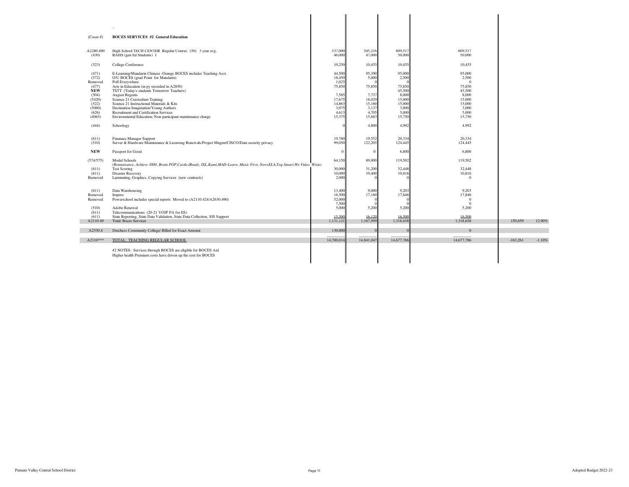|                     | $\ldots$                                                                                                                                        |                  |                   |                   |                    |            |           |
|---------------------|-------------------------------------------------------------------------------------------------------------------------------------------------|------------------|-------------------|-------------------|--------------------|------------|-----------|
| $(Coser \#)$        | <b>BOCES SERVICES #2 General Education</b>                                                                                                      |                  |                   |                   |                    |            |           |
| A2280.490           | High School TECH CENTER Regular Course: (50) 3 year avg.                                                                                        | 537,000          | 545,216           | 609,517           | 609.517            |            |           |
| (430)               | RAHS (gen Ed Students) 1                                                                                                                        | 46,000           | 47,000            | 50,000            | 50,000             |            |           |
| (523)               | College Conference                                                                                                                              | 10,250           | 10.455            | 10,455            | 10.455             |            |           |
| (471)<br>(572)      | E-Learning/Mandarin Chinese -Orange BOCES includes Teaching Asst.<br>O/U BOCES (grad Point for Mandarin)                                        | 44,500<br>18,450 | 95.390<br>5.000   | 95,000<br>2,500   | 95,000<br>2,500    |            |           |
| Removed             | Poll Everywhere                                                                                                                                 | 1,025            |                   |                   | $\Omega$           |            |           |
| (477)               | Arts in Education (in py recorded in A2850)                                                                                                     | 75,850           | 75,850            | 75,850            | 75,850             |            |           |
| <b>NEW</b><br>(504) | TSTT (Today's students Tomorrow Teachers)<br><b>August Regents</b>                                                                              | 7,585            | 7,737             | 45,500<br>8,000   | 45,500<br>8,000    |            |           |
| (5420)              | Science 21 Curriculum Training                                                                                                                  | 17,675           | 18.029            | 15,000            | 15,000             |            |           |
| (522)               | Science 21 Instructional Materials & Kits                                                                                                       | 14,863           | 15,160            | 15,000            | 15,000             |            |           |
| (5060)              | Destination Imagination/Young Authors                                                                                                           | 3,075            | 3,137             | 3,000             | 3,000              |            |           |
| (626)<br>(4065)     | Recruitment and Certification Services<br>Environmental Education; Non-participant maintenance charge                                           | 4,613<br>15,375  | 4.705<br>15,683   | 5,000<br>15,750   | 5.000<br>15,750    |            |           |
|                     |                                                                                                                                                 |                  |                   |                   |                    |            |           |
| (444)               | Schoology                                                                                                                                       |                  | 4.800             | 4.992             | 4.992              |            |           |
|                     |                                                                                                                                                 |                  |                   |                   |                    |            |           |
| (611)<br>(510)      | Finanace Manager Support<br>Server & Hardware Maintenance & Licensing Renewals/Project Mngmt/CISCO/Data security privacy                        | 19,760<br>99,050 | 19,552<br>122,205 | 20.334<br>124,445 | 20,334<br>124,445  |            |           |
|                     |                                                                                                                                                 |                  |                   |                   |                    |            |           |
| <b>NEW</b>          | Passport for Good                                                                                                                               | $\Omega$         | $\Omega$          | 6,800             | 6.800              |            |           |
| (574/575)           | Model Schools                                                                                                                                   | 64,150           | 89,000            | 119,502           | 119,502            |            |           |
| (611)               | (Rennaisance, Achieve 3000, Brain POP,Castle,iReady, IXL,Kami,MAD-Learn, Music First, NewsELA,Teq-Smart,We Video, Wixie)<br><b>Test Scoring</b> | 30,000           | 31.200            | 32,448            | 32,448             |            |           |
| (611)               | Disaster Recovery                                                                                                                               | 10,000           | 10,400            | 10,816            | 10,816             |            |           |
| Removed             | Laminating, Graphics, Copying Services (new contracts)                                                                                          | 2,000            |                   |                   | $\bf{0}$           |            |           |
|                     |                                                                                                                                                 |                  |                   |                   |                    |            |           |
| (611)               | Data Warehousing                                                                                                                                | 13,400           | 9.000             | 9.203             | 9.203              |            |           |
| Removed<br>Removed  | Impero                                                                                                                                          | 16,500<br>52,000 | 17,160            | 17,846            | 17,846<br>$\Omega$ |            |           |
|                     | Powerschool includes special reports Moved to (A2110.424/A2630.490)                                                                             | 7,500            |                   |                   | $\Omega$           |            |           |
| (510)               | Adobe Renewal                                                                                                                                   | 5,000            | 5,200             | 5,200             | 5,200              |            |           |
| (611)               | Telecommunications (20-21 VOIP PA for ES)                                                                                                       |                  |                   |                   |                    |            |           |
| (611)               | State Reporting, State Data Validation, State Data Collection, SIS Support                                                                      | 15,500           | 16.120            | 16,500            | 16.500             |            |           |
| A2110.49            | <b>Total: Boces Services</b>                                                                                                                    | 1,131,121        | 1,167,999         | 1,318,658         | 1,318,658          | 150,659    | 12.90%    |
| A2330.4             | Dutchess Community College/ Billed for Exact Amount                                                                                             | 130,000          |                   |                   | $\overline{0}$     |            |           |
| $A2110***$          | TOTAL: TEACHING REGULAR SCHOOL                                                                                                                  | 14,700,014       | 14,841,047        | 14,677,786        | 14,677,786         | $-163.261$ | $-1.10\%$ |
|                     | #2 NOTES: Services through BOCES are eligible for BOCES Aid                                                                                     |                  |                   |                   |                    |            |           |
|                     | Higher health Premium costs have driven up the cost for BOCES                                                                                   |                  |                   |                   |                    |            |           |
|                     |                                                                                                                                                 |                  |                   |                   |                    |            |           |
|                     |                                                                                                                                                 |                  |                   |                   |                    |            |           |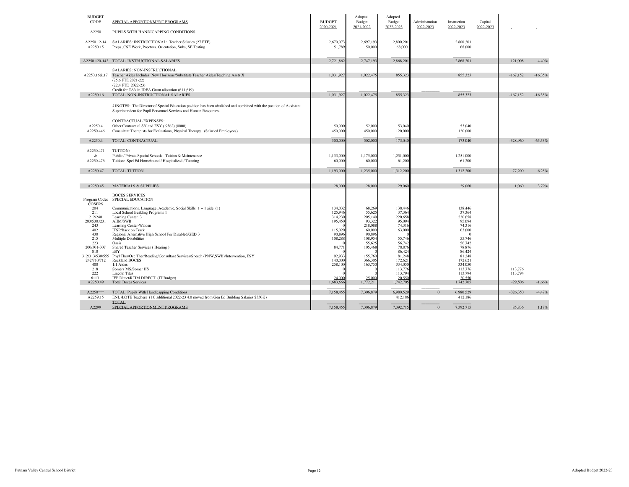| <b>BUDGET</b><br>CODE          | SPECIAL APPORTIONMENT PROGRAMS                                                                                                                                                                                                 | <b>BUDGET</b>       | Adopted<br>Budget   | Adopted<br>Budget   | Administration | Instruction         | Capital   |            |           |
|--------------------------------|--------------------------------------------------------------------------------------------------------------------------------------------------------------------------------------------------------------------------------|---------------------|---------------------|---------------------|----------------|---------------------|-----------|------------|-----------|
| A2250                          | PUPILS WITH HANDICAPPING CONDITIONS                                                                                                                                                                                            | 2020-2021           | 2021-2022           | 2022-2023           | 2022-2023      | 2022-2023           | 2022-2023 |            |           |
| A2250.12-14<br>A2250.15        | SALARIES: INSTRUCTIONAL: Teacher Salaries (27.FTE)<br>Preps, CSE Work, Proctors, Orientation, Subs, SE Testing                                                                                                                 | 2,670,073<br>51,789 | 2,697,193<br>50,000 | 2,800,201<br>68,000 |                | 2,800,201<br>68,000 |           |            |           |
|                                | A2250.120-142 TOTAL: INSTRUCTIONAL SALARIES                                                                                                                                                                                    | 2,721,862           | 2,747,193           | 2,868,20            |                | 2,868,201           |           | 121,008    | 4.40%     |
|                                | SALARIES: NON-INSTRUCTIONAL<br>A2250.16&.17 Teacher Aides Includes: New Horizons/Substitute Teacher Aides/Teaching Assts.X<br>$(25.6$ FTE 2021-22)<br>(22.4 FTE 2022-23)<br>Credit for TA's in IDEA Grant allocation (611,619) | 1,031,927           | 1,022,475           | 855.32              |                | 855.323             |           | $-167,152$ | $-16.35%$ |
| A2250.16                       | TOTAL: NON-INSTRUCTIONAL SALARIES                                                                                                                                                                                              | 1,031,927           | 1,022,47            | 855,32              |                | 855,323             |           | $-167,152$ | $-16.35%$ |
|                                | #1NOTES: The Director of Special Education position has been abolished and combined with the position of Assistant<br>Superintendent for Pupil Personnel Services and Human Resources.<br>CONTRACTUAL EXPENSES:                |                     |                     |                     |                |                     |           |            |           |
| A2250.4                        | Other Contractual SY and ESY (9562) (0000)                                                                                                                                                                                     | 50,000              | 52,000              | 53,040              |                | 53,040              |           |            |           |
| A2250.446                      | Consultant Therapists for Evaluations, Physical Therapy, (Salaried Employees)                                                                                                                                                  | 450,000             | 450,000             | 120,000             |                | 120,000             |           |            |           |
| A2250.4                        | TOTAL: CONTRACTUAL                                                                                                                                                                                                             | 500,000             | 502,000             | 173,040             |                | 173,040             |           | $-328,960$ | $-65.53%$ |
| A2250.471                      | TUITION:                                                                                                                                                                                                                       |                     |                     |                     |                |                     |           |            |           |
| &                              | Public / Private Special Schools: Tuition & Maintenance                                                                                                                                                                        | 1,133,000           | 1,175,000           | 1,251,000           |                | 1,251,000           |           |            |           |
| A2250.476                      | Tuition: Spcl Ed Homebound / Hospitalized / Tutoring                                                                                                                                                                           | 60,000              | 60,000              | 61,200              |                | 61,200              |           |            |           |
| A2250.47                       | TOTAL: TUITION                                                                                                                                                                                                                 | 1,193,000           | 1,235,000           | 1,312,200           |                | 1,312,200           |           | 77,200     | 6.25%     |
|                                |                                                                                                                                                                                                                                |                     |                     |                     |                |                     |           |            |           |
| A2250.45                       | <b>MATERIALS &amp; SUPPLIES</b>                                                                                                                                                                                                | 28,000              | 28,000              | 29,060              |                | 29,060              |           | 1.060      | 3.79%     |
| Program Codes<br>COSERS        | <b>BOCES SERVICES</b><br>SPECIAL EDUCATION                                                                                                                                                                                     |                     |                     |                     |                |                     |           |            |           |
| 204                            | Communications, Language, Academic, Social Skills 1 + 1 aide (1)                                                                                                                                                               | 134,032             | 68,269              | 138,446             |                | 138,446             |           |            |           |
| 211<br>212/240                 | Local School Building Programs 1<br>Learning Center 3                                                                                                                                                                          | 125,946<br>314,230  | 55,625<br>205,149   | 37,364<br>220,658   |                | 37,364<br>220,658   |           |            |           |
| 203/530./231                   | AIIM/SWB                                                                                                                                                                                                                       | 195,450             | 93,322              | 95,094              |                | 95,094              |           |            |           |
| 243<br>402                     | Learning Center-Walden<br><b>ITSP/Back on Track</b>                                                                                                                                                                            | 115,020             | 218,088<br>60,000   | 74,316<br>63,000    |                | 74,316<br>63,000    |           |            |           |
| 430                            | Regional Alternative High School For Disabled/GED 3                                                                                                                                                                            | 90,896              | 90,896              |                     |                | $\Omega$            |           |            |           |
| 215<br>223                     | Multiple Disabilities                                                                                                                                                                                                          | 108,288             | 108,954<br>55.625   | 55,746              |                | 55,746              |           |            |           |
| 200/301-307                    | Oasis<br>Shared Teacher Services (Hearing)                                                                                                                                                                                     | 84,77               | 105,468             | 56,74<br>78,87      |                | 56,742<br>78,876    |           |            |           |
| 810                            | <b>ESY</b>                                                                                                                                                                                                                     |                     |                     | 86,42               |                | 86,424              |           |            |           |
| 312/313/530/555<br>242/710/712 | Phyl Ther/Occ Ther/Reading/Consultant Services/Speech (PNW,SWB)/Intervention, ESY<br>Rockland BOCES                                                                                                                            | 92.933<br>140,000   | 155,760<br>366,305  | 81,248<br>172,62    |                | 81,248<br>172,621   |           |            |           |
| 400                            | 1:1 Aides                                                                                                                                                                                                                      | 258,100             | 163,750             | 334.05              |                | 334,050             |           |            |           |
| 218<br>222                     | Somers MS/Somer HS                                                                                                                                                                                                             |                     |                     | 113,776             |                | 113,776             |           | 113,776    |           |
| 6113                           | Lincoln Titus<br>IEP Direct/RTIM DIRECT (IT Budget)                                                                                                                                                                            | 24,000              | 25,000              | 113,794<br>20.550   |                | 113,794<br>20.550   |           | 113,794    |           |
| A2250.49                       | <b>Total: Boces Services</b>                                                                                                                                                                                                   | 1,683,666           | 1,772,211           | 1,742,70            |                | 1,742,705           |           | $-29,506$  | $-1.66%$  |
| A2250***                       | TOTAL: Pupils With Handicapping Conditions                                                                                                                                                                                     | 7,158,455           | 7,306,879           | 6,980,529           | $\mathbf{0}$   | 6,980,529           |           | $-326,350$ | $-4.47%$  |
| A2259.15                       | ENL /LOTE Teachers (1.0 additional 2022-23 4.0 moved from Gen Ed Building Salaries \$350K)                                                                                                                                     |                     |                     | 412,186             |                | 412,186             |           |            |           |
|                                | TOTAL:                                                                                                                                                                                                                         |                     |                     |                     |                |                     |           |            |           |
| A2299                          | SPECIAL APPORTIONMENT PROGRAMS                                                                                                                                                                                                 | 7,158,455           | 7,306,879           | 7,392,715           | $\mathbf{0}$   | 7,392,715           |           | 85,836     | 1.17%     |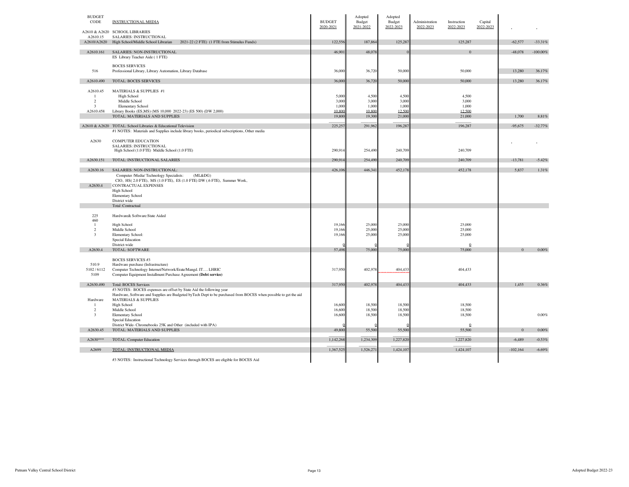| <b>BUDGET</b><br>CODE   | <b>INSTRUCTIONAL MEDIA</b>                                                                                                                          | <b>BUDGET</b><br>2020-2021 | Adopted<br>Budget<br>2021-2022 | Adopted<br>Budget<br>2022-2023 | Administration<br>Instruction<br>2022-2023<br>2022-2023 | Capital<br>2022-2023 |            |            |
|-------------------------|-----------------------------------------------------------------------------------------------------------------------------------------------------|----------------------------|--------------------------------|--------------------------------|---------------------------------------------------------|----------------------|------------|------------|
|                         | A2610 & A2620 SCHOOL LIBRARIES                                                                                                                      |                            |                                |                                |                                                         |                      |            |            |
| A2610.15<br>A2610/A2620 | SALARIES: INSTRUCTIONAL<br>High School/Middle School Librarian<br>2021-22 (2 FTE) (1 FTE from Stimulus Funds)                                       | 122,556                    | 187,864                        | 125,287                        | 125,287                                                 |                      | $-62,577$  | $-33.31%$  |
|                         |                                                                                                                                                     |                            |                                |                                |                                                         |                      |            |            |
| A2610.161               | SALARIES: NON-INSTRUCTIONAL<br>ES Library Teacher Aide (1FTE)                                                                                       | 46,90                      | 48,07                          |                                |                                                         | $\Omega$             | $-48,078$  | $-100.00%$ |
|                         | <b>BOCES SERVICES</b>                                                                                                                               |                            |                                |                                |                                                         |                      |            |            |
| 516                     | Professional Library, Library Automation, Library Database                                                                                          | 36,000                     | 36,720                         | 50,000                         | 50,000                                                  |                      | 13,280     | 36.17%     |
| A2610.490               | TOTAL: BOCES SERVICES                                                                                                                               | 36,00                      | 36,720                         | 50,000                         | 50,000                                                  |                      | 13,280     | 36.17%     |
| A2610.45                | MATERIALS & SUPPLIES #1                                                                                                                             |                            |                                |                                |                                                         |                      |            |            |
| -1<br>$\overline{2}$    | High School<br>Middle School                                                                                                                        | 5,000<br>3,000             | 4.500<br>3,000                 | 4.500<br>3,000                 |                                                         | 4.500<br>3,000       |            |            |
| 3                       | <b>Elementary School</b>                                                                                                                            | 1,00                       | 1,000                          | 1,000                          |                                                         | 1,000                |            |            |
| A2610.458               | Library Books (ES,MS) (MS 10,000 2022-23) (ES 500) (DW 2,000)                                                                                       | 10.80                      | 10.800                         | 12.500                         | 12.500                                                  |                      |            |            |
|                         | TOTAL: MATERIALS AND SUPPLIES                                                                                                                       | 19,80                      | 19,300                         | 21,000                         | 21,000                                                  |                      | 1,700      | 8.81%      |
|                         | A2610 & A2620 TOTAL: School Libraries & Educational Television                                                                                      | 225,257                    | 291,962                        | 196,287                        | 196,287                                                 |                      | $-95,675$  | $-32.77%$  |
|                         | #1 NOTES: Materials and Supplies include library books, periodical subscriptions, Other media                                                       |                            |                                |                                |                                                         |                      |            |            |
|                         |                                                                                                                                                     |                            |                                |                                |                                                         |                      |            |            |
| A2630                   | <b>COMPUTER EDUCATION</b><br>SALARIES: INSTRUCTIONAL                                                                                                |                            |                                |                                |                                                         |                      |            |            |
|                         | High School (1.0 FTE) Middle School (1.0 FTE)                                                                                                       | 290,914                    | 254,490                        | 240,709                        | 240,709                                                 |                      |            |            |
| A2630.151               | TOTAL: INSTRUCTIONAL SALARIES                                                                                                                       | 290,91                     | 254,490                        | 240,709                        | 240,709                                                 |                      | $-13,781$  | $-5.42%$   |
|                         |                                                                                                                                                     |                            |                                |                                |                                                         |                      |            |            |
| A2630.16                | SALARIES: NON-INSTRUCTIONAL:<br>(ML&DG)                                                                                                             | 426,10                     | 446,34                         | 452,178                        | 452,178                                                 |                      | 5,837      | 1.31%      |
|                         | Computer /Media/ Technology Specialists:<br>CIO, HS(2.0 FTE), MS(1.0 FTE), ES(1.0 FTE) DW(.6 FTE), Summer Work,                                     |                            |                                |                                |                                                         |                      |            |            |
| A2630.4                 | CONTRACTUAL EXPENSES                                                                                                                                |                            |                                |                                |                                                         |                      |            |            |
|                         | High School                                                                                                                                         |                            |                                |                                |                                                         |                      |            |            |
|                         | <b>Elementary School</b><br>District wide                                                                                                           |                            |                                |                                |                                                         |                      |            |            |
|                         | Total :Contractual                                                                                                                                  |                            |                                |                                |                                                         |                      |            |            |
|                         |                                                                                                                                                     |                            |                                |                                |                                                         |                      |            |            |
| 225<br>460              | Hardware& Software:State Aided                                                                                                                      |                            |                                |                                |                                                         |                      |            |            |
| -1                      | High School                                                                                                                                         | 19,166                     | 25,000                         | 25,000                         | 25,000                                                  |                      |            |            |
| $\overline{c}$<br>3     | Middle School                                                                                                                                       | 19,166                     | 25,000                         | 25,000                         | 25,000                                                  |                      |            |            |
|                         | Elementary School:<br><b>Special Education</b>                                                                                                      | 19,166                     | 25,000                         | 25,000                         | 25,000                                                  |                      |            |            |
|                         | District-wide                                                                                                                                       |                            |                                |                                |                                                         | $\mathbf{0}$         |            |            |
| A2630.4                 | TOTAL: SOFTWARE                                                                                                                                     | 57,49                      | 75,000                         | 75,000                         | 75,000                                                  |                      | $\Omega$   | 0.00%      |
|                         | <b>BOCES SERVICES #3</b>                                                                                                                            |                            |                                |                                |                                                         |                      |            |            |
| 510.9                   | Hardware purchase (Infrastructure)                                                                                                                  |                            |                                |                                |                                                         |                      |            |            |
| 5102/6112               | Computer Technology Internet/Network/Erate/Mangd. IT LHRIC                                                                                          | 317,950                    | 402,978                        | 404,43                         | 404,433                                                 |                      |            |            |
| 5109                    | Computer Equipment Installment Purchase Agreement (Debt service)                                                                                    |                            |                                |                                |                                                         |                      |            |            |
| A2630.490               | <b>Total: BOCES Services</b>                                                                                                                        | 317,95                     | 402,978                        | 404,433                        | 404,433                                                 |                      | 1,455      | 0.36%      |
|                         | #3 NOTES: BOCES expenses are offset by State Aid the following year                                                                                 |                            |                                |                                |                                                         |                      |            |            |
| Hardware                | Hardware, Software and Supplies are Budgeted byTech Dept to be purchased from BOCES when possible to get the aid<br><b>MATERIALS &amp; SUPPLIES</b> |                            |                                |                                |                                                         |                      |            |            |
| $\mathbf{1}$            | High School                                                                                                                                         | 16,600                     | 18,500                         | 18,500                         | 18,500                                                  |                      |            |            |
| 2                       | Middle School                                                                                                                                       | 16,600                     | 18,500                         | 18,500                         | 18,500                                                  |                      |            |            |
| $\mathbf{3}$            | Elementary School                                                                                                                                   | 16,600                     | 18,500                         | 18,500                         | 18,500                                                  |                      |            | $0.00\%$   |
|                         | Special Education<br>District Wide- Chromebooks 25K and Other (included with IPA)                                                                   |                            |                                |                                |                                                         | $\mathbf{0}$         |            |            |
| A2630.45                | TOTAL: MATERIALS AND SUPPLIES                                                                                                                       | 49,800                     | 55,500                         | 55,500                         | 55,500                                                  |                      | $\Omega$   | 0.00%      |
| A2630***                | TOTAL: Computer Education                                                                                                                           | 1,142,268                  | 1,234,309                      | 1,227,820                      | 1,227,820                                               |                      | $-6,489$   | $-0.53%$   |
|                         |                                                                                                                                                     |                            |                                |                                |                                                         |                      |            |            |
| A2699                   | TOTAL: INSTRUCTIONAL MEDIA                                                                                                                          | 1.367.52                   | 1,526,27                       | 1,424,107                      | 1.424.107                                               |                      | $-102.164$ | $-6.69%$   |
|                         | #3 NOTES: Instructional Technology Services through BOCES are eligible for BOCES Aid                                                                |                            |                                |                                |                                                         |                      |            |            |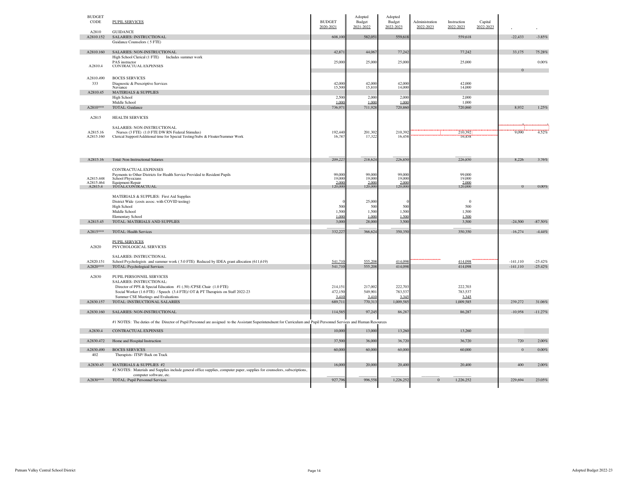| <b>BUDGET</b><br>CODE | <b>PUPIL SERVICES</b>                                                                                                                                                 | <b>BUDGET</b><br>2020-2021 | Adopted<br>Budget<br>2021-2022 | Adopted<br>Budget<br>2022-2023 | Administration<br>2022-2023 | Instruction<br>2022-2023 | Capital<br>2022-2023 |             |           |
|-----------------------|-----------------------------------------------------------------------------------------------------------------------------------------------------------------------|----------------------------|--------------------------------|--------------------------------|-----------------------------|--------------------------|----------------------|-------------|-----------|
| A2810                 | <b>GUIDANCE</b>                                                                                                                                                       |                            |                                |                                |                             |                          |                      |             |           |
| A2810.152             | SALARIES: INSTRUCTIONAL                                                                                                                                               | 608,10                     | 582,05                         | 559,61                         |                             | 559,618                  |                      | $-22,433$   | $-3.85%$  |
|                       | Guidance Counselors (5 FTE)                                                                                                                                           |                            |                                |                                |                             |                          |                      |             |           |
| A2810.160             | SALARIES: NON-INSTRUCTIONAL                                                                                                                                           | 42,87                      | 44,067                         | 77,242                         |                             | 77,242                   |                      | 33,175      | 75.28%    |
|                       | High School Clerical (1 FTE)<br>Includes summer work                                                                                                                  |                            |                                |                                |                             |                          |                      |             |           |
| A2810.4               | PAS instructor<br>CONTRACTUAL EXPENSES                                                                                                                                | 25,000                     | 25,000                         | 25,000                         |                             | 25,000                   |                      |             | 0.00%     |
|                       |                                                                                                                                                                       |                            |                                |                                |                             |                          |                      |             |           |
| A2810.490             | <b>BOCES SERVICES</b>                                                                                                                                                 |                            |                                |                                |                             |                          |                      |             |           |
| 333                   | Diagnostic & Prescriptive Services                                                                                                                                    | 42,000                     | 42,000                         | 42,000                         |                             | 42,000                   |                      |             |           |
|                       | Naviance                                                                                                                                                              | 15,500                     | 15,810                         | 14,000                         |                             | 14,000                   |                      |             |           |
| A2810.45              | <b>MATERIALS &amp; SUPPLIES</b>                                                                                                                                       |                            |                                |                                |                             |                          |                      |             |           |
|                       | High School<br>Middle School                                                                                                                                          | 2,500<br>1.00(             | 2,000<br>1,000                 | 2,00<br>1.00                   |                             | 2,000<br>1,000           |                      |             |           |
| A2810***              | TOTAL: Guidance                                                                                                                                                       | 736,97                     | 711,928                        | 720,860                        |                             | 720,860                  |                      | 8,932       | 1.25%     |
|                       |                                                                                                                                                                       |                            |                                |                                |                             |                          |                      |             |           |
| A2815                 | <b>HEALTH SERVICES</b>                                                                                                                                                |                            |                                |                                |                             |                          |                      |             |           |
|                       |                                                                                                                                                                       |                            |                                |                                |                             |                          |                      |             |           |
| A2815.16              | SALARIES: NON-INSTRUCTIONAL<br>Nurses (3 FTE) (1.0 FTE DW RN Federal Stimulus)                                                                                        | 192,440                    | 201,302                        | 210,39                         |                             | 210,392                  |                      | 9,090       | 4.52%     |
| A2815.160             | Clerical Support/Additional time for Special Testing/Subs & Floater/Summer Work                                                                                       | 16,78                      | 17,32                          | 16,45                          |                             | 16,458                   |                      |             |           |
|                       |                                                                                                                                                                       |                            |                                |                                |                             |                          |                      |             |           |
|                       |                                                                                                                                                                       |                            |                                |                                |                             |                          |                      |             |           |
|                       |                                                                                                                                                                       |                            |                                |                                |                             |                          |                      |             |           |
| A2815.16              | Total: Non Instructional Salaries                                                                                                                                     | 209,22                     | 218,624                        | 226,85                         |                             | 226,850                  |                      | 8,226       | 3.76%     |
|                       |                                                                                                                                                                       |                            |                                |                                |                             |                          |                      |             |           |
|                       | CONTRACTUAL EXPENSES                                                                                                                                                  |                            | 99,000                         |                                |                             | 99,000                   |                      |             |           |
| A2815.448             | Payments to Other Districts for Health Service Provided to Resident Pupils<br>School Physicians                                                                       | 99,00<br>19,00             | 19,000                         | 99.00<br>19,00                 |                             | 19,000                   |                      |             |           |
| A2815.464             | <b>Equipment Repair</b>                                                                                                                                               | 2.000                      | 2,000                          | 2,000                          |                             | 2,000                    |                      |             |           |
| A2815.4               | TOTAL:CONTRACTUAL                                                                                                                                                     | 120,000                    | 120,000                        | 120,000                        |                             | 120,000                  |                      |             | 0.00%     |
|                       | MATERIALS & SUPPLIES: First Aid Supplies                                                                                                                              |                            |                                |                                |                             |                          |                      |             |           |
|                       | District Wide (costs assoc. with COVID testing)                                                                                                                       |                            | 25,000                         |                                |                             | $\mathbf{0}$             |                      |             |           |
|                       | <b>High School</b>                                                                                                                                                    | 500                        | 500                            | 500                            |                             | 500                      |                      |             |           |
|                       | Middle School                                                                                                                                                         | 1,500                      | 1,500                          | 1,500                          |                             | 1,500                    |                      |             |           |
|                       | Elementary School                                                                                                                                                     | 1.000                      | 1,000                          | 1.500                          |                             | 1.500                    |                      |             |           |
| A2815.45              | TOTAL: MATERIALS AND SUPPLIES                                                                                                                                         | 3,000                      | 28,000                         | 3,500                          |                             | 3,500                    |                      | $-24,500$   | $-87.50%$ |
| A2815***              | TOTAL: Health Services                                                                                                                                                | 332,227                    | 366,624                        | 350,350                        |                             | 350,350                  |                      | $-16,274$   | $-4.44%$  |
|                       |                                                                                                                                                                       |                            |                                |                                |                             |                          |                      |             |           |
|                       | <b>PUPIL SERVICES</b>                                                                                                                                                 |                            |                                |                                |                             |                          |                      |             |           |
| A2820                 | PSYCHOLOGICAL SERVICES                                                                                                                                                |                            |                                |                                |                             |                          |                      |             |           |
|                       | SALARIES: INSTRUCTIONAL                                                                                                                                               |                            |                                |                                |                             |                          |                      |             |           |
| A2820.151             | School Psychologists and summer work (5.0 FTE) Reduced by IDEA grant allocation (611,619)                                                                             | 541,710                    | 555.208                        | 414.09                         |                             | 414,098                  |                      | $-141, 110$ | $-25.42%$ |
| A2820***              | TOTAL: Psychological Services                                                                                                                                         | 541,71                     | 555,208                        | 414,09                         |                             | 414,098                  |                      | $-141, 110$ | $-25.42%$ |
|                       |                                                                                                                                                                       |                            |                                |                                |                             |                          |                      |             |           |
| A2830                 | PUPIL PERSONNEL SERVICES                                                                                                                                              |                            |                                |                                |                             |                          |                      |             |           |
|                       | SALARIES: INSTRUCTIONAL:<br>Director of PPS & Special Education #1 (.50) /CPSE Chair (1.0 FTE)                                                                        | 214,15                     | 217,002                        | 222,70                         |                             | 222,703                  |                      |             |           |
|                       | Social Worker (1.6 FTE) / Speech (3.4 FTE)/ OT & PT Therapists on Staff 2022-23                                                                                       | 472,150                    | 549,901                        | 783,53                         |                             | 783,537                  |                      |             |           |
|                       | Summer CSE Meetings and Evaluations                                                                                                                                   | 3.41                       | 3.410                          | 3.34                           |                             | 3.345                    |                      |             |           |
| A2830.157             | TOTAL: INSTRUCTIONAL SALARIES                                                                                                                                         | 689,71                     | 770,313                        | 1,009,585                      |                             | 1,009,585                |                      | 239,272     | 31.06%    |
|                       |                                                                                                                                                                       |                            |                                |                                |                             |                          |                      |             |           |
| A2830.160             | SALARIES: NON-INSTRUCTIONAL                                                                                                                                           | 114,58                     | 97,245                         | 86,28                          |                             | 86,287                   |                      | $-10,958$   | $-11.27%$ |
|                       | #1 NOTES: The duties of the Director of Pupil Personnel are assigned to the Assistant Superintendnent for Curriculum and Pupil Personnel Services and Human Resources |                            |                                |                                |                             |                          |                      |             |           |
|                       |                                                                                                                                                                       |                            |                                |                                |                             |                          |                      |             |           |
| A2830.4               | CONTRACTUAL EXPENSES                                                                                                                                                  | 10,00                      | 13,000                         | 13,260                         |                             | 13,260                   |                      |             |           |
| A2830.472             | Home and Hospital Instruction                                                                                                                                         | 37,500                     | 36,000                         | 36,720                         |                             | 36,720                   |                      | 720         | 2.00%     |
|                       |                                                                                                                                                                       |                            |                                |                                |                             |                          |                      |             |           |
| A2830.490             | <b>BOCES SERVICES</b>                                                                                                                                                 | 60,000                     | 60,000                         | 60,000                         |                             | 60,000                   |                      | $\Omega$    | $0.00\%$  |
| 402                   | Therapists-ITSP/Back on Track                                                                                                                                         |                            |                                |                                |                             |                          |                      |             |           |
| A2830.45              | MATERIALS & SUPPLIES #2                                                                                                                                               | 16,00                      | 20,000                         | 20,40                          |                             | 20,400                   |                      | 400         | 2.00%     |
|                       | #2 NOTES: Materials and Supplies include general office supplies, computer paper, supplies for counselors, subscriptions,                                             |                            |                                |                                |                             |                          |                      |             |           |
|                       | computer software, etc.                                                                                                                                               |                            |                                |                                |                             |                          |                      |             |           |
| A2830***              | TOTAL: Pupil Personnel Services                                                                                                                                       | 927,79                     | 996,558                        | 1,226,252                      | $\mathbf{0}$                | 1,226,252                |                      | 229,694     | 23.05%    |
|                       |                                                                                                                                                                       |                            |                                |                                |                             |                          |                      |             |           |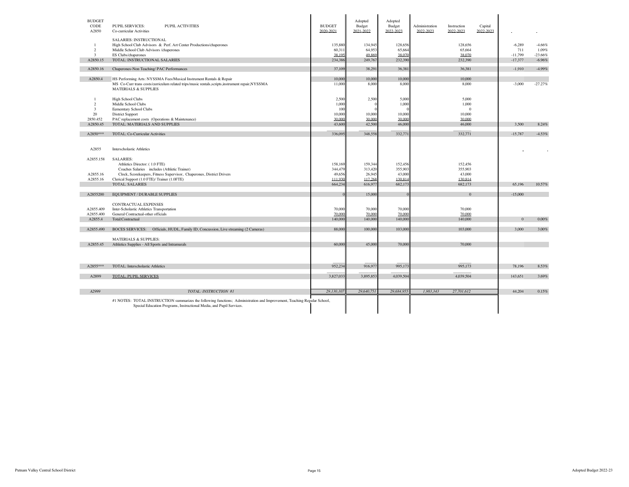| <b>BUDGET</b><br>CODE<br>A2850 | <b>PUPIL SERVICES:</b><br><b>PUPIL ACTIVITIES</b><br>Co-curricular Activities                                                                                                                    | <b>BUDGET</b><br>2020-2021 | Adopted<br>Budget<br>2021-2022 | Adopted<br>Budget<br>2022-2023 | Administration<br>2022-2023 | Instruction<br>2022-2023 | Capital<br>2022-2023 |                 |                   |
|--------------------------------|--------------------------------------------------------------------------------------------------------------------------------------------------------------------------------------------------|----------------------------|--------------------------------|--------------------------------|-----------------------------|--------------------------|----------------------|-----------------|-------------------|
|                                | SALARIES: INSTRUCTIONAL                                                                                                                                                                          |                            |                                |                                |                             |                          |                      |                 |                   |
| $\mathbf{1}$<br>$\overline{2}$ | High School Club Advisors & Perf. Art Center Productions/chaperones<br>Middle School Club Advisors /chaperones                                                                                   | 135,880<br>60,311          | 134.945<br>64,953              | 128,656<br>65,664              |                             | 128,656<br>65,664        |                      | $-6.289$<br>711 | $-4.66%$<br>1.09% |
| $\overline{3}$                 | ES Clubs/chaperones                                                                                                                                                                              | 38.195                     | 49.869                         | 38,070                         |                             | 38.070                   |                      | $-11,799$       | $-23.66%$         |
| A2850.15                       | TOTAL: INSTRUCTIONAL SALARIES                                                                                                                                                                    | 234,386                    | 249,767                        | 232,390                        |                             | 232,390                  |                      | $-17,377$       | $-6.96%$          |
| A2850.16                       | Chaperones-Non Teaching/PAC Performances                                                                                                                                                         | 37,109                     | 38,291                         | 36,381                         |                             | 36,381                   |                      | $-1,910$        | $-4.99%$          |
| A2850.4                        | HS Performing Arts: NYSSMA Fees/Musical Instrument Rentals & Repair                                                                                                                              | 10,000                     | 10,000                         | 10,000                         |                             | 10,000                   |                      |                 |                   |
|                                | MS Co-Curr trans costs/curriculum related trips/music rentals scripts instrument repair,NYSSMA                                                                                                   | 11,000                     | 8,000                          | 8,000                          |                             | 8,000                    |                      | $-3,000$        | $-27.27%$         |
|                                | <b>MATERIALS &amp; SUPPLIES</b>                                                                                                                                                                  |                            |                                |                                |                             |                          |                      |                 |                   |
| -1                             | High School Clubs                                                                                                                                                                                | 2,500                      | 2,500                          | 5,000                          |                             | 5,000                    |                      |                 |                   |
| $\overline{2}$                 | Middle School Clubs                                                                                                                                                                              | 1,000                      |                                | 1,000                          |                             | 1,000                    |                      |                 |                   |
| 3                              | Eememtary School Clubs                                                                                                                                                                           | 100                        |                                |                                |                             | $\mathbf{0}$             |                      |                 |                   |
| 20                             | <b>District Support</b>                                                                                                                                                                          | 10,000<br>30,000           | 10,000<br>30,000               | 10,000<br>30,000               |                             | 10,000<br>30,000         |                      |                 |                   |
| 2850.452<br>A2850.45           | PAC replacement costs (Operations & Maintenance)<br>TOTAL: MATERIALS AND SUPPLIES                                                                                                                | 43,600                     | 42,500                         | 46,000                         |                             | 46,000                   |                      | 3,500           | 8.24%             |
|                                |                                                                                                                                                                                                  |                            |                                |                                |                             |                          |                      |                 |                   |
| A2850***                       | TOTAL: Co-Curricular Activities                                                                                                                                                                  | 336,09:                    | 348,558                        | 332,771                        |                             | 332,771                  |                      | $-15,787$       | $-4.53%$          |
|                                |                                                                                                                                                                                                  |                            |                                |                                |                             |                          |                      |                 |                   |
| A2855                          | Interscholastic Athletics                                                                                                                                                                        |                            |                                |                                |                             |                          |                      |                 |                   |
| A2855.158                      | <b>SALARIES:</b>                                                                                                                                                                                 |                            |                                |                                |                             |                          |                      |                 |                   |
|                                | Athletics Director: (1.0 FTE)                                                                                                                                                                    | 158,169                    | 159.344                        | 152,456                        |                             | 152.456                  |                      |                 |                   |
|                                | Coaches Salaries includes (Athletic Trainer)                                                                                                                                                     | 344,479                    | 313,420                        | 355,903                        |                             | 355,903                  |                      |                 |                   |
| A2855.16                       | Clock, Scorekeepers, Fitness Supervisor, Chaperones, District Drivers                                                                                                                            | 49,656                     | 26,945                         | 43,000                         |                             | 43,000                   |                      |                 |                   |
| A2855.16                       | Clerical Support (1.0 FTE)/ Trainer (1.0FTE)<br><b>TOTAL: SALARIES</b>                                                                                                                           | 111.930<br>664,234         | 117.268<br>616,977             | 130.814<br>682,173             |                             | 130.814<br>682.173       |                      | 65,196          | 10.57%            |
|                                |                                                                                                                                                                                                  |                            |                                |                                |                             |                          |                      |                 |                   |
| A2855200                       | EQUIPMENT / DURABLE SUPPLIES                                                                                                                                                                     |                            | 15,000                         |                                |                             | $\Omega$                 |                      | $-15,000$       |                   |
|                                | <b>CONTRACTUAL EXPENSES</b>                                                                                                                                                                      |                            |                                |                                |                             |                          |                      |                 |                   |
| A2855.409                      | Inter-Scholastic Athletics Transportation                                                                                                                                                        | 70,000                     | 70,000                         | 70,000                         |                             | 70,000                   |                      |                 |                   |
| A2855.400                      | General Contractual-other officials                                                                                                                                                              | 70.000                     | 70,000                         | 70.000                         |                             | 70,000                   |                      |                 |                   |
| A2855.4                        | Total:Contractual                                                                                                                                                                                | 140,000                    | 140,000                        | 140,000                        |                             | 140,000                  |                      | $\Omega$        | 0.00%             |
| A2855.490                      | BOCES SERVICES: Officials, HUDL, Family ID, Concussion, Live streaming (2 Cameras)                                                                                                               | 88,000                     | 100,000                        | 103,000                        |                             | 103,000                  |                      | 3,000           | 3.00%             |
|                                |                                                                                                                                                                                                  |                            |                                |                                |                             |                          |                      |                 |                   |
| A2855.45                       | <b>MATERIALS &amp; SUPPLIES:</b><br>Athletics Supplies - All Sports and Intramurals                                                                                                              | 60,000                     | 45,000                         | 70,000                         |                             | 70,000                   |                      |                 |                   |
|                                |                                                                                                                                                                                                  |                            |                                |                                |                             |                          |                      |                 |                   |
|                                |                                                                                                                                                                                                  |                            |                                |                                |                             |                          |                      |                 |                   |
| A2855***                       | TOTAL: Interscholastic Athletics                                                                                                                                                                 | 952,234                    | 916,977                        | 995,173                        |                             | 995,173                  |                      | 78,196          | 8.53%             |
| A2899                          | <b>TOTAL: PUPIL SERVICES</b>                                                                                                                                                                     | 3,827,033                  | 3,895,853                      | 4,039,504                      |                             | 4,039,504                |                      | 143,651         | 3.69%             |
|                                |                                                                                                                                                                                                  |                            |                                |                                |                             |                          |                      |                 |                   |
| A2999                          | TOTAL: INSTRUCTION #1                                                                                                                                                                            | 29,130,107                 | 29,640,751                     | 29,684,955                     | 1,983,343                   | 27,701,612               |                      | 44.204          | 0.15%             |
|                                |                                                                                                                                                                                                  |                            |                                |                                |                             |                          |                      |                 |                   |
|                                | #1 NOTES: TOTAL INSTRUCTION summarizes the following functions; Administration and Improvement, Teaching Regular School,<br>Special Education Programs, Instructional Media, and Pupil Services. |                            |                                |                                |                             |                          |                      |                 |                   |
|                                |                                                                                                                                                                                                  |                            |                                |                                |                             |                          |                      |                 |                   |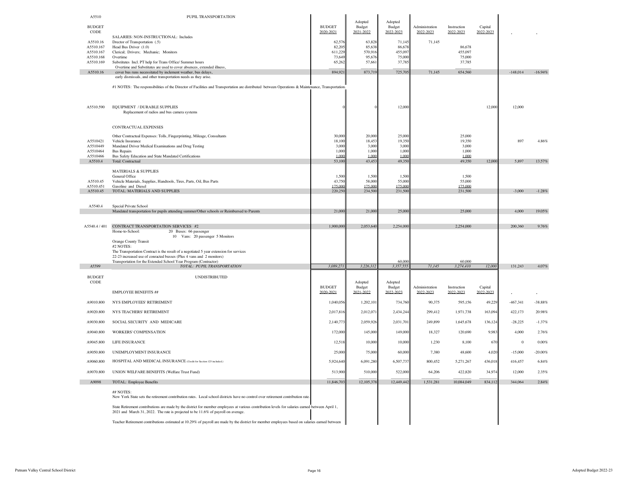| A5510                  | PUPIL TRANSPORTATION                                                                                                                                                                                                                                                      |                            |                                |                                |                             |                          |                      |            |           |
|------------------------|---------------------------------------------------------------------------------------------------------------------------------------------------------------------------------------------------------------------------------------------------------------------------|----------------------------|--------------------------------|--------------------------------|-----------------------------|--------------------------|----------------------|------------|-----------|
| <b>BUDGET</b><br>CODE  |                                                                                                                                                                                                                                                                           | <b>BUDGET</b><br>2020-2021 | Adopted<br>Budget<br>2021-2022 | Adopted<br>Budget<br>2022-2023 | Administration<br>2022-2023 | Instruction<br>2022-2023 | Capital<br>2022-2023 |            |           |
| A5510.16               | SALARIES: NON-INSTRUCTIONAL: Includes<br>Drector of Transportation (.5)                                                                                                                                                                                                   | 62,57                      | 63,828                         | 71,14                          | 71,145                      |                          |                      |            |           |
| A5510.167              | Head Bus Driver (1.0)                                                                                                                                                                                                                                                     | 82.20                      | 85.638                         | 86.67                          |                             | 86,678                   |                      |            |           |
| A5510.167<br>A5510.168 | Clerical; Drivers; Mechanic; Monitors<br>Overtime                                                                                                                                                                                                                         | 611,22<br>73,64            | 570,916<br>95,676              | 455,09<br>75,000               |                             | 455,097<br>75,000        |                      |            |           |
| A5510.169              | Substitutes Incl. PT help for Trans Office/ Summer hours                                                                                                                                                                                                                  | 65,262                     | 57,661                         | 37,78                          |                             | 37,785                   |                      |            |           |
| A5510.16               | Overtime and Substitutes are used to cover absences, extended illness,<br>cover bus runs necessitated by inclement weather, bus delays,                                                                                                                                   | 894,92                     | 873,719                        | 725,70                         | 71,145                      | 654,560                  |                      | $-148,014$ | $-16.94%$ |
|                        | early dismissals, and other transportation needs as they arise.                                                                                                                                                                                                           |                            |                                |                                |                             |                          |                      |            |           |
|                        | #1 NOTES: The responsibilities of the Director of Facilities and Transportation are distributed between Operations & Maintenance, Transportation.                                                                                                                         |                            |                                |                                |                             |                          |                      |            |           |
| A5510.590              | EQUIPMENT / DURABLE SUPPLIES<br>Replacement of radios and bus camera systems                                                                                                                                                                                              |                            |                                | 12,000                         |                             |                          | 12,000               | 12,000     |           |
|                        | CONTRACTUAL EXPENSES                                                                                                                                                                                                                                                      |                            |                                |                                |                             |                          |                      |            |           |
| A5510421               | Other Contractual Expenses: Tolls, Fingerprinting, Mileage, Consultants<br>Vehicle Insurance                                                                                                                                                                              | 30,000<br>18,100           | 20,000<br>18,453               | 25,000<br>19.35                |                             | 25,000<br>19,350         |                      | 897        | 4.86%     |
| A5510449               | Mandated Driver Medical Examinations and Drug Testing                                                                                                                                                                                                                     | 3.000                      | 3,000                          | 3,000                          |                             | 3.000                    |                      |            |           |
| A5510464<br>A5510466   | <b>Bus Repairs</b><br>Bus Safety Education and State Mandated Certifications                                                                                                                                                                                              | 1,00<br>1.000              | 1,000<br>1.00C                 | 1,000<br>1.000                 |                             | 1,000<br>1,000           |                      |            |           |
| A5510.4                | Total: Contractual                                                                                                                                                                                                                                                        | 53,100                     | 43,453                         | 49,350                         |                             | 49,350                   | 12,000               | 5,897      | 13.57%    |
|                        | <b>MATERIALS &amp; SUPPLIES</b>                                                                                                                                                                                                                                           |                            |                                |                                |                             |                          |                      |            |           |
| A5510.45               | General Office<br>Vehicle Materials, Supplies, Handtools, Tires, Parts, Oil, Bus Parts                                                                                                                                                                                    | 1,500<br>43,75             | 1,500<br>58,000                | 1,500<br>55,000                |                             | 1,500<br>55,000          |                      |            |           |
| A5510.451              | Gasoline and Diesel                                                                                                                                                                                                                                                       | 175,00                     | 175,000                        | 175,000                        |                             | 175,000                  |                      |            |           |
| A5510.45               | TOTAL: MATERIALS AND SUPPLIES                                                                                                                                                                                                                                             | 220,250                    | 234,500                        | 231,500                        |                             | 231,500                  |                      | $-3,000$   | $-1.28%$  |
| A5540.4                | Special Private School                                                                                                                                                                                                                                                    |                            |                                |                                |                             |                          |                      |            |           |
|                        | Mandated transportation for pupils attending summer/Other schools or Reimbursed to Parents                                                                                                                                                                                | 21,000                     | 21,000                         | 25,000                         |                             | 25,000                   |                      | 4.000      | 19.05%    |
| A5540.4 / 401          | CONTRACT TRANSPORTATION SERVICES #2<br>Home-to-School:<br>20 Buses: 66 passenger<br>10 Vans: 20 passenger 5 Monitors                                                                                                                                                      | 1,900,00                   | 2,053,640                      | 2,254,000                      |                             | 2,254,000                |                      | 200,360    | 9.76%     |
|                        | Orange County Transit<br>#2 NOTES:<br>The Transportation Contract is the result of a negotiated 5 year extension for services<br>22-23 increased use of conracted busses (Plus 4 vans and 2 monitors)<br>Transportation for the Extended School Year Program (Contractor) |                            |                                | 60,000                         |                             | 60,000                   |                      |            |           |
| A5599                  | TOTAL: PUPIL TRANSPORTATION                                                                                                                                                                                                                                               | 3.089.271                  | 3.226.312                      | 3.357.55                       | 71.145                      | 3.274.410                | 12,000               | 131.243    | 4.07%     |
| <b>BUDGET</b><br>CODE  | <b>UNDISTRIBUTED</b>                                                                                                                                                                                                                                                      | <b>BUDGET</b>              | Adopted<br>Budget              | Adopted<br>Budget              | Administration              | Instruction              | Capital              |            |           |
|                        | <b>EMPLOYEE BENEFITS ##</b>                                                                                                                                                                                                                                               | 2020-2021                  | 2021-2022                      | 2022-2023                      | 2022-2023                   | 2022-2023                | 2022-2023            |            |           |
| A9010.800              | NYS EMPLOYEES' RETIREMENT                                                                                                                                                                                                                                                 | 1,040,056                  | 1,202,101                      | 734,760                        | 90,375                      | 595,156                  | 49,229               | $-467,341$ | $-38.88%$ |
| A9020.800              | NYS TEACHERS' RETIREMENT                                                                                                                                                                                                                                                  | 2,017,816                  | 2,012,071                      | 2,434,244                      | 299,412                     | 1,971,738                | 163,094              | 422,173    | 20.98%    |
| A9030.800              | SOCIAL SECURITY AND MEDICARE                                                                                                                                                                                                                                              | 2,140,773                  | 2,059,926                      | 2,031,701                      | 249,899                     | 1,645,678                | 136,124              | $-28,225$  | $-1.37%$  |
| A9040.800              | WORKERS' COMPENSATION                                                                                                                                                                                                                                                     | 172,000                    | 145,000                        | 149,000                        | 18,327                      | 120,690                  | 9,983                | 4,000      | 2.76%     |
| A9045.800              | LIFE INSURANCE                                                                                                                                                                                                                                                            | 12,518                     | 10,000                         | 10,000                         | 1,230                       | 8,100                    | 670                  | $\bf 0$    | $0.00\%$  |
| A9050.800              | UNEMPLOYMENT INSURANCE                                                                                                                                                                                                                                                    | 25,000                     | 75,000                         | 60,000                         | 7.380                       | 48,600                   | 4,020                | $-15,000$  | $-20.00%$ |
| A9060.800              | HOSPITAL AND MEDICAL INSURANCE (Credit for Section 125 included.)                                                                                                                                                                                                         | 5,924,640                  | 6,091,280                      | 6,507,737                      | 800,452                     | 5,271,267                | 436,018              | 416,457    | 6.84%     |
| A9070.800              | UNION WELFARE BENEFITS (Welfare Trust Fund)                                                                                                                                                                                                                               | 513,900                    | 510,000                        | 522,000                        | 64,206                      | 422,820                  | 34,974               | 12,000     | 2.35%     |
| A9098                  | TOTAL: Employee Benefits                                                                                                                                                                                                                                                  | 11,846,703                 | 12,105,378                     | 12,449,442                     | 1,531,281                   | 10,084,049               | 834,112              | 344,064    | $2.84\%$  |
|                        | ## NOTES<br>New York State sets the retirement contribution rates. Local school districts have no control over retirement contribution rate                                                                                                                               |                            |                                |                                |                             |                          |                      |            |           |
|                        | State Retirement contributions are made by the district for member employees at various contribution levels for salaries earned between April 1,<br>2021 and March 31, 2022. The rate is projected to be 11.6% of payroll on average.                                     |                            |                                |                                |                             |                          |                      |            |           |
|                        | Teacher Retirement contributions estimated at 10.29% of payroll are made by the district for member employees based on salaries earned between                                                                                                                            |                            |                                |                                |                             |                          |                      |            |           |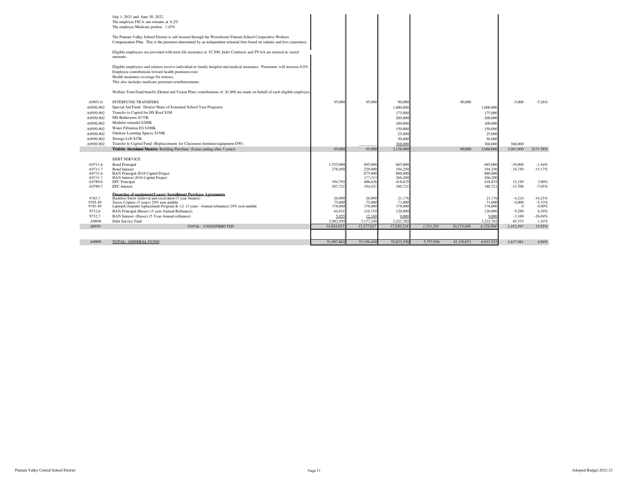|                        | July 1, 2021 and June 30, 2022.<br>The employer FICA rate remains at 6.2%                                                                                                                                                                |                   |                    |                    |           |            |                    |                      |                   |
|------------------------|------------------------------------------------------------------------------------------------------------------------------------------------------------------------------------------------------------------------------------------|-------------------|--------------------|--------------------|-----------|------------|--------------------|----------------------|-------------------|
|                        | The employer Medicare portion 1.45%                                                                                                                                                                                                      |                   |                    |                    |           |            |                    |                      |                   |
|                        | The Putnam Valley School District is self insured through the Westchester Putnam School Cooperative Workers<br>Compensation Plan. This is the premium determined by an independent actuarial firm based on salaries and loss experience. |                   |                    |                    |           |            |                    |                      |                   |
|                        | Eligible employees are provided with term life insurance at \$7,500; Indiv Contracts and PVAA are insured at varied<br>amounts.                                                                                                          |                   |                    |                    |           |            |                    |                      |                   |
|                        |                                                                                                                                                                                                                                          |                   |                    |                    |           |            |                    |                      |                   |
|                        | Eligible employees and retirees receive individual or family hospital and medical insurance. Premiums will increase 8.0%.<br>Employee contributions toward health premium costs                                                          |                   |                    |                    |           |            |                    |                      |                   |
|                        | Health insurance coverage for retirees.<br>This also includes medicare premium reimbursements.                                                                                                                                           |                   |                    |                    |           |            |                    |                      |                   |
|                        | Welfare Trust Fund benefit (Dental and Vision Plan) contributions of \$1,800 are made on behalf of each eligible employee                                                                                                                |                   |                    |                    |           |            |                    |                      |                   |
| A9951.0                | <b>INTERFUND TRANSFERS</b>                                                                                                                                                                                                               | 95,000            | 95.000             | 90,000             |           | 90,000     |                    | $-5.000$             | $-5.26%$          |
| A9950.902              | Special Aid Fund: District Share of Extended School Year Programs<br>Transfer to Capital for HS Roof \$1M                                                                                                                                |                   |                    | 1,000,000          |           |            | 1,000,000          |                      |                   |
| A9950.902<br>A9950.902 | MS Bathrooms \$175K                                                                                                                                                                                                                      |                   |                    | 175,000<br>200,000 |           |            | 175,000<br>200,000 |                      |                   |
| A9950.902              | Modular remodel \$200K                                                                                                                                                                                                                   |                   |                    | 100,000            |           |            | 100,000            |                      |                   |
| A9950.902              | Water Filtration ES \$100K                                                                                                                                                                                                               |                   |                    | 150,000            |           |            | 150,000            |                      |                   |
| A9950.902              | Outdoor Learning Spaces \$150K                                                                                                                                                                                                           |                   |                    | 25,000             |           |            | 25,000             |                      |                   |
| A9950.902              | Storage Loft \$25K                                                                                                                                                                                                                       |                   |                    | 50,000             |           |            | 50,000             |                      |                   |
| A9950.902              | Transfer to Capital Fund (Replacements for Classroom furniture/equipment DW)                                                                                                                                                             |                   |                    | 368.000            |           |            | 368,000            | 368,000              |                   |
|                        | TO TS forte Admid Markthar Building Purchase (Lease ending after 5 years)                                                                                                                                                                | 95,000            | 95,000             | 2.158,000          |           | 90,000     | 2,068,000          | 2.063,000            | 2171.58%          |
|                        |                                                                                                                                                                                                                                          |                   |                    |                    |           |            |                    |                      |                   |
|                        | <b>DEBT SERVICE</b>                                                                                                                                                                                                                      |                   |                    |                    |           |            |                    |                      |                   |
| A9711.6                | <b>Bond Principal</b>                                                                                                                                                                                                                    | 1,555,000         | 695,000            | 685,000            |           |            | 685,000            | $-10,000$            | $-1.44%$          |
| A9711.7<br>A9731.6     | <b>Bond Interest</b><br>BAN Principal-2018 Capital Project                                                                                                                                                                               | 278,450           | 229,000<br>875,000 | 194,250<br>880,000 |           |            | 194,250<br>880,000 | $-34,750$            | $-15.17%$         |
| A9731.7                | <b>BAN</b> Interest 2018 Capital Project                                                                                                                                                                                                 |                   | 177,313            | 266,200            |           |            | 266,200            |                      |                   |
| A9789.6                | <b>EPC</b> Principal                                                                                                                                                                                                                     | 394,793           | 406,636            | 418,83             |           |            | 418,835            | 12,199               | 3.00%             |
| A9789.7                | <b>EPC</b> Interest                                                                                                                                                                                                                      | 207,721           | 194,421            | 180,721            |           |            | 180,721            | $-13,700$            | $-7.05%$          |
|                        | Financing of equipment/Leases/ Installment Purchase Agreements                                                                                                                                                                           |                   |                    |                    |           |            |                    |                      |                   |
| 9785.7<br>9785.49      | Backhoe-Snow removal and excavation (5 year finance)                                                                                                                                                                                     | 26,000            | 26,000<br>75,000   | 21.77              |           |            | 21,776<br>71,000   | $-4,224$<br>$-4.000$ | $-16.25%$         |
| 9785.49                | Xerox Copiers (5 years) 29% non aidable<br>Laptop/Computer replacement Program K-12 (5 years -Annual refinance) 29% non-aidable                                                                                                          | 75,000<br>376,000 | 376,000            | 71,000<br>376,000  |           |            | 376,000            | $\mathbf{0}$         | $-5.33%$<br>0.00% |
| 9732.6                 | BAN Principal (Buses) (5 year-Annual Refinance)                                                                                                                                                                                          | 64,931            | 110,710            | 120,000            |           |            | 120,000            | 9.290                | 8.39%             |
| 9732.7                 | BAN Interest (Buses) (5 Year-Annual refinance)                                                                                                                                                                                           | 5.055             | 12.169             | 9,000              |           |            | 9.000              | $-3,169$             | $-26.04%$         |
| A9898                  | Debt Service Total                                                                                                                                                                                                                       | 2,982,950         | 3,177,249          | 3,222,78           |           |            | 3,222,782          | 45,533               | 1.43%             |
| A9959                  | TOTAL: UNDISTRIBUTED                                                                                                                                                                                                                     | 14,924,65.        | 15,377,627         | 17,830,224         | 1,531,281 | 10,174,049 | 6,124,894          | 2,452,597            | 15.95%            |
|                        |                                                                                                                                                                                                                                          |                   |                    |                    |           |            |                    |                      |                   |
| A9999                  | TOTAL: GENERAL FUND                                                                                                                                                                                                                      | 51,907,863        | 53.196.449         | 55,823,530         | 5.757.936 | 41.150.071 | 8.915.523          | 2.627.081            | 4.94%             |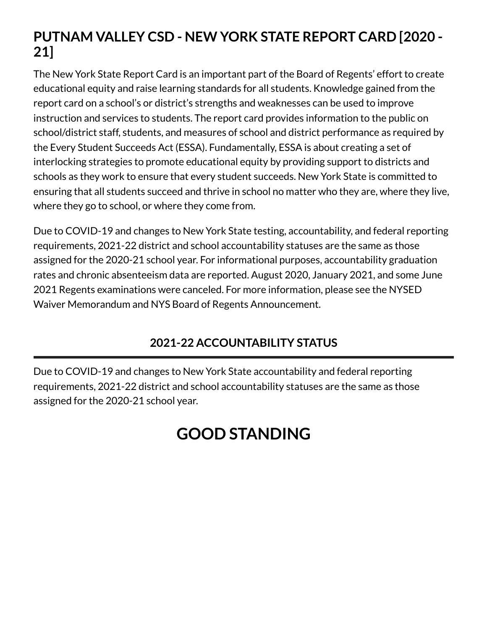# **PUTNAM VALLEY CSD - NEW YORK STATE REPORT CARD [2020 - 21]**

The New York State Report Card is an important part of the Board of Regents' effort to create educational equity and raise learning standards for all students. Knowledge gained from the report card on a school's or district's strengths and weaknesses can be used to improve instruction and services to students. The report card provides information to the public on school/district staff, students, and measures of school and district performance as required by the Every Student Succeeds Act (ESSA). Fundamentally, ESSA is about creating a set of interlocking strategies to promote educational equity by providing support to districts and schools as they work to ensure that every student succeeds. New York State is committed to ensuring that all students succeed and thrive in school no matter who they are, where they live, where they go to school, or where they come from.

Due to COVID-19 and changes to New York State testing, accountability, and federal reporting requirements, 2021-22 district and school accountability statuses are the same as those assigned for the 2020-21 school year. For informational purposes, accountability graduation rates and chronic absenteeism data are reported. August 2020, January 2021, and some June [2021 Regents examinations were canceled. For more information, please see the NYSED](http://www.nysed.gov/memo/accountability/united-states-department-education-usde-waiver-every-student-succeeds-act-essa) Waiver Memorandum and [NYS Board of Regents Announcement.](http://www.nysed.gov/news/2021/board-regents-acts-emergency-regulation-revisions-2021-diploma-requirements)

# **2021-22 ACCOUNTABILITY STATUS**

Due to COVID-19 and changes to New York State accountability and federal reporting requirements, 2021-22 district and school accountability statuses are the same as those assigned for the 2020-21 school year.

# **GOOD STANDING**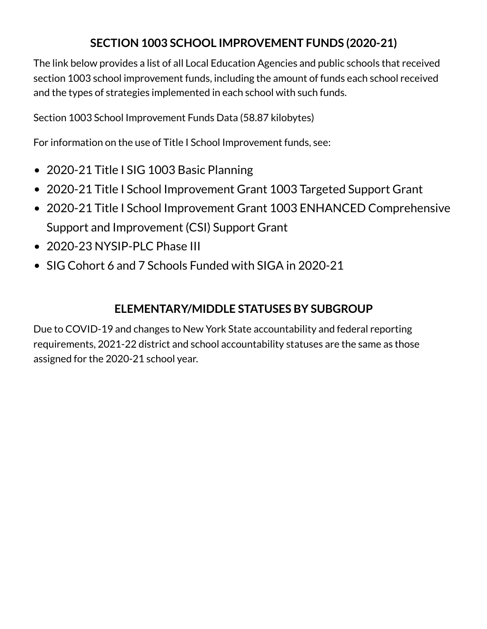# **SECTION 1003 SCHOOL IMPROVEMENT FUNDS (2020-21)**

The link below provides a list of all Local Education Agencies and public schools that received section 1003 school improvement funds, including the amount of funds each school received and the types of strategies implemented in each school with such funds.

[Section 1003 School Improvement Funds Data](https://data.nysed.gov/files/essa/20-21/1003.xlsx) (58.87 kilobytes)

For information on the use of Title I School Improvement funds, see:

- [2020-21 Title I SIG 1003 Basic Planning](http://www.p12.nysed.gov/funding/currentapps.html#siga2020-21)
- [2020-21 Title I School Improvement Grant 1003 Targeted Support Grant](http://www.p12.nysed.gov/funding/currentapps.html#sig-targeted-2020-21)
- [2020-21 Title I School Improvement Grant 1003 ENHANCED Comprehensive](http://www.p12.nysed.gov/funding/currentapps.html#sig-csi-2020) Support and Improvement (CSI) Support Grant
- [2020-23 NYSIP-PLC Phase III](http://www.p12.nysed.gov/funding/currentapps.html#nysip-plc-phase-3)
- [SIG Cohort 6 and 7 Schools Funded with SIGA in 2020-21](http://www.p12.nysed.gov/oisr/)

### **ELEMENTARY/MIDDLE STATUSES BY SUBGROUP**

Due to COVID-19 and changes to New York State accountability and federal reporting requirements, 2021-22 district and school accountability statuses are the same as those assigned for the 2020-21 school year.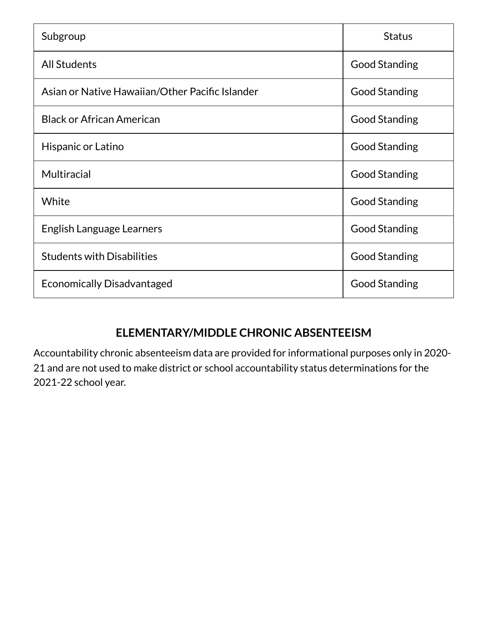| Subgroup                                        | <b>Status</b>        |
|-------------------------------------------------|----------------------|
| <b>All Students</b>                             | <b>Good Standing</b> |
| Asian or Native Hawaiian/Other Pacific Islander | <b>Good Standing</b> |
| <b>Black or African American</b>                | <b>Good Standing</b> |
| Hispanic or Latino                              | <b>Good Standing</b> |
| <b>Multiracial</b>                              | <b>Good Standing</b> |
| White                                           | <b>Good Standing</b> |
| English Language Learners                       | <b>Good Standing</b> |
| <b>Students with Disabilities</b>               | <b>Good Standing</b> |
| <b>Economically Disadvantaged</b>               | <b>Good Standing</b> |

# **ELEMENTARY/MIDDLE CHRONIC ABSENTEEISM**

Accountability chronic absenteeism data are provided for informational purposes only in 2020- 21 and are not used to make district or school accountability status determinations for the 2021-22 school year.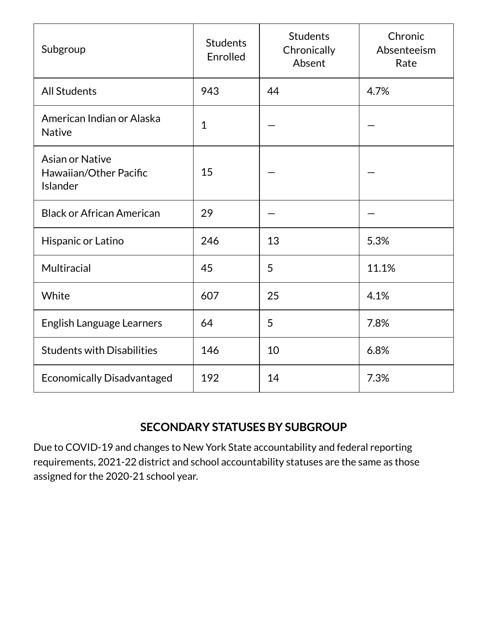| Subgroup                                                     | <b>Students</b><br>Enrolled | <b>Students</b><br>Chronically<br>Absent | Chronic<br>Absenteeism<br>Rate |
|--------------------------------------------------------------|-----------------------------|------------------------------------------|--------------------------------|
| <b>All Students</b>                                          | 943                         | 44                                       | 4.7%                           |
| American Indian or Alaska<br><b>Native</b>                   | $\mathbf{1}$                |                                          |                                |
| <b>Asian or Native</b><br>Hawaiian/Other Pacific<br>Islander | 15                          |                                          |                                |
| <b>Black or African American</b>                             | 29                          |                                          |                                |
| Hispanic or Latino                                           | 246                         | 13                                       | 5.3%                           |
| Multiracial                                                  | 45                          | 5                                        | 11.1%                          |
| White                                                        | 607                         | 25                                       | 4.1%                           |
| <b>English Language Learners</b>                             | 64                          | 5                                        | 7.8%                           |
| <b>Students with Disabilities</b>                            | 146                         | 10                                       | 6.8%                           |
| <b>Economically Disadvantaged</b>                            | 192                         | 14                                       | 7.3%                           |

### **SECONDARY STATUSES BY SUBGROUP**

Due to COVID-19 and changes to New York State accountability and federal reporting requirements, 2021-22 district and school accountability statuses are the same as those assigned for the 2020-21 school year.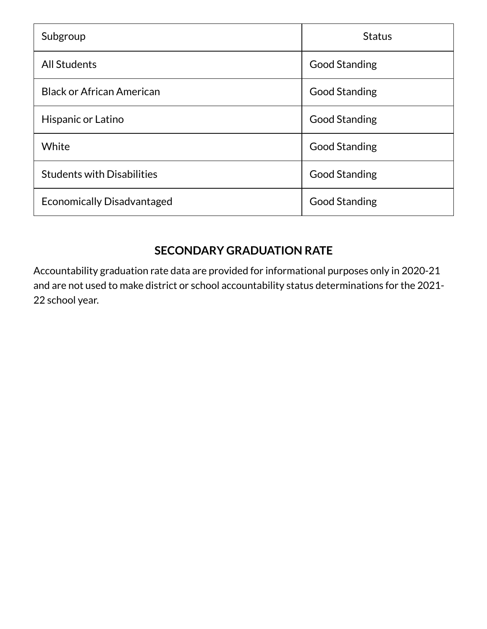| Subgroup                          | <b>Status</b>        |
|-----------------------------------|----------------------|
| <b>All Students</b>               | <b>Good Standing</b> |
| <b>Black or African American</b>  | <b>Good Standing</b> |
| Hispanic or Latino                | <b>Good Standing</b> |
| White                             | <b>Good Standing</b> |
| <b>Students with Disabilities</b> | <b>Good Standing</b> |
| <b>Economically Disadvantaged</b> | <b>Good Standing</b> |

## **SECONDARY GRADUATION RATE**

Accountability graduation rate data are provided for informational purposes only in 2020-21 and are not used to make district or school accountability status determinations for the 2021- 22 school year.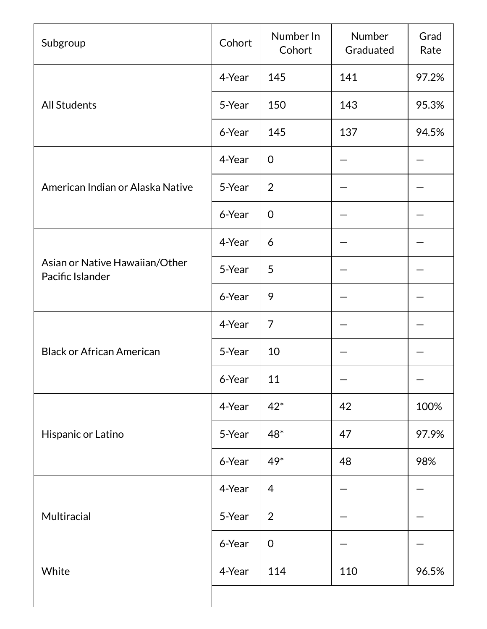| Subgroup                                           | Cohort | Number In<br>Cohort | Number<br>Graduated | Grad<br>Rate |
|----------------------------------------------------|--------|---------------------|---------------------|--------------|
|                                                    | 4-Year | 145                 | 141                 | 97.2%        |
| <b>All Students</b>                                | 5-Year | 150                 | 143                 | 95.3%        |
|                                                    | 6-Year | 145                 | 137                 | 94.5%        |
|                                                    | 4-Year | $\mathbf 0$         |                     |              |
| American Indian or Alaska Native                   | 5-Year | $\overline{2}$      |                     |              |
|                                                    | 6-Year | $\mathbf 0$         |                     |              |
|                                                    | 4-Year | 6                   |                     |              |
| Asian or Native Hawaiian/Other<br>Pacific Islander | 5-Year | 5                   |                     |              |
|                                                    | 6-Year | 9                   |                     |              |
|                                                    | 4-Year | 7                   |                     |              |
| <b>Black or African American</b>                   | 5-Year | 10                  |                     |              |
|                                                    | 6-Year | 11                  |                     |              |
|                                                    | 4-Year | $42*$               | 42                  | 100%         |
| Hispanic or Latino                                 | 5-Year | $48*$               | 47                  | 97.9%        |
|                                                    | 6-Year | 49*                 | 48                  | 98%          |
|                                                    | 4-Year | 4                   |                     |              |
| Multiracial                                        | 5-Year | $\overline{2}$      |                     |              |
|                                                    | 6-Year | $\mathbf 0$         |                     |              |
| White                                              | 4-Year | 114                 | 110                 | 96.5%        |
|                                                    |        |                     |                     |              |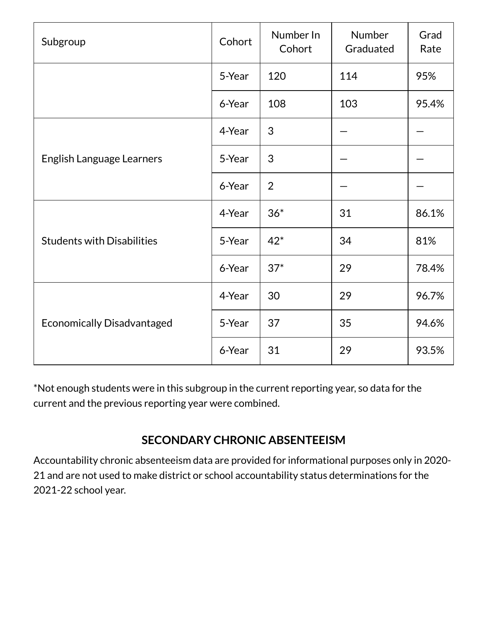| Subgroup                          | Cohort | Number In<br>Cohort | Number<br>Graduated | Grad<br>Rate |
|-----------------------------------|--------|---------------------|---------------------|--------------|
|                                   | 5-Year | 120                 | 114                 | 95%          |
|                                   | 6-Year | 108                 | 103                 | 95.4%        |
|                                   | 4-Year | 3                   |                     |              |
| English Language Learners         | 5-Year | 3                   |                     |              |
|                                   | 6-Year | $\overline{2}$      |                     |              |
|                                   | 4-Year | $36*$               | 31                  | 86.1%        |
| <b>Students with Disabilities</b> | 5-Year | $42*$               | 34                  | 81%          |
|                                   | 6-Year | $37*$               | 29                  | 78.4%        |
|                                   | 4-Year | 30                  | 29                  | 96.7%        |
| <b>Economically Disadvantaged</b> | 5-Year | 37                  | 35                  | 94.6%        |
|                                   | 6-Year | 31                  | 29                  | 93.5%        |

\*Not enough students were in this subgroup in the current reporting year, so data for the current and the previous reporting year were combined.

# **SECONDARY CHRONIC ABSENTEEISM**

Accountability chronic absenteeism data are provided for informational purposes only in 2020- 21 and are not used to make district or school accountability status determinations for the 2021-22 school year.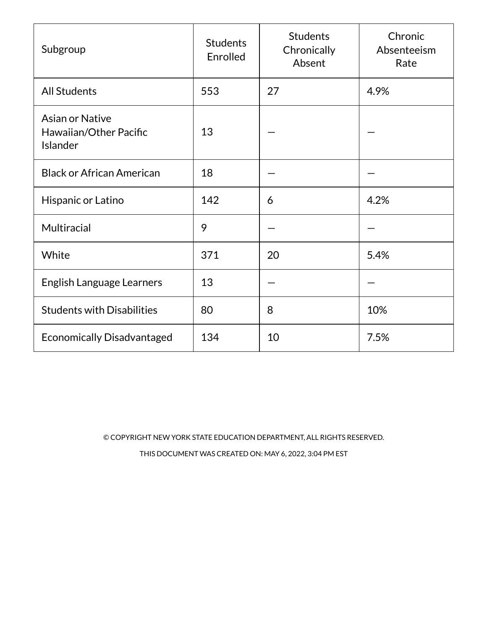| Subgroup                                                            | <b>Students</b><br>Enrolled | <b>Students</b><br>Chronically<br>Absent | Chronic<br>Absenteeism<br>Rate |
|---------------------------------------------------------------------|-----------------------------|------------------------------------------|--------------------------------|
| <b>All Students</b>                                                 | 553                         | 27                                       | 4.9%                           |
| <b>Asian or Native</b><br>Hawaiian/Other Pacific<br><b>Islander</b> | 13                          |                                          |                                |
| <b>Black or African American</b>                                    | 18                          |                                          |                                |
| Hispanic or Latino                                                  | 142                         | 6                                        | 4.2%                           |
| Multiracial                                                         | 9                           |                                          |                                |
| White                                                               | 371                         | 20                                       | 5.4%                           |
| <b>English Language Learners</b>                                    | 13                          |                                          |                                |
| <b>Students with Disabilities</b>                                   | 80                          | 8                                        | 10%                            |
| <b>Economically Disadvantaged</b>                                   | 134                         | 10                                       | 7.5%                           |

© COPYRIGHT NEW YORK STATE EDUCATION DEPARTMENT, ALL RIGHTS RESERVED. THIS DOCUMENT WAS CREATED ON: MAY 6, 2022, 3:04 PM EST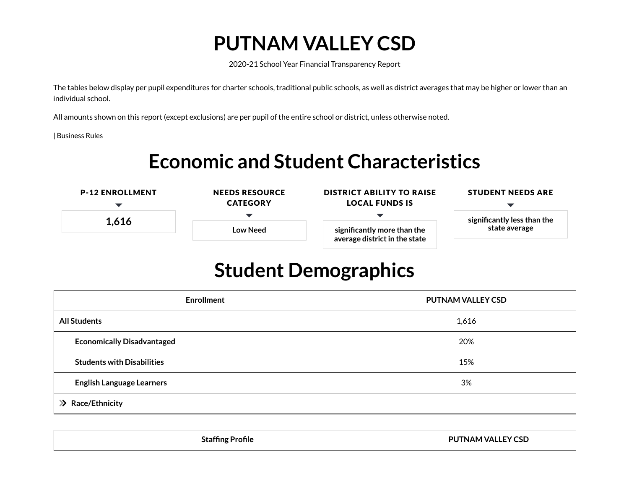# **PUTNAM VALLEY CSD**

2020-21 School Year Financial Transparency Report

The tables below display per pupil expenditures for charter schools, traditional public schools, as well as district averages that may be higher or lower than an individual school.

All amounts shown on this report (except exclusions) are per pupil of the entire school or district, unless otherwise noted.

| [Business Rules](https://data.nysed.gov/businessrules.php?type=expenditures)

# **Economic and Student Characteristics**



# **Student Demographics**

| <b>Enrollment</b>                 | <b>PUTNAM VALLEY CSD</b> |  |
|-----------------------------------|--------------------------|--|
| <b>All Students</b>               | 1,616                    |  |
| <b>Economically Disadvantaged</b> | 20%                      |  |
| <b>Students with Disabilities</b> | 15%                      |  |
| <b>English Language Learners</b>  | 3%                       |  |
| Race/Ethnicity<br>$\mathbf{E}$    |                          |  |

**Staffing Profile PUTNAM VALLEY CSD**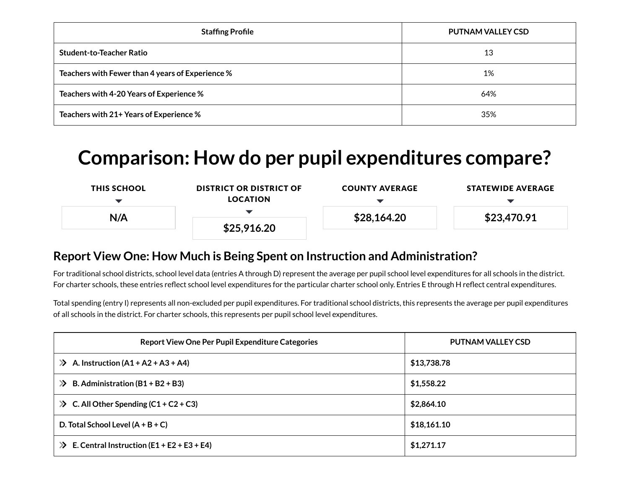| <b>Staffing Profile</b>                          | <b>PUTNAM VALLEY CSD</b> |
|--------------------------------------------------|--------------------------|
| <b>Student-to-Teacher Ratio</b>                  | 13                       |
| Teachers with Fewer than 4 years of Experience % | 1%                       |
| Teachers with 4-20 Years of Experience %         | 64%                      |
| Teachers with 21+ Years of Experience %          | 35%                      |

# **Comparison: How do per pupil expenditures compare?**

| <b>THIS SCHOOL</b> | <b>DISTRICT OR DISTRICT OF</b><br><b>LOCATION</b> | <b>COUNTY AVERAGE</b> | <b>STATEWIDE AVERAGE</b> |  |
|--------------------|---------------------------------------------------|-----------------------|--------------------------|--|
| N/A                |                                                   |                       | \$23,470.91              |  |
|                    | \$25,916.20                                       | \$28,164.20           |                          |  |
|                    |                                                   |                       |                          |  |

### **Report View One: How Much is Being Spent on Instruction and Administration?**

For traditional school districts, school level data (entries A through D) represent the average per pupil school level expenditures for all schools in the district. For charter schools, these entries reflect school level expenditures for the particular charter school only. Entries E through H reflect central expenditures.

Total spending (entry I) represents all non-excluded per pupil expenditures. For traditional school districts, this represents the average per pupil expenditures of all schools in the district. For charter schools, this represents per pupil school level expenditures.

| <b>Report View One Per Pupil Expenditure Categories</b>      | <b>PUTNAM VALLEY CSD</b> |
|--------------------------------------------------------------|--------------------------|
| A. Instruction $(A1 + A2 + A3 + A4)$<br>$\sum$               | \$13,738.78              |
| B. Administration $(B1 + B2 + B3)$<br>$\gg$                  | \$1,558.22               |
| $\gg$ C. All Other Spending (C1 + C2 + C3)                   | \$2,864.10               |
| D. Total School Level $(A + B + C)$                          | \$18,161.10              |
| E. Central Instruction $(E1 + E2 + E3 + E4)$<br>$\mathbf{p}$ | \$1,271.17               |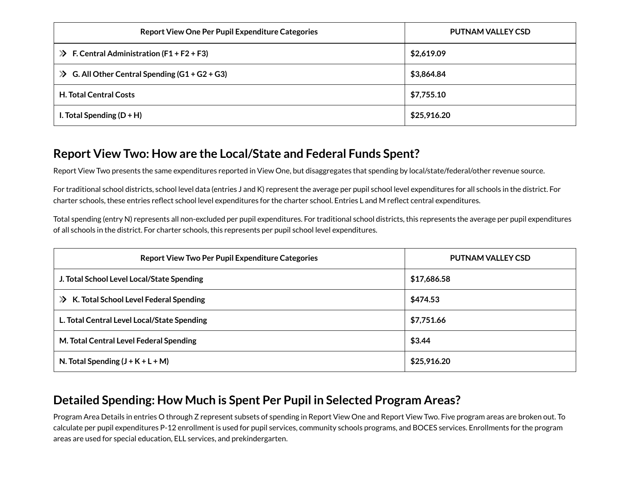| <b>Report View One Per Pupil Expenditure Categories</b>  | PUTNAM VALLEY CSD |
|----------------------------------------------------------|-------------------|
| $\gg$ F. Central Administration (F1 + F2 + F3)           | \$2,619.09        |
| G. All Other Central Spending $(G1 + G2 + G3)$<br>$\sum$ | \$3,864.84        |
| <b>H. Total Central Costs</b>                            | \$7,755.10        |
| I. Total Spending $(D + H)$                              | \$25,916.20       |

### **Report View Two: How are the Local/State and Federal Funds Spent?**

Report View Two presents the same expenditures reported in View One, but disaggregates that spending by local/state/federal/other revenue source.

For traditional school districts, school level data (entries J and K) represent the average per pupil school level expenditures for all schools in the district. For charter schools, these entries reflect school level expenditures for the charter school. Entries L and M reflect central expenditures.

Total spending (entry N) represents all non-excluded per pupil expenditures. For traditional school districts, this represents the average per pupil expenditures of all schools in the district. For charter schools, this represents per pupil school level expenditures.

| <b>Report View Two Per Pupil Expenditure Categories</b> | <b>PUTNAM VALLEY CSD</b> |
|---------------------------------------------------------|--------------------------|
| J. Total School Level Local/State Spending              | \$17,686.58              |
| >> K. Total School Level Federal Spending               | \$474.53                 |
| L. Total Central Level Local/State Spending             | \$7,751.66               |
| M. Total Central Level Federal Spending                 | \$3.44                   |
| N. Total Spending $(J + K + L + M)$                     | \$25,916.20              |

### **Detailed Spending: How Much is Spent Per Pupil in Selected Program Areas?**

Program Area Details in entries O through Z represent subsets of spending in Report View One and Report View Two. Five program areas are broken out. To calculate per pupil expenditures P-12 enrollment is used for pupil services, community schools programs, and BOCES services. Enrollments for the program areas are used for special education, ELL services, and prekindergarten.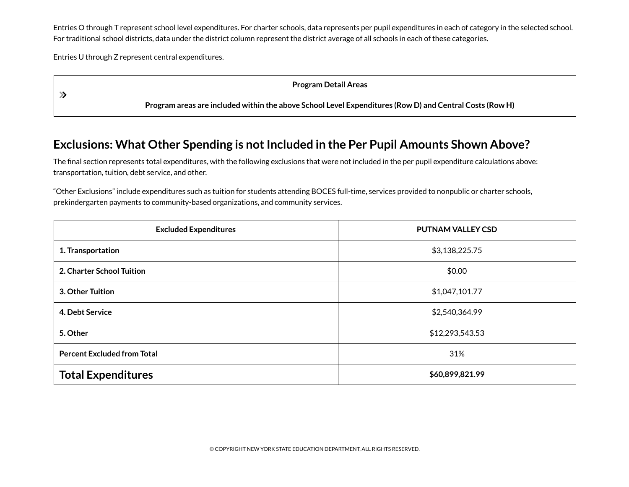Entries O through T represent school level expenditures. For charter schools, data represents per pupil expenditures in each of category in the selected school. For traditional school districts, data under the district column represent the district average of all schools in each of these categories.

Entries U through Z represent central expenditures.

| Program Detail Areas                                                                                    |
|---------------------------------------------------------------------------------------------------------|
| Program areas are included within the above School Level Expenditures (Row D) and Central Costs (Row H) |

### **Exclusions: What Other Spending is not Included in the Per Pupil Amounts Shown Above?**

The final section represents total expenditures, with the following exclusions that were not included in the per pupil expenditure calculations above: transportation, tuition, debt service, and other.

"Other Exclusions" include expenditures such as tuition for students attending BOCES full-time, services provided to nonpublic or charter schools, prekindergarten payments to community-based organizations, and community services.

| <b>Excluded Expenditures</b>       | <b>PUTNAM VALLEY CSD</b> |
|------------------------------------|--------------------------|
| 1. Transportation                  | \$3,138,225.75           |
| 2. Charter School Tuition          | \$0.00                   |
| 3. Other Tuition                   | \$1,047,101.77           |
| 4. Debt Service                    | \$2,540,364.99           |
| 5. Other                           | \$12,293,543.53          |
| <b>Percent Excluded from Total</b> | 31%                      |
| <b>Total Expenditures</b>          | \$60,899,821.99          |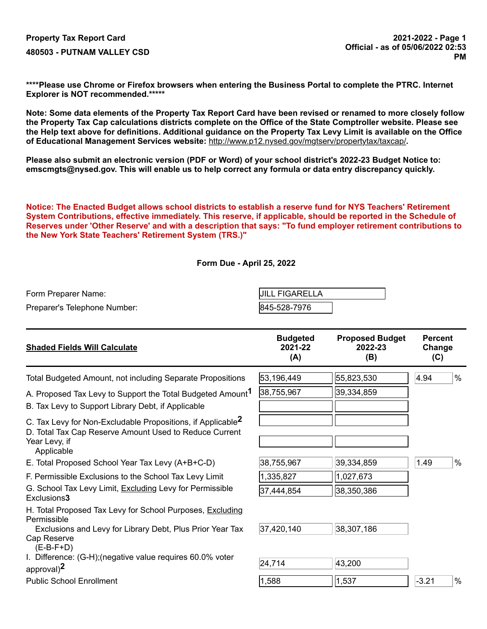**\*\*\*\*Please use Chrome or Firefox browsers when entering the Business Portal to complete the PTRC. Internet Explorer is NOT recommended.\*\*\*\*\***

**Note: Some data elements of the Property Tax Report Card have been revised or renamed to more closely follow the Property Tax Cap calculations districts complete on the Office of the State Comptroller website. Please see the Help text above for definitions. Additional guidance on the Property Tax Levy Limit is available on the Office of Educational Management Services website:** <http://www.p12.nysed.gov/mgtserv/propertytax/taxcap/>**.**

**Please also submit an electronic version (PDF or Word) of your school district's 2022-23 Budget Notice to: emscmgts@nysed.gov. This will enable us to help correct any formula or data entry discrepancy quickly.**

**Notice: The Enacted Budget allows school districts to establish a reserve fund for NYS Teachers' Retirement System Contributions, effective immediately. This reserve, if applicable, should be reported in the Schedule of Reserves under 'Other Reserve' and with a description that says: "To fund employer retirement contributions to the New York State Teachers' Retirement System (TRS.)"**

#### **Form Due - April 25, 2022**

| Form Preparer Name:          | <b>JILL FIGARELLA</b> |
|------------------------------|-----------------------|
| Preparer's Telephone Number: | 845-528-7976          |

| <b>Shaded Fields Will Calculate</b>                                                                                                                              | <b>Budgeted</b><br>2021-22<br>(A) | <b>Proposed Budget</b><br>2022-23<br>(B) | <b>Percent</b><br>Change<br>(C) |      |
|------------------------------------------------------------------------------------------------------------------------------------------------------------------|-----------------------------------|------------------------------------------|---------------------------------|------|
| Total Budgeted Amount, not including Separate Propositions                                                                                                       | 53,196,449                        | 55,823,530                               | 4.94                            | $\%$ |
| A. Proposed Tax Levy to Support the Total Budgeted Amount <sup>1</sup><br>B. Tax Levy to Support Library Debt, if Applicable                                     | 38,755,967                        | 39,334,859                               |                                 |      |
| C. Tax Levy for Non-Excludable Propositions, if Applicable <sup>2</sup><br>D. Total Tax Cap Reserve Amount Used to Reduce Current<br>Year Levy, if<br>Applicable |                                   |                                          |                                 |      |
| E. Total Proposed School Year Tax Levy (A+B+C-D)                                                                                                                 | 38,755,967                        | 39,334,859                               | 1.49                            | $\%$ |
| F. Permissible Exclusions to the School Tax Levy Limit                                                                                                           | 1,335,827                         | 1,027,673                                |                                 |      |
| G. School Tax Levy Limit, Excluding Levy for Permissible<br>Exclusions3                                                                                          | 37,444,854                        | 38,350,386                               |                                 |      |
| H. Total Proposed Tax Levy for School Purposes, Excluding<br>Permissible                                                                                         |                                   |                                          |                                 |      |
| Exclusions and Levy for Library Debt, Plus Prior Year Tax                                                                                                        | 37,420,140                        | 38,307,186                               |                                 |      |
| Cap Reserve<br>$(E-B-F+D)$                                                                                                                                       |                                   |                                          |                                 |      |
| I. Difference: (G-H); (negative value requires 60.0% voter<br>approval) <sup>2</sup>                                                                             | 24,714                            | 43,200                                   |                                 |      |
| <b>Public School Enrollment</b>                                                                                                                                  | 1,588                             | 1,537                                    | $-3.21$                         | %    |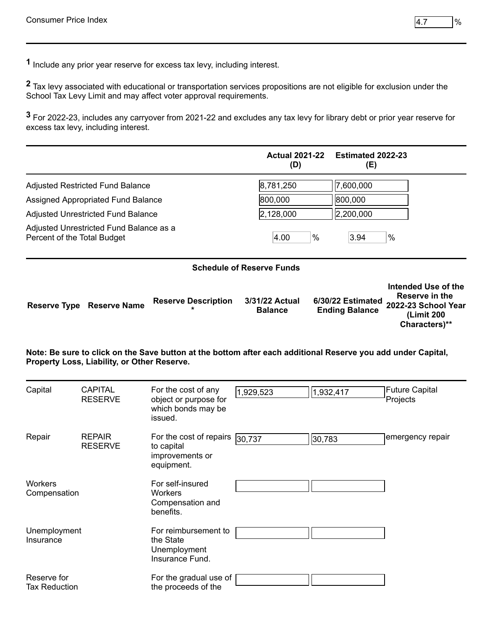**1** Include any prior year reserve for excess tax levy, including interest.

**2** Tax levy associated with educational or transportation services propositions are not eligible for exclusion under the School Tax Levy Limit and may affect voter approval requirements.

**3** For 2022-23, includes any carryover from 2021-22 and excludes any tax levy for library debt or prior year reserve for excess tax levy, including interest.

|                             |                                             |                                                                                                              | <b>Actual 2021-22</b><br>(D)     |      | <b>Estimated 2022-23</b><br>(E)            |                                                                                             |
|-----------------------------|---------------------------------------------|--------------------------------------------------------------------------------------------------------------|----------------------------------|------|--------------------------------------------|---------------------------------------------------------------------------------------------|
|                             | <b>Adjusted Restricted Fund Balance</b>     |                                                                                                              | 8,781,250                        |      | 7,600,000                                  |                                                                                             |
|                             | Assigned Appropriated Fund Balance          |                                                                                                              | 800,000                          |      | 800,000                                    |                                                                                             |
|                             | <b>Adjusted Unrestricted Fund Balance</b>   |                                                                                                              | 2,128,000                        |      | 2,200,000                                  |                                                                                             |
| Percent of the Total Budget | Adjusted Unrestricted Fund Balance as a     |                                                                                                              | 4.00                             | $\%$ | 3.94                                       | $\%$                                                                                        |
|                             |                                             |                                                                                                              | <b>Schedule of Reserve Funds</b> |      |                                            |                                                                                             |
| <b>Reserve Type</b>         | <b>Reserve Name</b>                         | <b>Reserve Description</b>                                                                                   | 3/31/22 Actual<br><b>Balance</b> |      | 6/30/22 Estimated<br><b>Ending Balance</b> | Intended Use of the<br>Reserve in the<br>2022-23 School Year<br>(Limit 200<br>Characters)** |
|                             | Property Loss, Liability, or Other Reserve. | Note: Be sure to click on the Save button at the bottom after each additional Reserve you add under Capital, |                                  |      |                                            |                                                                                             |

| Capital                        | <b>CAPITAL</b><br><b>RESERVE</b> | For the cost of any<br>object or purpose for<br>which bonds may be<br>issued.          | 1,929,523 | 1,932,417 | <b>Future Capital</b><br>Projects |
|--------------------------------|----------------------------------|----------------------------------------------------------------------------------------|-----------|-----------|-----------------------------------|
| Repair                         | <b>REPAIR</b><br><b>RESERVE</b>  | For the cost of repairs $\sqrt{30,737}$<br>to capital<br>improvements or<br>equipment. |           | 30,783    | emergency repair                  |
| <b>Workers</b><br>Compensation |                                  | For self-insured<br>Workers<br>Compensation and<br>benefits.                           |           |           |                                   |
| Unemployment<br>Insurance      |                                  | For reimbursement to<br>the State<br>Unemployment<br>Insurance Fund.                   |           |           |                                   |
| Reserve for<br>Tax Reduction   |                                  | For the gradual use of<br>the proceeds of the                                          |           |           |                                   |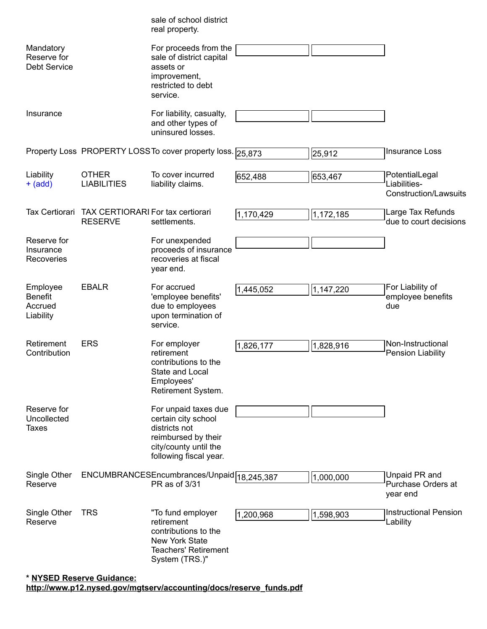<span id="page-34-0"></span>

|                                                    |                                                     | sale of school district<br>real property.                                                                                              |           |           |                                                         |
|----------------------------------------------------|-----------------------------------------------------|----------------------------------------------------------------------------------------------------------------------------------------|-----------|-----------|---------------------------------------------------------|
| Mandatory<br>Reserve for<br><b>Debt Service</b>    |                                                     | For proceeds from the<br>sale of district capital<br>assets or<br>improvement,<br>restricted to debt<br>service.                       |           |           |                                                         |
| Insurance                                          |                                                     | For liability, casualty,<br>and other types of<br>uninsured losses.                                                                    |           |           |                                                         |
|                                                    |                                                     | Property Loss PROPERTY LOSS To cover property loss. 25,873                                                                             |           | 25,912    | <b>Insurance Loss</b>                                   |
| Liability<br>$+$ (add)                             | <b>OTHER</b><br><b>LIABILITIES</b>                  | To cover incurred<br>liability claims.                                                                                                 | 652,488   | 653,467   | PotentialLegal<br>Liabilities-<br>Construction/Lawsuits |
| Tax Certiorari                                     | TAX CERTIORARI For tax certiorari<br><b>RESERVE</b> | settlements.                                                                                                                           | 1,170,429 | 1,172,185 | Large Tax Refunds<br>due to court decisions             |
| Reserve for<br>Insurance<br>Recoveries             |                                                     | For unexpended<br>proceeds of insurance<br>recoveries at fiscal<br>year end.                                                           |           |           |                                                         |
| Employee<br><b>Benefit</b><br>Accrued<br>Liability | <b>EBALR</b>                                        | For accrued<br>'employee benefits'<br>due to employees<br>upon termination of<br>service.                                              | 1,445,052 | 1,147,220 | For Liability of<br>employee benefits<br>due            |
| Retirement<br>Contribution                         | <b>ERS</b>                                          | For employer<br>retirement<br>contributions to the<br>State and Local<br>Employees'<br>Retirement System.                              | 1,826,177 | 1,828,916 | Non-Instructional<br>Pension Liability                  |
| Reserve for<br>Uncollected<br><b>Taxes</b>         |                                                     | For unpaid taxes due<br>certain city school<br>districts not<br>reimbursed by their<br>city/county until the<br>following fiscal year. |           |           |                                                         |
| Single Other<br>Reserve                            |                                                     | ENCUMBRANCESEncumbrances/Unpaid 18, 245, 387<br>PR as of 3/31                                                                          |           | 1,000,000 | Unpaid PR and<br>Purchase Orders at<br>year end         |
| Single Other<br>Reserve                            | <b>TRS</b>                                          | "To fund employer<br>retirement<br>contributions to the<br>New York State<br><b>Teachers' Retirement</b><br>System (TRS.)"             | 1,200,968 | 1,598,903 | <b>Instructional Pension</b><br>Lability                |

### **\* NYSED Reserve Guidance: [http://www.p12.nysed.gov/mgtserv/accounting/docs/reserve\\_funds.pdf](http://www.p12.nysed.gov/mgtserv/accounting/docs/reserve_funds.pdf)**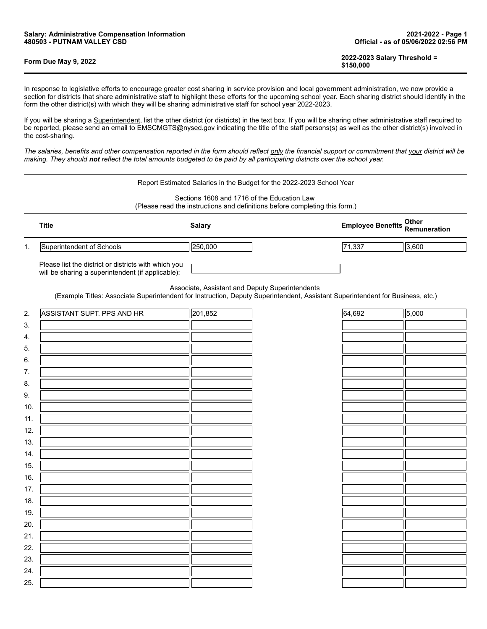19. 20. 21. 22. 23. 24. 25.

| Form Due May 9, 2022 | 2022-2023 Salary Threshold =<br>\$150,000 |
|----------------------|-------------------------------------------|
|----------------------|-------------------------------------------|

In response to legislative efforts to encourage greater cost sharing in service provision and local government administration, we now provide a section for districts that share administrative staff to highlight these efforts for the upcoming school year. Each sharing district should identify in the form the other district(s) with which they will be sharing adminis form the other district(s) with which they will be sharing administrative staff for school year 2022-2023.

If you will be sharing a Superintendent, list the other district (or districts) in the text box. If you will be sharing other administrative staff required to be reported, please send an email to EMSCMGTS@nysed.gov indicating the title of the staff persons(s) as well as the other district(s) involved in the cost-sharing.

*The salaries, benefits and other compensation reported in the form should reflect only the financial support or commitment that your district will be making. They should not reflect the total amounts budgeted to be paid by all participating districts over the school year.*

|           | Report Estimated Salaries in the Budget for the 2022-2023 School Year                                                                                                                                                                                                                          |               |  |                          |                       |  |  |  |  |
|-----------|------------------------------------------------------------------------------------------------------------------------------------------------------------------------------------------------------------------------------------------------------------------------------------------------|---------------|--|--------------------------|-----------------------|--|--|--|--|
|           | Sections 1608 and 1716 of the Education Law<br>(Please read the instructions and definitions before completing this form.)                                                                                                                                                                     |               |  |                          |                       |  |  |  |  |
|           | <b>Title</b>                                                                                                                                                                                                                                                                                   | <b>Salary</b> |  | <b>Employee Benefits</b> | Other<br>Remuneration |  |  |  |  |
| 1.        | Superintendent of Schools                                                                                                                                                                                                                                                                      | 250,000       |  | 71,337                   | 3,600                 |  |  |  |  |
|           | Please list the district or districts with which you<br>will be sharing a superintendent (if applicable):<br>Associate, Assistant and Deputy Superintendents<br>(Example Titles: Associate Superintendent for Instruction, Deputy Superintendent, Assistant Superintendent for Business, etc.) |               |  |                          |                       |  |  |  |  |
| 2.        | ASSISTANT SUPT. PPS AND HR                                                                                                                                                                                                                                                                     | 201,852       |  | 64,692                   | 5,000                 |  |  |  |  |
| 3.        |                                                                                                                                                                                                                                                                                                |               |  |                          |                       |  |  |  |  |
| 4.        |                                                                                                                                                                                                                                                                                                |               |  |                          |                       |  |  |  |  |
| 5.        |                                                                                                                                                                                                                                                                                                |               |  |                          |                       |  |  |  |  |
| 6.        |                                                                                                                                                                                                                                                                                                |               |  |                          |                       |  |  |  |  |
| 7.        |                                                                                                                                                                                                                                                                                                |               |  |                          |                       |  |  |  |  |
| 8.        |                                                                                                                                                                                                                                                                                                |               |  |                          |                       |  |  |  |  |
| 9.<br>10. |                                                                                                                                                                                                                                                                                                |               |  |                          |                       |  |  |  |  |
| 11.       |                                                                                                                                                                                                                                                                                                |               |  |                          |                       |  |  |  |  |
| 12.       |                                                                                                                                                                                                                                                                                                |               |  |                          |                       |  |  |  |  |
| 13.       |                                                                                                                                                                                                                                                                                                |               |  |                          |                       |  |  |  |  |
| 14.       |                                                                                                                                                                                                                                                                                                |               |  |                          |                       |  |  |  |  |
| 15.       |                                                                                                                                                                                                                                                                                                |               |  |                          |                       |  |  |  |  |
| 16.       |                                                                                                                                                                                                                                                                                                |               |  |                          |                       |  |  |  |  |
| 17.       |                                                                                                                                                                                                                                                                                                |               |  |                          |                       |  |  |  |  |
| 18.       |                                                                                                                                                                                                                                                                                                |               |  |                          |                       |  |  |  |  |

| m the other district(s) with which they will be sharing administrative staff for school year 2022-2023.                                                 |  |
|---------------------------------------------------------------------------------------------------------------------------------------------------------|--|
| ou will be sharing a Superintendent. list the other district (or districts) in the text box. If you will be sharing other administrative staff required |  |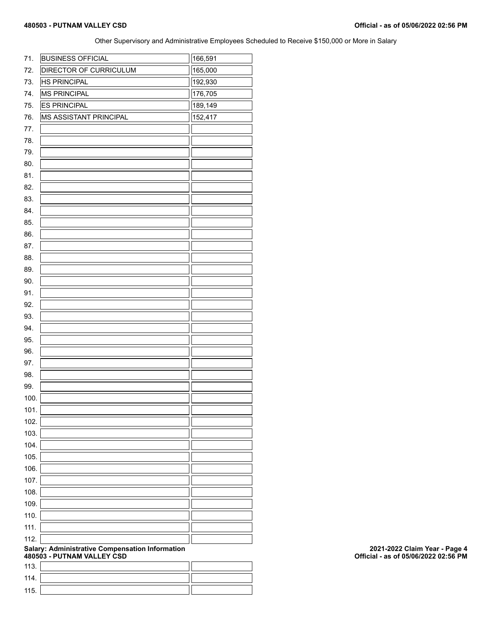Other Supervisory and Administrative Employees Scheduled to Receive \$150,000 or More in Salary

| 71.  | <b>BUSINESS OFFICIAL</b>                                                      | 166,591 |
|------|-------------------------------------------------------------------------------|---------|
| 72.  | <b>DIRECTOR OF CURRICULUM</b>                                                 | 165,000 |
| 73.  | <b>HS PRINCIPAL</b>                                                           | 192,930 |
| 74.  | <b>MS PRINCIPAL</b>                                                           | 176,705 |
| 75.  | <b>ES PRINCIPAL</b>                                                           | 189,149 |
| 76.  | <b>MS ASSISTANT PRINCIPAL</b>                                                 | 152,417 |
| 77.  |                                                                               |         |
| 78.  |                                                                               |         |
| 79.  |                                                                               |         |
|      |                                                                               |         |
| 80.  |                                                                               |         |
| 81.  |                                                                               |         |
| 82.  |                                                                               |         |
| 83.  |                                                                               |         |
| 84.  |                                                                               |         |
| 85.  |                                                                               |         |
| 86.  |                                                                               |         |
| 87.  |                                                                               |         |
| 88.  |                                                                               |         |
| 89.  |                                                                               |         |
| 90.  |                                                                               |         |
| 91.  |                                                                               |         |
|      |                                                                               |         |
| 92.  |                                                                               |         |
| 93.  |                                                                               |         |
| 94.  |                                                                               |         |
| 95.  |                                                                               |         |
| 96.  |                                                                               |         |
| 97.  |                                                                               |         |
| 98.  |                                                                               |         |
| 99.  |                                                                               |         |
| 100. |                                                                               |         |
| 101. |                                                                               | ┑┍      |
|      |                                                                               |         |
| 102. |                                                                               |         |
| 103. |                                                                               |         |
| 104. |                                                                               |         |
| 105. |                                                                               |         |
| 106. |                                                                               |         |
| 107. |                                                                               |         |
| 108. |                                                                               |         |
| 109. |                                                                               |         |
| 110. |                                                                               |         |
| 111. |                                                                               |         |
|      |                                                                               |         |
| 112. |                                                                               |         |
|      | Salary: Administrative Compensation Information<br>480503 - PUTNAM VALLEY CSD |         |
| 113. |                                                                               |         |
| 114. |                                                                               |         |
| 115. |                                                                               |         |
|      |                                                                               |         |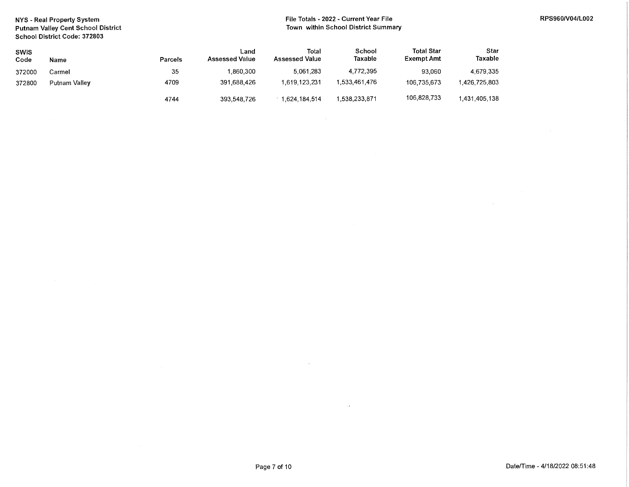NYS - Real Property System Putnam Valley Cent School District School District Code: 372803

#### File Totals - 2022 - Current Year File Town within School District Summary

 $\overline{a}$ 

| <b>SWIS</b><br>Code | Name          | <b>Parcels</b> | ∟and<br><b>Assessed Value</b> | Total<br><b>Assessed Value</b> | School<br>Taxable | <b>Total Star</b><br>Exempt Amt | Star<br>Taxable |
|---------------------|---------------|----------------|-------------------------------|--------------------------------|-------------------|---------------------------------|-----------------|
| 372000              | Carmel        | 35             | 1,860,300                     | 5.061.283                      | 4.772.395         | 93.060                          | 4.679.335       |
| 372800              | Putnam Valley | 4709           | 391,688,426                   | 1.619.123.231                  | .533.461.476      | 106.735.673                     | 426,725,803     |
|                     |               | 4744           | 393,548,726                   | 1,624,184,514                  | .538,233,871      | 106,828,733                     | 1,431,405,138   |

 $\sim$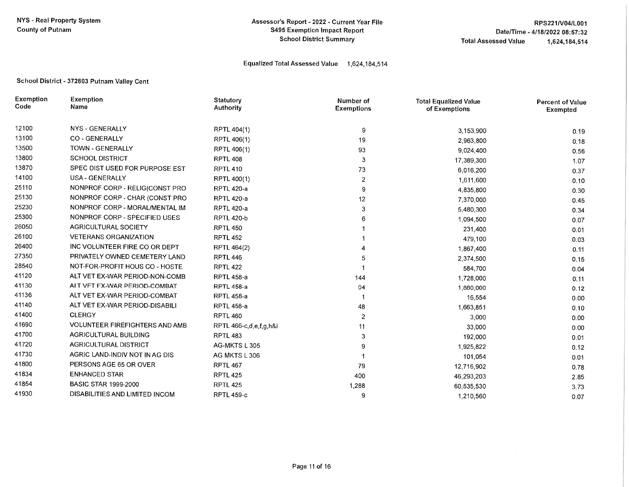#### Assessor's Report - 2022 - Current Year File **S495 Exemption Impact Report School District Summary**

#### Equalized Total Assessed Value 1,624,184,514

#### School District - 372803 Putnam Valley Cent

| Exemption<br>Code | Exemption<br>Name                     | Statutory<br>Authority | Number of<br><b>Exemptions</b> | <b>Total Equalized Value</b><br>of Exemptions | <b>Percent of Value</b><br>Exempted |
|-------------------|---------------------------------------|------------------------|--------------------------------|-----------------------------------------------|-------------------------------------|
| 12100             | NYS - GENERALLY                       | RPTL 404(1)            | 9                              | 3,153,900                                     | 0.19                                |
| 13100             | <b>CO - GENERALLY</b>                 | RPTL 406(1)            | 19                             | 2,963,800                                     | 0.18                                |
| 13500             | <b>TOWN - GENERALLY</b>               | RPTL 406(1)            | 93                             | 9,024,400                                     | 0.56                                |
| 13800             | <b>SCHOOL DISTRICT</b>                | <b>RPTL 408</b>        | 3                              | 17,389,300                                    | 1.07                                |
| 13870             | SPEC DIST USED FOR PURPOSE EST        | <b>RPTL 410</b>        | 73                             | 6,016,200                                     | 0.37                                |
| 14100             | USA - GENERALLY                       | RPTL 400(1)            | 2                              | 1,611,600                                     | 0.10                                |
| 25110             | NONPROF CORP - RELIG(CONST PRO        | <b>RPTL 420-a</b>      | 9                              | 4,835,800                                     | 0.30                                |
| 25130             | NONPROF CORP - CHAR (CONST PRO        | <b>RPTL 420-a</b>      | 12                             | 7,370,000                                     | 0.45                                |
| 25230             | NONPROF CORP - MORAL/MENTAL IM        | <b>RPTL 420-a</b>      | 3                              | 5,480,300                                     | 0.34                                |
| 25300             | NONPROF CORP - SPECIFIED USES         | <b>RPTL 420-b</b>      |                                | 1,094,500                                     | 0.07                                |
| 26050             | AGRICULTURAL SOCIETY                  | <b>RPTL 450</b>        |                                | 231,400                                       | 0.01                                |
| 26100             | <b>VETERANS ORGANIZATION</b>          | <b>RPTL 452</b>        |                                | 479,100                                       | 0.03                                |
| 26400             | INC VOLUNTEER FIRE CO OR DEPT         | RPTL 464(2)            |                                | 1,867,400                                     | 0.11                                |
| 27350             | PRIVATELY OWNED CEMETERY LAND         | <b>RPTL 446</b>        | 5                              | 2,374,500                                     | 0.15                                |
| 28540             | NOT-FOR-PROFIT HOUS CO - HOSTE        | <b>RPTL 422</b>        |                                | 584,700                                       | 0.04                                |
| 41120             | ALT VET EX-WAR PERIOD-NON-COMB        | <b>RPTL 458-a</b>      | 144                            | 1,728,000                                     | 0.11                                |
| 41130             | ALT VET EX-WAR PERIOD-COMBAT          | <b>RPTL 458-a</b>      | 94                             | 1,880,000                                     | 0.12                                |
| 41136             | ALT VET EX-WAR PERIOD-COMBAT          | <b>RPTL 458-a</b>      |                                | 16,554                                        | 0.00                                |
| 41140             | ALT VET EX-WAR PERIOD-DISABILI        | <b>RPTL 458-a</b>      | 48                             | 1,663,851                                     | 0.10                                |
| 41400             | <b>CLERGY</b>                         | <b>RPTL 460</b>        | 2                              | 3,000                                         | 0.00                                |
| 41690             | <b>VOLUNTEER FIREFIGHTERS AND AMB</b> | RPTL 466-c,d,e,f,g,h&i | 11                             | 33,000                                        | 0.00                                |
| 41700             | <b>AGRICULTURAL BUILDING</b>          | RPTL 483               | 3                              | 192,000                                       | 0.01                                |
| 41720             | <b>AGRICULTURAL DISTRICT</b>          | AG-MKTS L 305          | 9                              | 1,925,822                                     | 0.12                                |
| 41730             | AGRIC LAND-INDIV NOT IN AG DIS        | AG MKTS L 306          |                                | 101,054                                       | 0.01                                |
| 41800             | PERSONS AGE 65 OR OVER                | <b>RPTL 467</b>        | 79                             | 12,716,902                                    | 0.78                                |
| 41834             | <b>ENHANCED STAR</b>                  | <b>RPTL 425</b>        | 400                            | 46,293,203                                    | 2.85                                |
| 41854             | <b>BASIC STAR 1999-2000</b>           | RPTL 425               | 1,288                          | 60,535,530                                    | 3.73                                |
| 41930             | DISABILITIES AND LIMITED INCOM        | <b>RPTL 459-c</b>      | 9                              | 1,210,560                                     | 0.07                                |